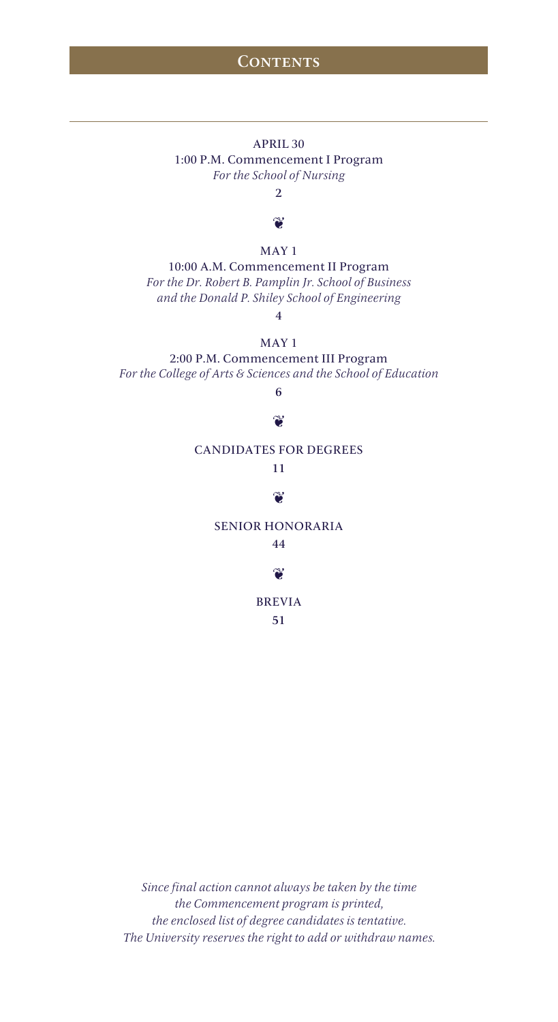## **CONTENTS**

## APRIL 30 1:00 P.M. Commencement I Program *For the School of Nursing*

2

## ť

### MAY 1

10:00 A.M. Commencement II Program *For the Dr. Robert B. Pamplin Jr. School of Business and the Donald P. Shiley School of Engineering* 

4

## MAY 1

2:00 P.M. Commencement III Program *For the College of Arts & Sciences and the School of Education* 

6

## $\mathbf{v}$

### CANDIDATES FOR DEGREES

# 11

## $\mathbf{v}$

## SENIOR HONORARIA

### 44

## $\mathbf{C}$

## BREVIA

51

*Since final action cannot always be taken by the time the Commencement program is printed, the enclosed list of degree candidates is tentative. The University reserves the right to add or withdraw names.*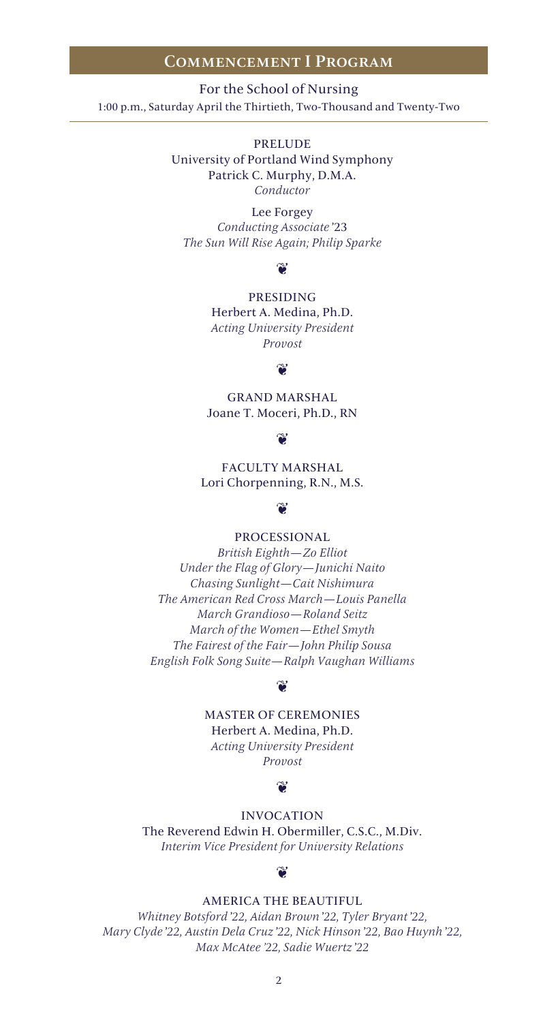### Commencement I Program

For the School of Nursing 1:00 p.m., Saturday April the Thirtieth, Two-Thousand and Twenty-Two

> PRELUDE University of Portland Wind Symphony Patrick C. Murphy, D.M.A. *Conductor*

Lee Forgey *Conducting Associate* '23 *The Sun Will Rise Again; Philip Sparke*

### $\mathbf{v}$

PRESIDING

Herbert A. Medina, Ph.D. *Acting University President Provost*

### ൞

GRAND MARSHAL Joane T. Moceri, Ph.D., RN

### $\bullet$

FACULTY MARSHAL Lori Chorpenning, R.N., M.S.

### $\bullet$

PROCESSIONAL

*British Eighth—Zo Elliot Under the Flag of Glory—Junichi Naito Chasing Sunlight—Cait Nishimura The American Red Cross March—Louis Panella March Grandioso—Roland Seitz March of the Women—Ethel Smyth The Fairest of the Fair—John Philip Sousa English Folk Song Suite—Ralph Vaughan Williams*

### $\mathbf{\widetilde{e}}$

## MASTER OF CEREMONIES

Herbert A. Medina, Ph.D. *Acting University President Provost*

### $\mathbf{v}$

INVOCATION The Reverend Edwin H. Obermiller, C.S.C., M.Div.

*Interim Vice President for University Relations*

### $\mathbf{\hat{z}}$

### AMERICA THE BEAUTIFUL

*Whitney Botsford* '*22, Aidan Brown* '*22, Tyler Bryant* '*22, Mary Clyde* '*22, Austin Dela Cruz* '*22, Nick Hinson* '*22, Bao Huynh* '*22, Max McAtee '22, Sadie Wuertz* '*22*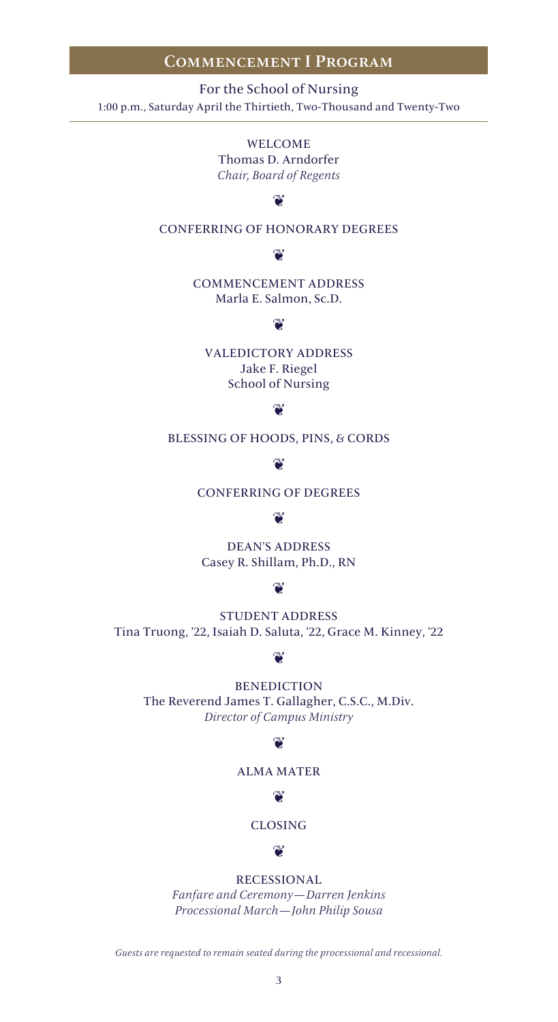## Commencement I Program

For the School of Nursing 1:00 p.m., Saturday April the Thirtieth, Two-Thousand and Twenty-Two

> WELCOME Thomas D. Arndorfer *Chair, Board of Regents*

# $\mathbf{v}$

CONFERRING OF HONORARY DEGREES

## $\mathbf{v}$

COMMENCEMENT ADDRESS Marla E. Salmon, Sc.D.

## $\gamma$

VALEDICTORY ADDRESS Jake F. Riegel School of Nursing

### $\bullet$

BLESSING OF HOODS, PINS, & CORDS

### $\mathbf{C}$

CONFERRING OF DEGREES

### $\mathbf{v}$

DEAN'S ADDRESS Casey R. Shillam, Ph.D., RN

### $\infty$

STUDENT ADDRESS Tina Truong, '22, Isaiah D. Saluta, '22, Grace M. Kinney, '22

## $\mathbf{v}$

BENEDICTION The Reverend James T. Gallagher, C.S.C., M.Div. *Director of Campus Ministry*

## $\mathbf{v}$

## ALMA MATER

## $\mathbf{v}$

CLOSING

### $\mathbf{v}$

RECESSIONAL

*Fanfare and Ceremony—Darren Jenkins Processional March—John Philip Sousa*

*Guests are requested to remain seated during the processional and recessional.*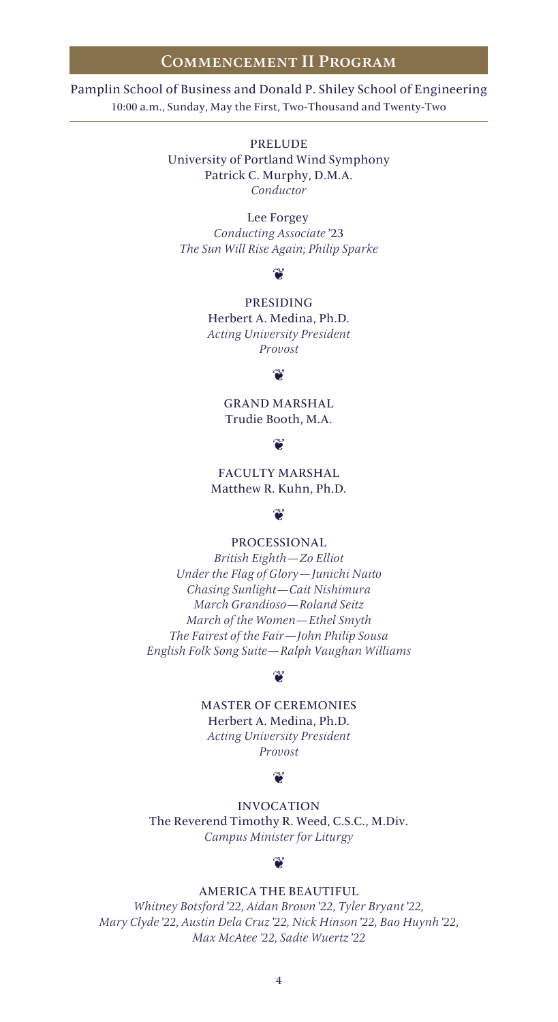### Commencement II Program

Pamplin School of Business and Donald P. Shiley School of Engineering 10:00 a.m., Sunday, May the First, Two-Thousand and Twenty-Two

> PRELUDE University of Portland Wind Symphony Patrick C. Murphy, D.M.A. *Conductor*

Lee Forgey *Conducting Associate* '23 *The Sun Will Rise Again; Philip Sparke*

### $\mathbf{\widetilde{v}}$

PRESIDING Herbert A. Medina, Ph.D. *Acting University President Provost*

### $\mathbf{v}$

GRAND MARSHAL Trudie Booth, M.A.

### $\mathbf{\widetilde{v}}$

FACULTY MARSHAL Matthew R. Kuhn, Ph.D.

### $\infty$

PROCESSIONAL

*British Eighth—Zo Elliot Under the Flag of Glory—Junichi Naito Chasing Sunlight—Cait Nishimura March Grandioso—Roland Seitz March of the Women—Ethel Smyth The Fairest of the Fair—John Philip Sousa English Folk Song Suite—Ralph Vaughan Williams*

## $\mathbf{\hat{v}}$

MASTER OF CEREMONIES

Herbert A. Medina, Ph.D. *Acting University President Provost*

### $\approx$

INVOCATION The Reverend Timothy R. Weed, C.S.C., M.Div. *Campus Minister for Liturgy*

### $\sim$

### AMERICA THE BEAUTIFUL

*Whitney Botsford* '*22, Aidan Brown* '*22, Tyler Bryant* '*22, Mary Clyde* '*22, Austin Dela Cruz* '*22, Nick Hinson* '*22, Bao Huynh* '*22, Max McAtee '22, Sadie Wuertz* '*22*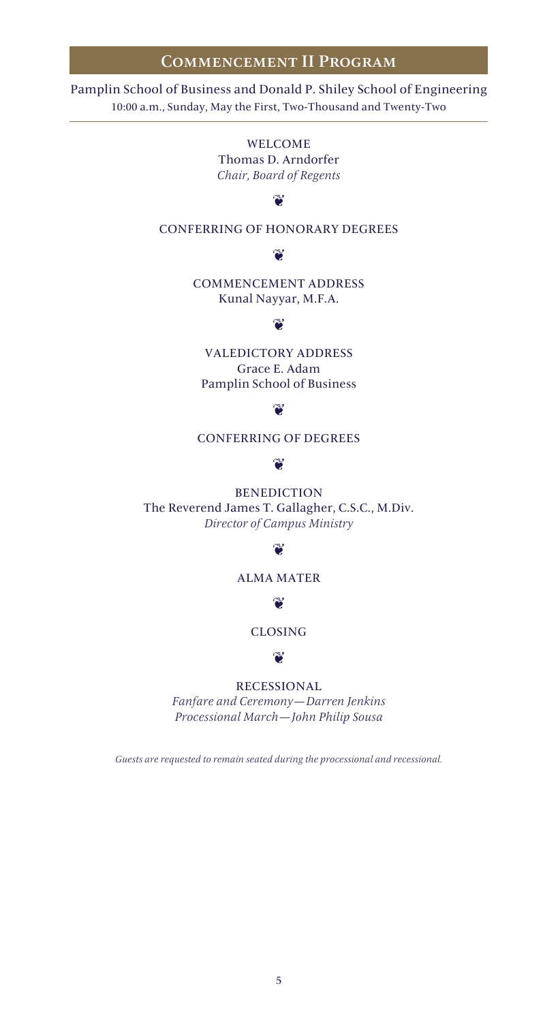## Commencement II Program

10:00 a.m., Sunday, May the First, Two-Thousand and Twenty-Two Pamplin School of Business and Donald P. Shiley School of Engineering

> WELCOME Thomas D. Arndorfer *Chair, Board of Regents*

# $\mathbf{v}$

### CONFERRING OF HONORARY DEGREES

### $\mathbf{v}$

COMMENCEMENT ADDRESS Kunal Nayyar, M.F.A.

# $\mathbf{v}$

VALEDICTORY ADDRESS Grace E. Adam Pamplin School of Business

## $\mathbf{v}$

CONFERRING OF DEGREES

### $\mathbf{v}$

BENEDICTION The Reverend James T. Gallagher, C.S.C., M.Div. *Director of Campus Ministry*

### $\mathbf{C}$

## ALMA MATER

 $\mathbf{v}$ 

## CLOSING

### $\mathbf{v}$

### RECESSIONAL

*Fanfare and Ceremony—Darren Jenkins Processional March—John Philip Sousa*

*Guests are requested to remain seated during the processional and recessional.*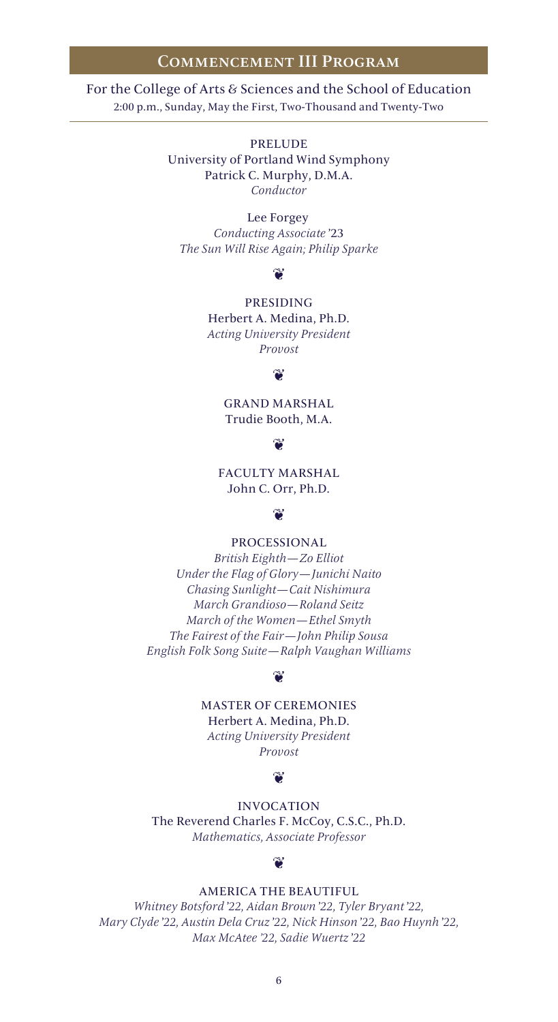### Commencement III Program

For the College of Arts & Sciences and the School of Education 2:00 p.m., Sunday, May the First, Two-Thousand and Twenty-Two

> PRELUDE University of Portland Wind Symphony Patrick C. Murphy, D.M.A. *Conductor*

Lee Forgey *Conducting Associate* '23 *The Sun Will Rise Again; Philip Sparke*

### $\mathbf{\widetilde{v}}$

PRESIDING Herbert A. Medina, Ph.D. *Acting University President Provost*

### $\mathbf{v}$

GRAND MARSHAL Trudie Booth, M.A.

### $\mathbf{\widetilde{v}}$

FACULTY MARSHAL John C. Orr, Ph.D.

### $\mathbf{v}$

PROCESSIONAL

*British Eighth—Zo Elliot Under the Flag of Glory—Junichi Naito Chasing Sunlight—Cait Nishimura March Grandioso—Roland Seitz March of the Women—Ethel Smyth The Fairest of the Fair—John Philip Sousa English Folk Song Suite—Ralph Vaughan Williams*

### $\mathbf{\widetilde{v}}$

MASTER OF CEREMONIES

Herbert A. Medina, Ph.D. *Acting University President Provost*

### $\approx$

INVOCATION The Reverend Charles F. McCoy, C.S.C., Ph.D. *Mathematics, Associate Professor* 

### $\approx$

## AMERICA THE BEAUTIFUL

*Whitney Botsford* '*22, Aidan Brown* '*22, Tyler Bryant* '*22, Mary Clyde* '*22, Austin Dela Cruz* '*22, Nick Hinson* '*22, Bao Huynh* '*22, Max McAtee '22, Sadie Wuertz* '*22*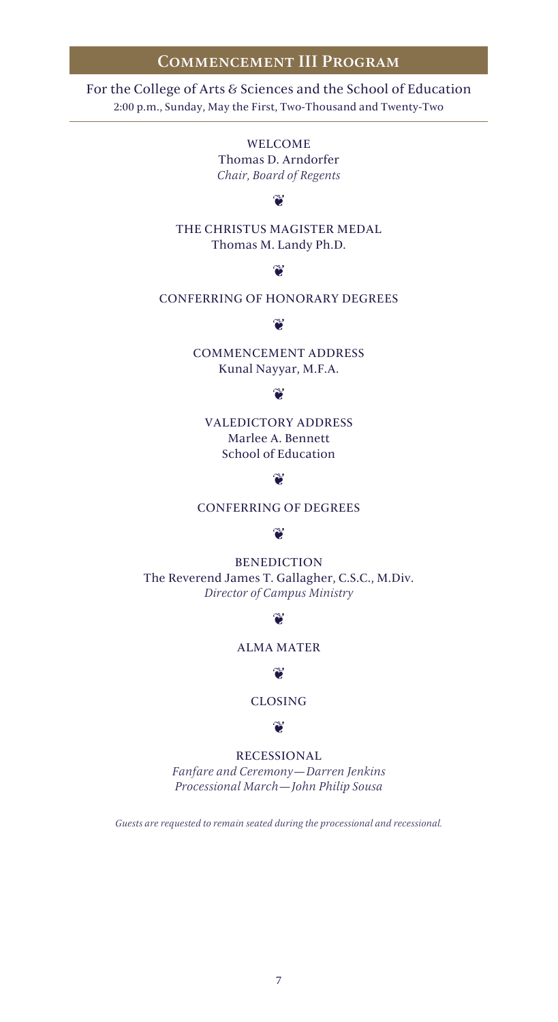## Commencement III Program

2:00 p.m., Sunday, May the First, Two-Thousand and Twenty-Two For the College of Arts & Sciences and the School of Education

> WELCOME Thomas D. Arndorfer *Chair, Board of Regents*

# $\mathbf{v}$

THE CHRISTUS MAGISTER MEDAL Thomas M. Landy Ph.D.

## $\mathbf{v}$

## CONFERRING OF HONORARY DEGREES

### $\gamma$

COMMENCEMENT ADDRESS Kunal Nayyar, M.F.A.

### $\mathbf{C}$

VALEDICTORY ADDRESS Marlee A. Bennett School of Education

### ్లు

CONFERRING OF DEGREES

### $\mathbf{v}$

BENEDICTION The Reverend James T. Gallagher, C.S.C., M.Div. *Director of Campus Ministry*

### $\mathbf{v}$

## ALMA MATER

### $\gamma$

CLOSING

### $\mathbf{e}$

RECESSIONAL

*Fanfare and Ceremony—Darren Jenkins Processional March—John Philip Sousa*

*Guests are requested to remain seated during the processional and recessional.*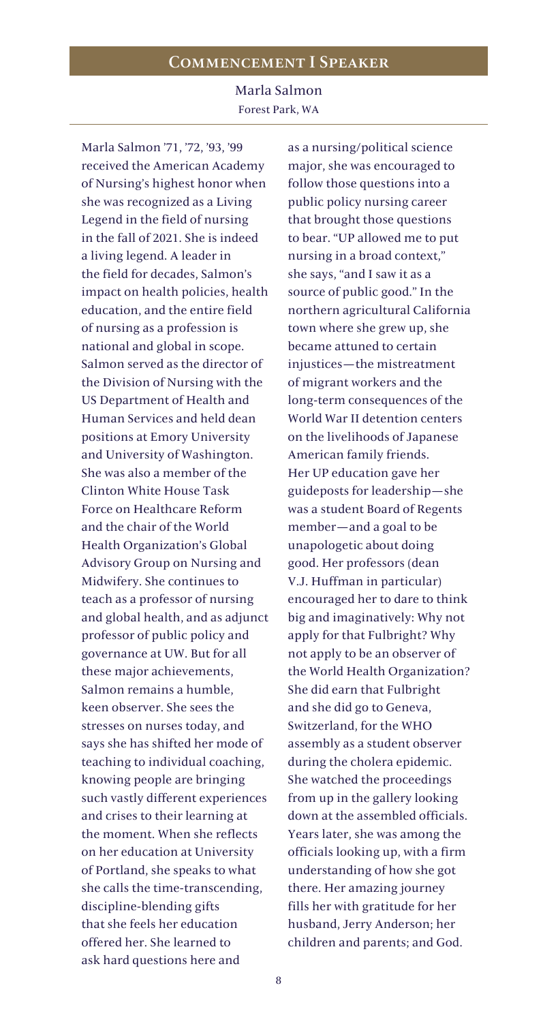## Commencement I Speaker

Marla Salmon Forest Park, WA

Marla Salmon '71, '72, '93, '99 received the American Academy of Nursing's highest honor when she was recognized as a Living Legend in the field of nursing in the fall of 2021. She is indeed a living legend. A leader in the field for decades, Salmon's impact on health policies, health education, and the entire field of nursing as a profession is national and global in scope. Salmon served as the director of the Division of Nursing with the US Department of Health and Human Services and held dean positions at Emory University and University of Washington. She was also a member of the Clinton White House Task Force on Healthcare Reform and the chair of the World Health Organization's Global Advisory Group on Nursing and Midwifery. She continues to teach as a professor of nursing and global health, and as adjunct professor of public policy and governance at UW. But for all these major achievements, Salmon remains a humble, keen observer. She sees the stresses on nurses today, and says she has shifted her mode of teaching to individual coaching, knowing people are bringing such vastly different experiences and crises to their learning at the moment. When she reflects on her education at University of Portland, she speaks to what she calls the time-transcending, discipline-blending gifts that she feels her education offered her. She learned to ask hard questions here and

as a nursing/political science major, she was encouraged to follow those questions into a public policy nursing career that brought those questions to bear. "UP allowed me to put nursing in a broad context," she says, "and I saw it as a source of public good." In the northern agricultural California town where she grew up, she became attuned to certain injustices—the mistreatment of migrant workers and the long-term consequences of the World War II detention centers on the livelihoods of Japanese American family friends. Her UP education gave her guideposts for leadership—she was a student Board of Regents member—and a goal to be unapologetic about doing good. Her professors (dean V.J. Huffman in particular) encouraged her to dare to think big and imaginatively: Why not apply for that Fulbright? Why not apply to be an observer of the World Health Organization? She did earn that Fulbright and she did go to Geneva, Switzerland, for the WHO assembly as a student observer during the cholera epidemic. She watched the proceedings from up in the gallery looking down at the assembled officials. Years later, she was among the officials looking up, with a firm understanding of how she got there. Her amazing journey fills her with gratitude for her husband, Jerry Anderson; her children and parents; and God.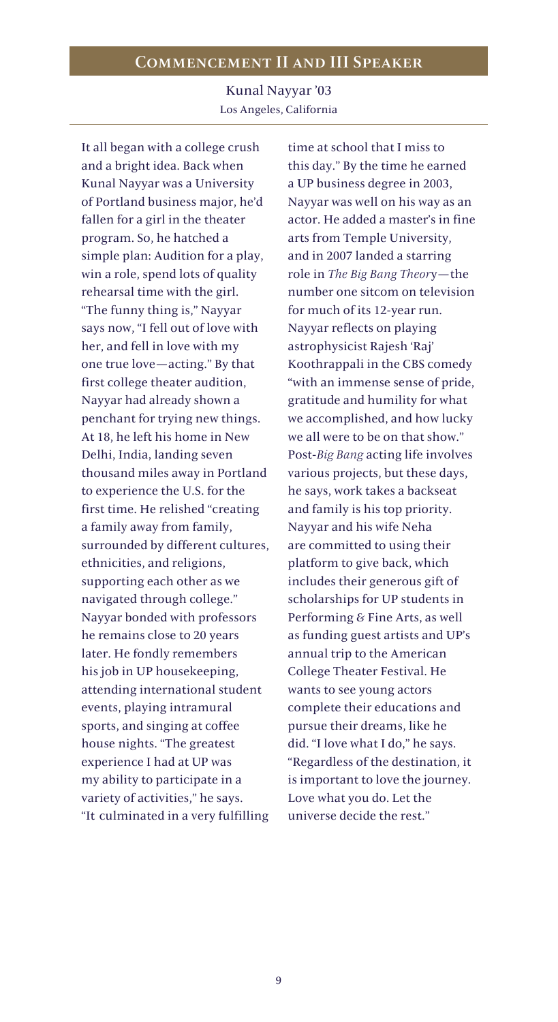Kunal Nayyar '03 Los Angeles, California

It all began with a college crush and a bright idea. Back when Kunal Nayyar was a University of Portland business major, he'd fallen for a girl in the theater program. So, he hatched a simple plan: Audition for a play, win a role, spend lots of quality rehearsal time with the girl. "The funny thing is," Nayyar says now, "I fell out of love with her, and fell in love with my one true love—acting." By that first college theater audition, Nayyar had already shown a penchant for trying new things. At 18, he left his home in New Delhi, India, landing seven thousand miles away in Portland to experience the U.S. for the first time. He relished "creating a family away from family, surrounded by different cultures, ethnicities, and religions, supporting each other as we navigated through college." Nayyar bonded with professors he remains close to 20 years later. He fondly remembers his job in UP housekeeping, attending international student events, playing intramural sports, and singing at coffee house nights. "The greatest experience I had at UP was my ability to participate in a variety of activities," he says. "It culminated in a very fulfilling

time at school that I miss to this day." By the time he earned a UP business degree in 2003, Nayyar was well on his way as an actor. He added a master's in fine arts from Temple University, and in 2007 landed a starring role in *The Big Bang Theor*y—the number one sitcom on television for much of its 12-year run. Nayyar reflects on playing astrophysicist Rajesh 'Raj' Koothrappali in the CBS comedy "with an immense sense of pride, gratitude and humility for what we accomplished, and how lucky we all were to be on that show." Post-*Big Bang* acting life involves various projects, but these days, he says, work takes a backseat and family is his top priority. Nayyar and his wife Neha are committed to using their platform to give back, which includes their generous gift of scholarships for UP students in Performing & Fine Arts, as well as funding guest artists and UP's annual trip to the American College Theater Festival. He wants to see young actors complete their educations and pursue their dreams, like he did. "I love what I do," he says. "Regardless of the destination, it is important to love the journey. Love what you do. Let the universe decide the rest."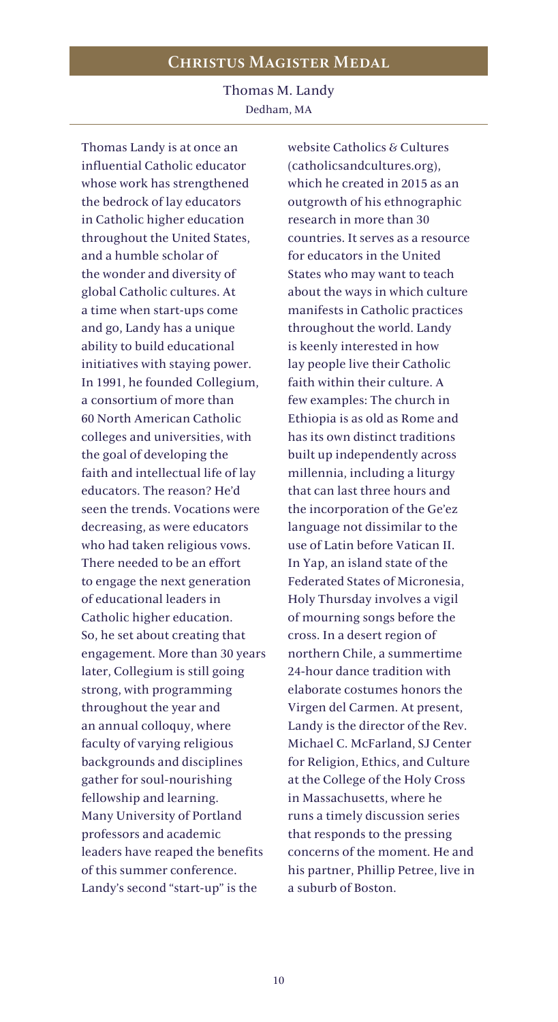# Christus Magister Meda l

Thomas M. Landy Dedham, MA

Thomas Landy is at once an influential Catholic educator whose work has strengthened the bedrock of lay educators in Catholic higher education throughout the United States, and a humble scholar of the wonder and diversity of global Catholic cultures. At a time when start-ups come and go, Landy has a unique ability to build educational initiatives with staying power. In 1991, he founded Collegium, a consortium of more than 60 North American Catholic colleges and universities, with the goal of developing the faith and intellectual life of lay educators. The reason? He'd seen the trends. Vocations were decreasing, as were educators who had taken religious vows. There needed to be an effort to engage the next generation of educational leaders in Catholic higher education. So, he set about creating that engagement. More than 30 years later, Collegium is still going strong, with programming throughout the year and an annual colloquy, where faculty of varying religious backgrounds and disciplines gather for soul-nourishing fellowship and learning. Many University of Portland professors and academic leaders have reaped the benefits of this summer conference. Landy's second "start-up" is the

website Catholics & Cultures (catholicsandcultures.org), which he created in 2015 as an outgrowth of his ethnographic research in more than 30 countries. It serves as a resource for educators in the United States who may want to teach about the ways in which culture manifests in Catholic practices throughout the world. Landy is keenly interested in how lay people live their Catholic faith within their culture. A few examples: The church in Ethiopia is as old as Rome and has its own distinct traditions built up independently across millennia, including a liturgy that can last three hours and the incorporation of the Ge'ez language not dissimilar to the use of Latin before Vatican II. In Yap, an island state of the Federated States of Micronesia, Holy Thursday involves a vigil of mourning songs before the cross. In a desert region of northern Chile, a summertime 24-hour dance tradition with elaborate costumes honors the Virgen del Carmen. At present, Landy is the director of the Rev. Michael C. McFarland, SJ Center for Religion, Ethics, and Culture at the College of the Holy Cross in Massachusetts, where he runs a timely discussion series that responds to the pressing concerns of the moment. He and his partner, Phillip Petree, live in a suburb of Boston.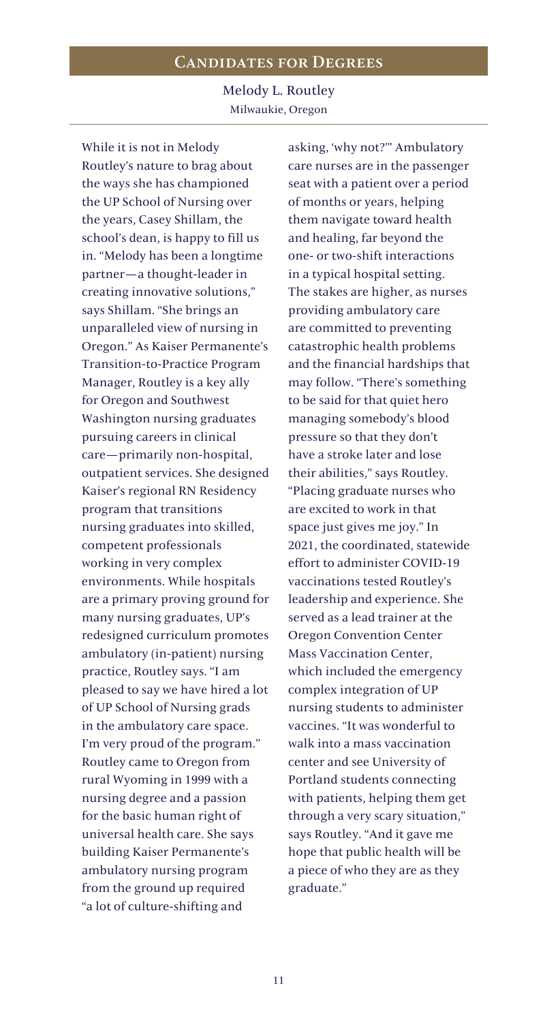Melody L. Routley Milwaukie, Oregon

While it is not in Melody Routley's nature to brag about the ways she has championed the UP School of Nursing over the years, Casey Shillam, the school's dean, is happy to fill us in. "Melody has been a longtime partner—a thought-leader in creating innovative solutions," says Shillam. "She brings an unparalleled view of nursing in Oregon." As Kaiser Permanente's Transition-to-Practice Program Manager, Routley is a key ally for Oregon and Southwest Washington nursing graduates pursuing careers in clinical care—primarily non-hospital, outpatient services. She designed Kaiser's regional RN Residency program that transitions nursing graduates into skilled, competent professionals working in very complex environments. While hospitals are a primary proving ground for many nursing graduates, UP's redesigned curriculum promotes ambulatory (in-patient) nursing practice, Routley says. "I am pleased to say we have hired a lot of UP School of Nursing grads in the ambulatory care space. I'm very proud of the program." Routley came to Oregon from rural Wyoming in 1999 with a nursing degree and a passion for the basic human right of universal health care. She says building Kaiser Permanente's ambulatory nursing program from the ground up required "a lot of culture-shifting and

asking, 'why not?'" Ambulatory care nurses are in the passenger seat with a patient over a period of months or years, helping them navigate toward health and healing, far beyond the one- or two-shift interactions in a typical hospital setting. The stakes are higher, as nurses providing ambulatory care are committed to preventing catastrophic health problems and the financial hardships that may follow. "There's something to be said for that quiet hero managing somebody's blood pressure so that they don't have a stroke later and lose their abilities," says Routley. "Placing graduate nurses who are excited to work in that space just gives me joy." In 2021, the coordinated, statewide effort to administer COVID-19 vaccinations tested Routley's leadership and experience. She served as a lead trainer at the Oregon Convention Center Mass Vaccination Center, which included the emergency complex integration of UP nursing students to administer vaccines. "It was wonderful to walk into a mass vaccination center and see University of Portland students connecting with patients, helping them get through a very scary situation," says Routley. "And it gave me hope that public health will be a piece of who they are as they graduate."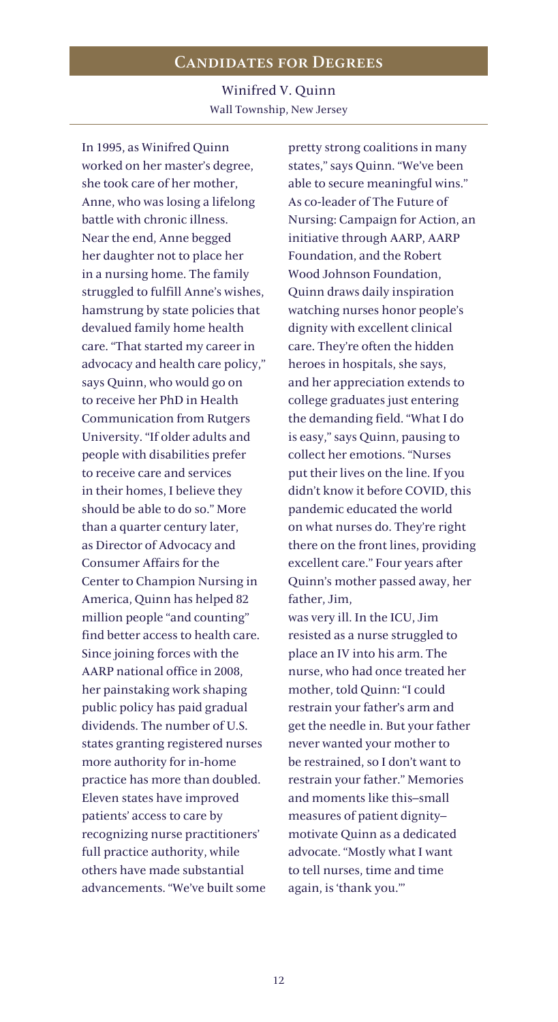Winifred V. Quinn Wall Township, New Jersey

In 1995, as Winifred Quinn worked on her master's degree, she took care of her mother, Anne, who was losing a lifelong battle with chronic illness. Near the end, Anne begged her daughter not to place her in a nursing home. The family struggled to fulfill Anne's wishes, hamstrung by state policies that devalued family home health care. "That started my career in advocacy and health care policy," says Quinn, who would go on to receive her PhD in Health Communication from Rutgers University. "If older adults and people with disabilities prefer to receive care and services in their homes, I believe they should be able to do so." More than a quarter century later, as Director of Advocacy and Consumer Affairs for the Center to Champion Nursing in America, Quinn has helped 82 million people "and counting" find better access to health care. Since joining forces with the AARP national office in 2008, her painstaking work shaping public policy has paid gradual dividends. The number of U.S. states granting registered nurses more authority for in-home practice has more than doubled. Eleven states have improved patients' access to care by recognizing nurse practitioners' full practice authority, while others have made substantial advancements. "We've built some pretty strong coalitions in many states," says Quinn. "We've been able to secure meaningful wins." As co-leader of The Future of Nursing: Campaign for Action, an initiative through AARP, AARP Foundation, and the Robert Wood Johnson Foundation, Quinn draws daily inspiration watching nurses honor people's dignity with excellent clinical care. They're often the hidden heroes in hospitals, she says, and her appreciation extends to college graduates just entering the demanding field. "What I do is easy," says Quinn, pausing to collect her emotions. "Nurses put their lives on the line. If you didn't know it before COVID, this pandemic educated the world on what nurses do. They're right there on the front lines, providing excellent care." Four years after Quinn's mother passed away, her father, Jim,

was very ill. In the ICU, Jim resisted as a nurse struggled to place an IV into his arm. The nurse, who had once treated her mother, told Quinn: "I could restrain your father's arm and get the needle in. But your father never wanted your mother to be restrained, so I don't want to restrain your father." Memories and moments like this–small measures of patient dignity– motivate Quinn as a dedicated advocate. "Mostly what I want to tell nurses, time and time again, is 'thank you.'"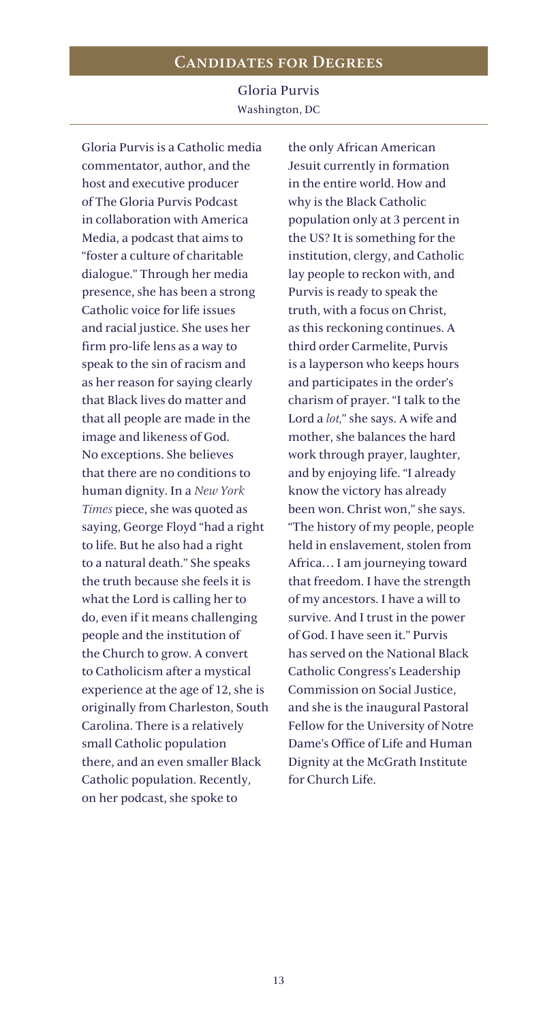Gloria Purvis Washington, DC

Gloria Purvis is a Catholic media commentator, author, and the host and executive producer of The Gloria Purvis Podcast in collaboration with America Media, a podcast that aims to "foster a culture of charitable dialogue." Through her media presence, she has been a strong Catholic voice for life issues and racial justice. She uses her firm pro-life lens as a way to speak to the sin of racism and as her reason for saying clearly that Black lives do matter and that all people are made in the image and likeness of God. No exceptions. She believes that there are no conditions to human dignity. In a *New York Times* piece, she was quoted as saying, George Floyd "had a right to life. But he also had a right to a natural death." She speaks the truth because she feels it is what the Lord is calling her to do, even if it means challenging people and the institution of the Church to grow. A convert to Catholicism after a mystical experience at the age of 12, she is originally from Charleston, South Carolina. There is a relatively small Catholic population there, and an even smaller Black Catholic population. Recently, on her podcast, she spoke to

the only African American Jesuit currently in formation in the entire world. How and why is the Black Catholic population only at 3 percent in the US? It is something for the institution, clergy, and Catholic lay people to reckon with, and Purvis is ready to speak the truth, with a focus on Christ, as this reckoning continues. A third order Carmelite, Purvis is a layperson who keeps hours and participates in the order's charism of prayer. "I talk to the Lord a *lot,*" she says. A wife and mother, she balances the hard work through prayer, laughter, and by enjoying life. "I already know the victory has already been won. Christ won," she says. "The history of my people, people held in enslavement, stolen from Africa… I am journeying toward that freedom. I have the strength of my ancestors. I have a will to survive. And I trust in the power of God. I have seen it." Purvis has served on the National Black Catholic Congress's Leadership Commission on Social Justice, and she is the inaugural Pastoral Fellow for the University of Notre Dame's Office of Life and Human Dignity at the McGrath Institute for Church Life.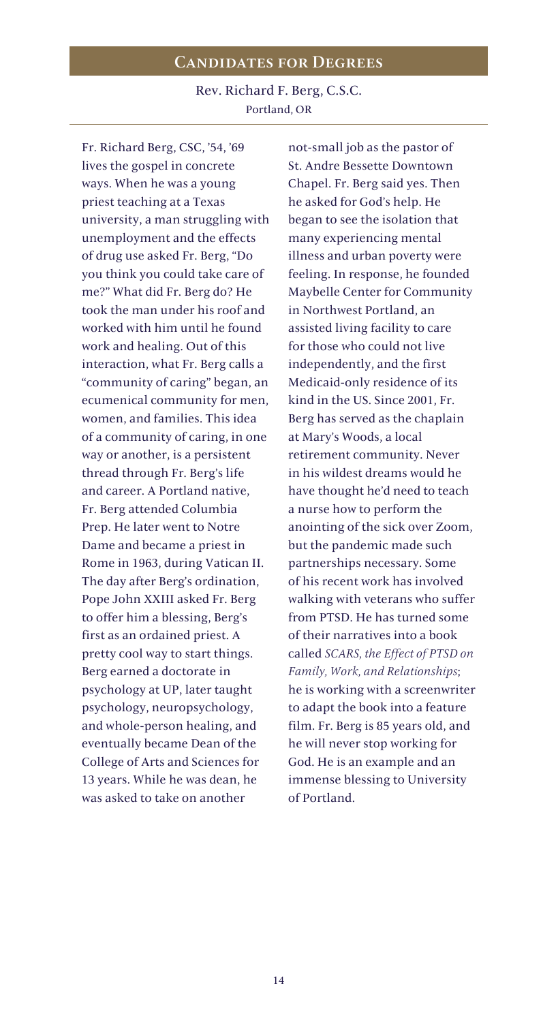Rev. Richard F. Berg, C.S.C. Portland, OR

Fr. Richard Berg, CSC, '54, '69 lives the gospel in concrete ways. When he was a young priest teaching at a Texas university, a man struggling with unemployment and the effects of drug use asked Fr. Berg, "Do you think you could take care of me?" What did Fr. Berg do? He took the man under his roof and worked with him until he found work and healing. Out of this interaction, what Fr. Berg calls a "community of caring" began, an ecumenical community for men, women, and families. This idea of a community of caring, in one way or another, is a persistent thread through Fr. Berg's life and career. A Portland native, Fr. Berg attended Columbia Prep. He later went to Notre Dame and became a priest in Rome in 1963, during Vatican II. The day after Berg's ordination, Pope John XXIII asked Fr. Berg to offer him a blessing, Berg's first as an ordained priest. A pretty cool way to start things. Berg earned a doctorate in psychology at UP, later taught psychology, neuropsychology, and whole-person healing, and eventually became Dean of the College of Arts and Sciences for 13 years. While he was dean, he was asked to take on another

not-small job as the pastor of St. Andre Bessette Downtown Chapel. Fr. Berg said yes. Then he asked for God's help. He began to see the isolation that many experiencing mental illness and urban poverty were feeling. In response, he founded Maybelle Center for Community in Northwest Portland, an assisted living facility to care for those who could not live independently, and the first Medicaid-only residence of its kind in the US. Since 2001, Fr. Berg has served as the chaplain at Mary's Woods, a local retirement community. Never in his wildest dreams would he have thought he'd need to teach a nurse how to perform the anointing of the sick over Zoom, but the pandemic made such partnerships necessary. Some of his recent work has involved walking with veterans who suffer from PTSD. He has turned some of their narratives into a book called *SCARS, the Effect of PTSD on Family, Work, and Relationships*; he is working with a screenwriter to adapt the book into a feature film. Fr. Berg is 85 years old, and he will never stop working for God. He is an example and an immense blessing to University of Portland.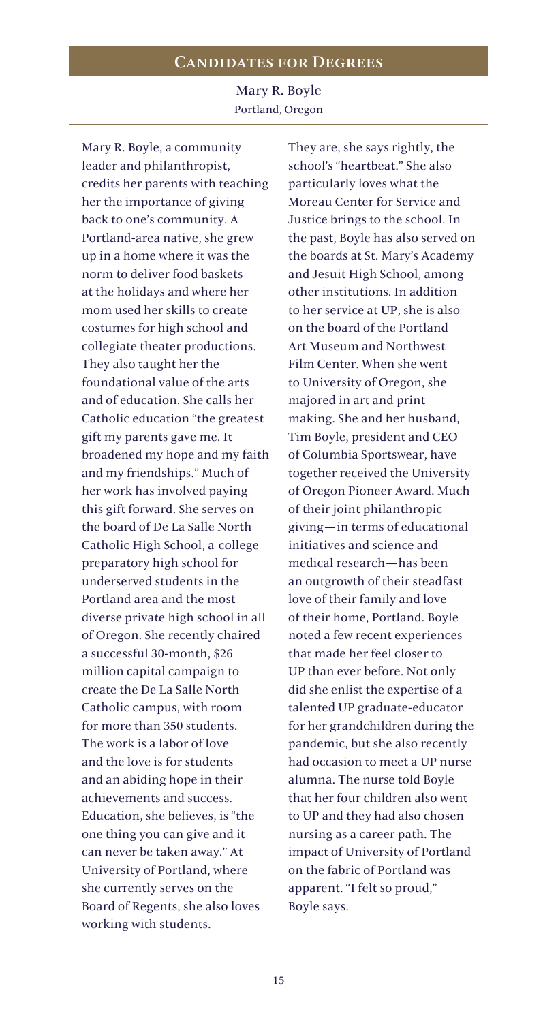Mary R. Boyle Portland, Oregon

Mary R. Boyle, a community leader and philanthropist, credits her parents with teaching her the importance of giving back to one's community. A Portland-area native, she grew up in a home where it was the norm to deliver food baskets at the holidays and where her mom used her skills to create costumes for high school and collegiate theater productions. They also taught her the foundational value of the arts and of education. She calls her Catholic education "the greatest gift my parents gave me. It broadened my hope and my faith and my friendships." Much of her work has involved paying this gift forward. She serves on the board of De La Salle North Catholic High School, a college preparatory high school for underserved students in the Portland area and the most diverse private high school in all of Oregon. She recently chaired a successful 30-month, \$26 million capital campaign to create the De La Salle North Catholic campus, with room for more than 350 students. The work is a labor of love and the love is for students and an abiding hope in their achievements and success. Education, she believes, is "the one thing you can give and it can never be taken away." At University of Portland, where she currently serves on the Board of Regents, she also loves working with students.

They are, she says rightly, the school's "heartbeat." She also particularly loves what the Moreau Center for Service and Justice brings to the school. In the past, Boyle has also served on the boards at St. Mary's Academy and Jesuit High School, among other institutions. In addition to her service at UP, she is also on the board of the Portland Art Museum and Northwest Film Center. When she went to University of Oregon, she majored in art and print making. She and her husband, Tim Boyle, president and CEO of Columbia Sportswear, have together received the University of Oregon Pioneer Award. Much of their joint philanthropic giving—in terms of educational initiatives and science and medical research—has been an outgrowth of their steadfast love of their family and love of their home, Portland. Boyle noted a few recent experiences that made her feel closer to UP than ever before. Not only did she enlist the expertise of a talented UP graduate-educator for her grandchildren during the pandemic, but she also recently had occasion to meet a UP nurse alumna. The nurse told Boyle that her four children also went to UP and they had also chosen nursing as a career path. The impact of University of Portland on the fabric of Portland was apparent. "I felt so proud," Boyle says.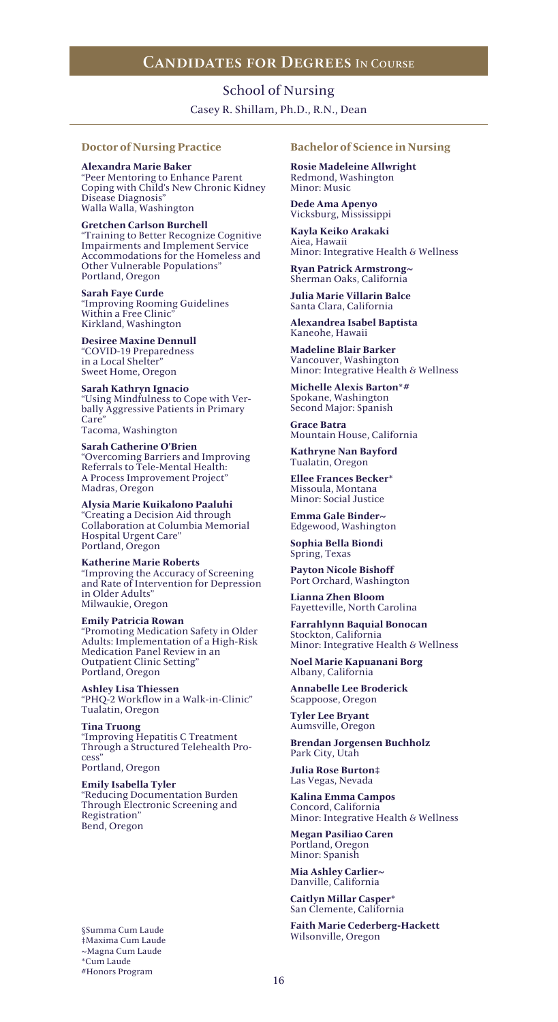### School of Nursing

Casey R. Shillam, Ph.D., R.N., Dean

### **Doctor of Nursing Practice**

**Alexandra Marie Baker** "Peer Mentoring to Enhance Parent Coping with Child's New Chronic Kidney Disease Diagnosis" Walla Walla, Washington

**Gretchen Carlson Burchell** "Training to Better Recognize Cognitive Impairments and Implement Service Accommodations for the Homeless and Other Vulnerable Populations" Portland, Oregon

**Sarah Faye Curde** "Improving Rooming Guidelines Within a Free Clinic" Kirkland, Washington

**Desiree Maxine Dennull** "COVID-19 Preparedness in a Local Shelter" Sweet Home, Oregon

**Sarah Kathryn Ignacio** "Using Mindfulness to Cope with Verbally Aggressive Patients in Primary Care" Tacoma, Washington

**Sarah Catherine O'Brien** "Overcoming Barriers and Improving Referrals to Tele-Mental Health: A Process Improvement Project" Madras, Oregon

**Alysia Marie Kuikalono Paaluhi** "Creating a Decision Aid through Collaboration at Columbia Memorial Hospital Urgent Care" Portland, Oregon

**Katherine Marie Roberts** "Improving the Accuracy of Screening and Rate of Intervention for Depression in Older Adults" Milwaukie, Oregon

**Emily Patricia Rowan** "Promoting Medication Safety in Older Adults: Implementation of a High-Risk Medication Panel Review in an Outpatient Clinic Setting" Portland, Oregon

**Ashley Lisa Thiessen** "PHQ-2 Workflow in a Walk-in-Clinic" Tualatin, Oregon

**Tina Truong** "Improving Hepatitis C Treatment Through a Structured Telehealth Process" Portland, Oregon

**Emily Isabella Tyler** "Reducing Documentation Burden Through Electronic Screening and Registration" Bend, Oregon

§Summa Cum Laude ‡Maxima Cum Laude ~Magna Cum Laude \*Cum Laude #Honors Program

### **Bachelor of Science in Nursing**

**Rosie Madeleine Allwright** Redmond, Washington Minor: Music

**Dede Ama Apenyo** Vicksburg, Mississippi

**Kayla Keiko Arakaki** Aiea, Hawaii Minor: Integrative Health & Wellness

**Ryan Patrick Armstrong~** Sherman Oaks, California

**Julia Marie Villarin Balce** Santa Clara, California

**Alexandrea Isabel Baptista** Kaneohe, Hawaii

**Madeline Blair Barker** Vancouver, Washington Minor: Integrative Health & Wellness

**Michelle Alexis Barton\*#** Spokane, Washington Second Major: Spanish

**Grace Batra** Mountain House, California

**Kathryne Nan Bayford** Tualatin, Oregon

**Ellee Frances Becker\*** Missoula, Montana Minor: Social Justice

**Emma Gale Binder~** Edgewood, Washington

**Sophia Bella Biondi** Spring, Texas

**Payton Nicole Bishoff** Port Orchard, Washington

**Lianna Zhen Bloom** Fayetteville, North Carolina

**Farrahlynn Baquial Bonocan** Stockton, California Minor: Integrative Health & Wellness

**Noel Marie Kapuanani Borg** Albany, California

**Annabelle Lee Broderick** Scappoose, Oregon

**Tyler Lee Bryant** Aumsville, Oregon

**Brendan Jorgensen Buchholz** Park City, Utah

**Julia Rose Burton‡** Las Vegas, Nevada

**Kalina Emma Campos** Concord, California Minor: Integrative Health & Wellness

**Megan Pasiliao Caren** Portland, Oregon Minor: Spanish

**Mia Ashley Carlier~** Danville, California

**Caitlyn Millar Casper\*** San Clemente, California

**Faith Marie Cederberg-Hackett** Wilsonville, Oregon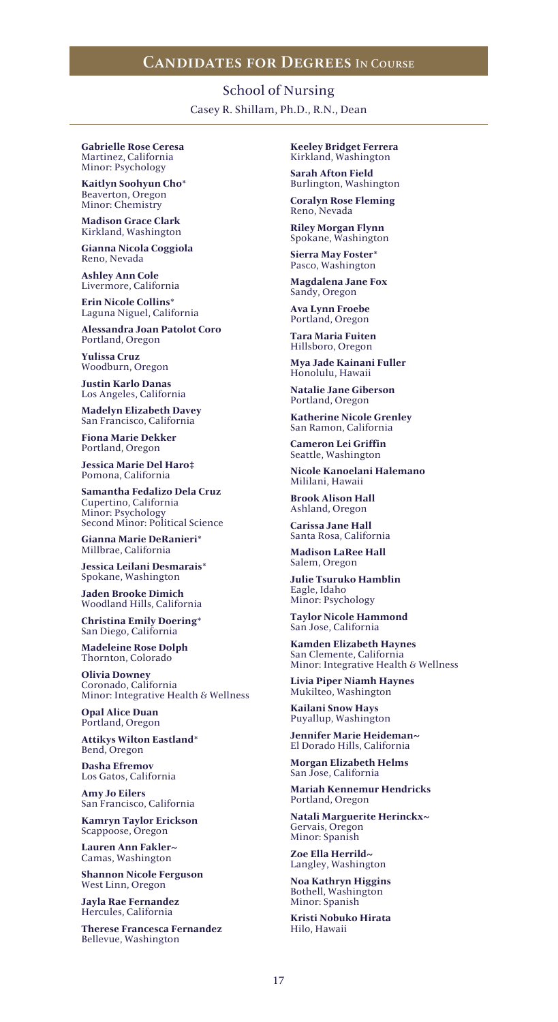Casey R. Shillam, Ph.D., R.N., Dean School of Nursing

**Gabrielle Rose Ceresa** Martinez, California Minor: Psychology

**Kaitlyn Soohyun Cho\*** Beaverton, Oregon Minor: Chemistry

**Madison Grace Clark** Kirkland, Washington

**Gianna Nicola Coggiola** Reno, Nevada

**Ashley Ann Cole** Livermore, California

**Erin Nicole Collins\*** Laguna Niguel, California

**Alessandra Joan Patolot Coro** Portland, Oregon

**Yulissa Cruz** Woodburn, Oregon

**Justin Karlo Danas** Los Angeles, California

**Madelyn Elizabeth Davey** San Francisco, California

**Fiona Marie Dekker** Portland, Oregon

**Jessica Marie Del Haro‡** Pomona, California

**Samantha Fedalizo Dela Cruz** Cupertino, California Minor: Psychology Second Minor: Political Science

**Gianna Marie DeRanieri\*** Millbrae, California

**Jessica Leilani Desmarais\*** Spokane, Washington

**Jaden Brooke Dimich** Woodland Hills, California

**Christina Emily Doering\*** San Diego, California

**Madeleine Rose Dolph** Thornton, Colorado

**Olivia Downey** Coronado, California Minor: Integrative Health & Wellness

**Opal Alice Duan** Portland, Oregon

**Attikys Wilton Eastland\*** Bend, Oregon

**Dasha Efremov** Los Gatos, California

**Amy Jo Eilers** San Francisco, California

**Kamryn Taylor Erickson** Scappoose, Oregon

**Lauren Ann Fakler~** Camas, Washington

**Shannon Nicole Ferguson** West Linn, Oregon

**Jayla Rae Fernandez** Hercules, California

**Therese Francesca Fernandez** Bellevue, Washington

**Keeley Bridget Ferrera** Kirkland, Washington

**Sarah Afton Field** Burlington, Washington

**Coralyn Rose Fleming** Reno, Nevada

**Riley Morgan Flynn** Spokane, Washington

**Sierra May Foster\*** Pasco, Washington

**Magdalena Jane Fox** Sandy, Oregon

**Ava Lynn Froebe** Portland, Oregon

**Tara Maria Fuiten** Hillsboro, Oregon

**Mya Jade Kainani Fuller** Honolulu, Hawaii

**Natalie Jane Giberson** Portland, Oregon

**Katherine Nicole Grenley** San Ramon, California

**Cameron Lei Griffin** Seattle, Washington

**Nicole Kanoelani Halemano** Mililani, Hawaii

**Brook Alison Hall** Ashland, Oregon

**Carissa Jane Hall** Santa Rosa, California

**Madison LaRee Hall** Salem, Oregon

**Julie Tsuruko Hamblin** Eagle, Idaho Minor: Psychology

**Taylor Nicole Hammond** San Jose, California

**Kamden Elizabeth Haynes** San Clemente, California Minor: Integrative Health & Wellness

**Livia Piper Niamh Haynes** Mukilteo, Washington

**Kailani Snow Hays** Puyallup, Washington

**Jennifer Marie Heideman~** El Dorado Hills, California

**Morgan Elizabeth Helms** San Jose, California

**Mariah Kennemur Hendricks** Portland, Oregon

**Natali Marguerite Herinckx~** Gervais, Oregon Minor: Spanish

**Zoe Ella Herrild~** Langley, Washington

**Noa Kathryn Higgins** Bothell, Washington Minor: Spanish

**Kristi Nobuko Hirata** Hilo, Hawaii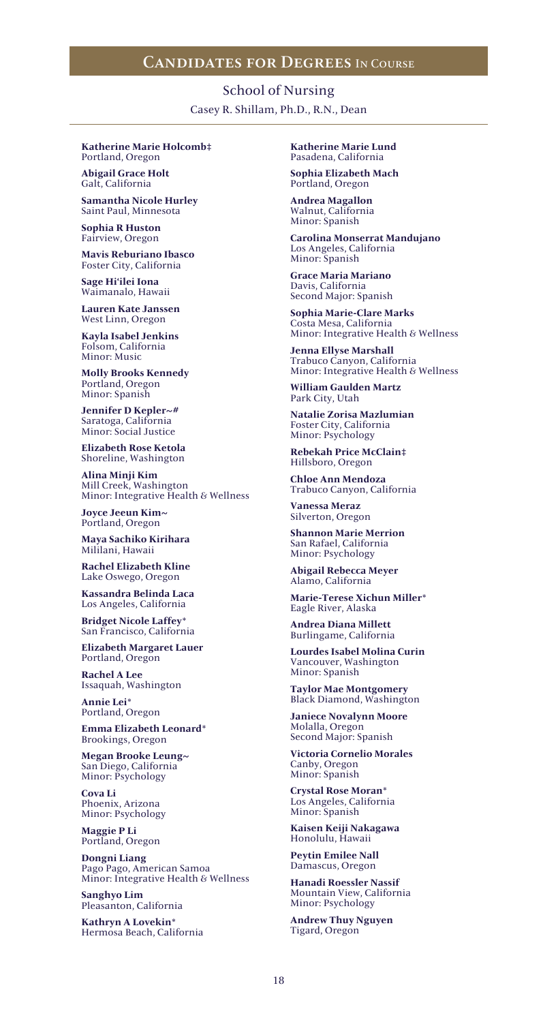Casey R. Shillam, Ph.D., R.N., Dean School of Nursing

#### **Katherine Marie Holcomb‡** Portland, Oregon

**Abigail Grace Holt** Galt, California

**Samantha Nicole Hurley** Saint Paul, Minnesota

**Sophia R Huston** Fairview, Oregon

**Mavis Reburiano Ibasco** Foster City, California

**Sage Hi'ilei Iona** Waimanalo, Hawaii

**Lauren Kate Janssen** West Linn, Oregon

**Kayla Isabel Jenkins** Folsom, California Minor: Music

**Molly Brooks Kennedy** Portland, Oregon Minor: Spanish

**Jennifer D Kepler~#** Saratoga, California Minor: Social Justice

**Elizabeth Rose Ketola** Shoreline, Washington

**Alina Minji Kim** Mill Creek, Washington Minor: Integrative Health & Wellness

**Joyce Jeeun Kim~** Portland, Oregon

**Maya Sachiko Kirihara** Mililani, Hawaii

**Rachel Elizabeth Kline** Lake Oswego, Oregon

**Kassandra Belinda Laca** Los Angeles, California

**Bridget Nicole Laffey\*** San Francisco, California

**Elizabeth Margaret Lauer** Portland, Oregon

**Rachel A Lee** Issaquah, Washington

**Annie Lei\*** Portland, Oregon

**Emma Elizabeth Leonard\*** Brookings, Oregon

**Megan Brooke Leung~** San Diego, California Minor: Psychology

**Cova Li** Phoenix, Arizona Minor: Psychology

**Maggie P Li** Portland, Oregon

**Dongni Liang** Pago Pago, American Samoa Minor: Integrative Health & Wellness

**Sanghyo Lim** Pleasanton, California

**Kathryn A Lovekin\*** Hermosa Beach, California **Katherine Marie Lund** Pasadena, California

**Sophia Elizabeth Mach** Portland, Oregon

**Andrea Magallon** Walnut, California Minor: Spanish

**Carolina Monserrat Mandujano** Los Angeles, California Minor: Spanish

**Grace Maria Mariano** Davis, California Second Major: Spanish

**Sophia Marie-Clare Marks** Costa Mesa, California Minor: Integrative Health & Wellness

**Jenna Ellyse Marshall** Trabuco Canyon, California Minor: Integrative Health & Wellness

**William Gaulden Martz** Park City, Utah

**Natalie Zorisa Mazlumian** Foster City, California Minor: Psychology

**Rebekah Price McClain‡** Hillsboro, Oregon

**Chloe Ann Mendoza** Trabuco Canyon, California

**Vanessa Meraz** Silverton, Oregon

**Shannon Marie Merrion** San Rafael, California Minor: Psychology

**Abigail Rebecca Meyer** Alamo, California

**Marie-Terese Xichun Miller\*** Eagle River, Alaska

**Andrea Diana Millett** Burlingame, California

**Lourdes Isabel Molina Curin** Vancouver, Washington Minor: Spanish

**Taylor Mae Montgomery** Black Diamond, Washington

**Janiece Novalynn Moore** Molalla, Oregon Second Major: Spanish

**Victoria Cornelio Morales** Canby, Oregon Minor: Spanish

**Crystal Rose Moran\*** Los Angeles, California Minor: Spanish

**Kaisen Keiji Nakagawa** Honolulu, Hawaii

**Peytin Emilee Nall** Damascus, Oregon

**Hanadi Roessler Nassif** Mountain View, California Minor: Psychology

**Andrew Thuy Nguyen** Tigard, Oregon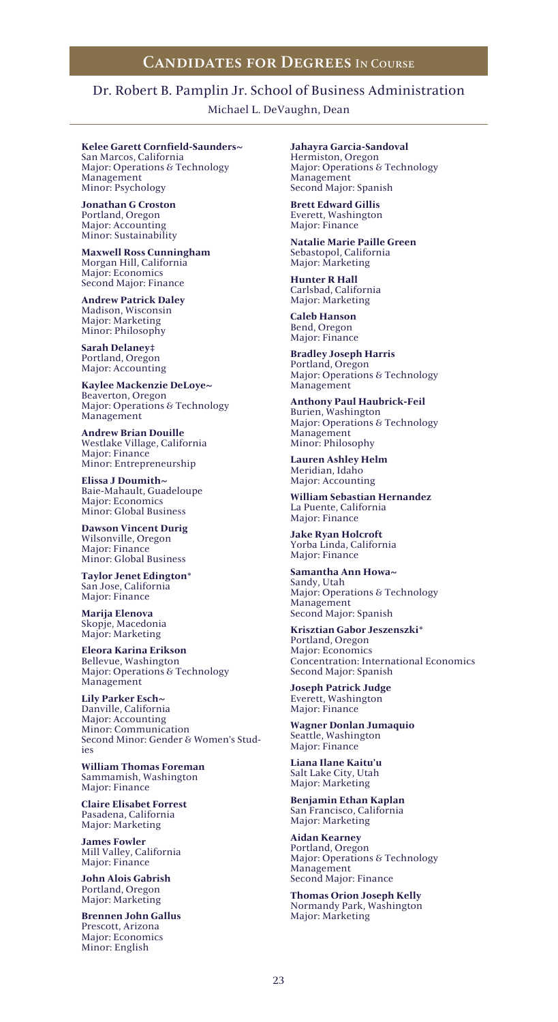### Dr. Robert B. Pamplin Jr. School of Business Administration

Michael L. DeVaughn, Dean

### **Kelee Garett Cornfield-Saunders~**

San Marcos, California Major: Operations & Technology Management Minor: Psychology

**Jonathan G Croston** Portland, Oregon Major: Accounting Minor: Sustainability

**Maxwell Ross Cunningham** Morgan Hill, California Major: Economics Second Major: Finance

**Andrew Patrick Daley** Madison, Wisconsin Major: Marketing Minor: Philosophy

**Sarah Delaney‡** Portland, Oregon Major: Accounting

**Kaylee Mackenzie DeLoye~** Beaverton, Oregon Major: Operations & Technology Management

**Andrew Brian Douille** Westlake Village, California Major: Finance Minor: Entrepreneurship

**Elissa J Doumith~** Baie-Mahault, Guadeloupe Major: Economics Minor: Global Business

**Dawson Vincent Durig** Wilsonville, Oregon Major: Finance Minor: Global Business

**Taylor Jenet Edington\*** San Jose, California Major: Finance

**Marija Elenova** Skopje, Macedonia Major: Marketing

**Eleora Karina Erikson** Bellevue, Washington Major: Operations & Technology Management

**Lily Parker Esch~** Danville, California Major: Accounting Minor: Communication Second Minor: Gender & Women's Studies

**William Thomas Foreman** Sammamish, Washington Major: Finance

**Claire Elisabet Forrest** Pasadena, California Major: Marketing

**James Fowler** Mill Valley, California Major: Finance

**John Alois Gabrish** Portland, Oregon Major: Marketing

**Brennen John Gallus** Prescott, Arizona Major: Economics Minor: English

**Jahayra Garcia-Sandoval** Hermiston, Oregon Major: Operations & Technology Management Second Major: Spanish

**Brett Edward Gillis** Everett, Washington Major: Finance

**Natalie Marie Paille Green** Sebastopol, California Major: Marketing

**Hunter R Hall** Carlsbad, California Major: Marketing

**Caleb Hanson** Bend, Oregon Major: Finance

**Bradley Joseph Harris** Portland, Oregon Major: Operations & Technology Management

**Anthony Paul Haubrick-Feil** Burien, Washington Major: Operations & Technology Management Minor: Philosophy

**Lauren Ashley Helm** Meridian, Idaho Major: Accounting

**William Sebastian Hernandez** La Puente, California Major: Finance

**Jake Ryan Holcroft** Yorba Linda, California Major: Finance

**Samantha Ann Howa~** Sandy, Utah Major: Operations & Technology Management Second Major: Spanish

**Krisztian Gabor Jeszenszki\*** Portland, Oregon Major: Economics Concentration: International Economics Second Major: Spanish

**Joseph Patrick Judge** Everett, Washington Major: Finance

**Wagner Donlan Jumaquio** Seattle, Washington Major: Finance

**Liana Ilane Kaitu'u** Salt Lake City, Utah Major: Marketing

**Benjamin Ethan Kaplan** San Francisco, California Major: Marketing

**Aidan Kearney** Portland, Oregon Major: Operations & Technology Management Second Major: Finance

**Thomas Orion Joseph Kelly** Normandy Park, Washington Major: Marketing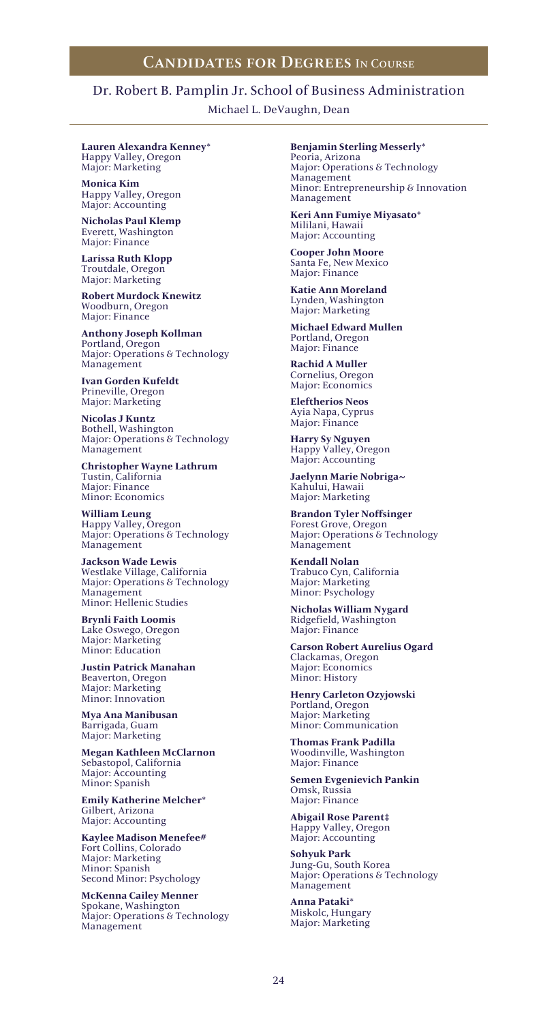### Dr. Robert B. Pamplin Jr. School of Business Administration

Michael L. DeVaughn, Dean

**Lauren Alexandra Kenney\*** Happy Valley, Oregon Major: Marketing

**Monica Kim** Happy Valley, Oregon Major: Accounting

**Nicholas Paul Klemp** Everett, Washington Major: Finance

**Larissa Ruth Klopp** Troutdale, Oregon Major: Marketing

**Robert Murdock Knewitz** Woodburn, Oregon Major: Finance

**Anthony Joseph Kollman** Portland, Oregon Major: Operations & Technology Management

**Ivan Gorden Kufeldt** Prineville, Oregon Major: Marketing

**Nicolas J Kuntz** Bothell, Washington Major: Operations & Technology Management

**Christopher Wayne Lathrum** Tustin, California Major: Finance Minor: Economics

**William Leung** Happy Valley, Oregon Major: Operations & Technology Management

**Jackson Wade Lewis** Westlake Village, California Major: Operations & Technology Management Minor: Hellenic Studies

**Brynli Faith Loomis** Lake Oswego, Oregon Major: Marketing Minor: Education

**Justin Patrick Manahan** Beaverton, Oregon Major: Marketing Minor: Innovation

**Mya Ana Manibusan** Barrigada, Guam Major: Marketing

**Megan Kathleen McClarnon** Sebastopol, California Major: Accounting Minor: Spanish

**Emily Katherine Melcher\*** Gilbert, Arizona Major: Accounting

**Kaylee Madison Menefee#** Fort Collins, Colorado Major: Marketing Minor: Spanish Second Minor: Psychology

**McKenna Cailey Menner** Spokane, Washington Major: Operations & Technology Management

**Benjamin Sterling Messerly\***

Peoria, Arizona Major: Operations & Technology Management Minor: Entrepreneurship & Innovation Management

**Keri Ann Fumiye Miyasato\*** Mililani, Hawaii Major: Accounting

**Cooper John Moore** Santa Fe, New Mexico Major: Finance

**Katie Ann Moreland** Lynden, Washington Major: Marketing

**Michael Edward Mullen** Portland, Oregon Major: Finance

**Rachid A Muller** Cornelius, Oregon Major: Economics

**Eleftherios Neos** Ayia Napa, Cyprus Major: Finance

**Harry Sy Nguyen** Happy Valley, Oregon Major: Accounting

**Jaelynn Marie Nobriga~** Kahului, Hawaii Major: Marketing

**Brandon Tyler Noffsinger** Forest Grove, Oregon Major: Operations & Technology Management

**Kendall Nolan** Trabuco Cyn, California Major: Marketing Minor: Psychology

**Nicholas William Nygard** Ridgefield, Washington Major: Finance

**Carson Robert Aurelius Ogard** Clackamas, Oregon Major: Economics Minor: History

**Henry Carleton Ozyjowski** Portland, Oregon Major: Marketing Minor: Communication

**Thomas Frank Padilla** Woodinville, Washington Major: Finance

**Semen Evgenievich Pankin** Omsk, Russia Major: Finance

**Abigail Rose Parent‡** Happy Valley, Oregon Major: Accounting

**Sohyuk Park** Jung-Gu, South Korea Major: Operations & Technology Management

**Anna Pataki\*** Miskolc, Hungary Major: Marketing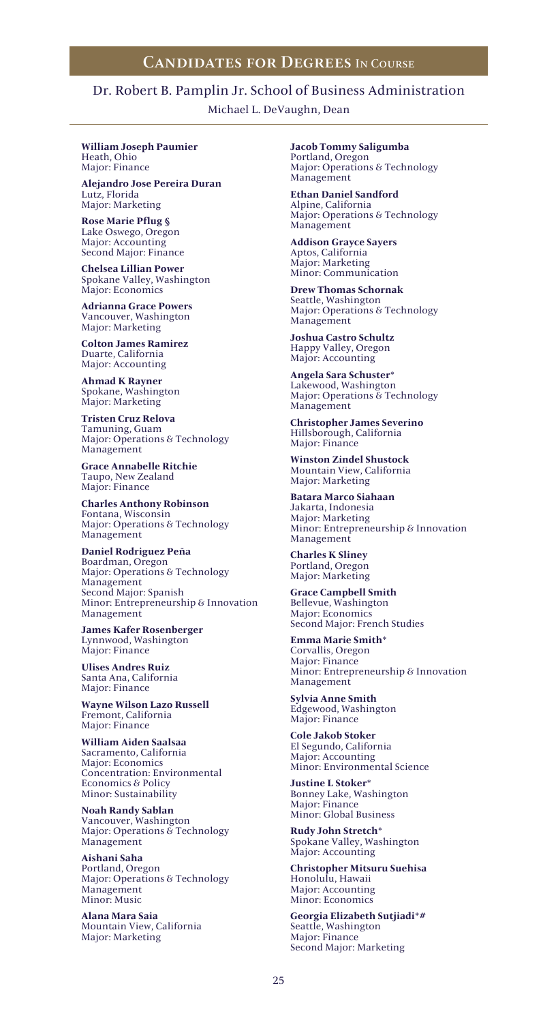# Dr. Robert B. Pamplin Jr. School of Business Administration

Michael L. DeVaughn, Dean

**William Joseph Paumier** Heath, Ohio Major: Finance

**Alejandro Jose Pereira Duran** Lutz, Florida Major: Marketing

**Rose Marie Pflug §** Lake Oswego, Oregon Major: Accounting Second Major: Finance

**Chelsea Lillian Power** Spokane Valley, Washington Major: Economics

**Adrianna Grace Powers** Vancouver, Washington Major: Marketing

**Colton James Ramirez** Duarte, California Major: Accounting

**Ahmad K Rayner** Spokane, Washington Major: Marketing

**Tristen Cruz Relova** Tamuning, Guam Major: Operations & Technology Management

**Grace Annabelle Ritchie** Taupo, New Zealand Major: Finance

**Charles Anthony Robinson** Fontana, Wisconsin Major: Operations & Technology Management

**Daniel Rodriguez Peña** Boardman, Oregon Major: Operations & Technology Management Second Major: Spanish Minor: Entrepreneurship & Innovation Management

**James Kafer Rosenberger** Lynnwood, Washington Major: Finance

**Ulises Andres Ruiz** Santa Ana, California Major: Finance

**Wayne Wilson Lazo Russell** Fremont, California Major: Finance

**William Aiden Saalsaa** Sacramento, California Major: Economics Concentration: Environmental Economics & Policy Minor: Sustainability

**Noah Randy Sablan** Vancouver, Washington Major: Operations & Technology Management

**Aishani Saha** Portland, Oregon Major: Operations & Technology Management Minor: Music

**Alana Mara Saia** Mountain View, California Major: Marketing

**Jacob Tommy Saligumba** Portland, Oregon Major: Operations & Technology Management

**Ethan Daniel Sandford** Alpine, California Major: Operations & Technology Management

**Addison Grayce Sayers** Aptos, California Major: Marketing Minor: Communication

**Drew Thomas Schornak** Seattle, Washington Major: Operations & Technology Management

**Joshua Castro Schultz** Happy Valley, Oregon Major: Accounting

**Angela Sara Schuster\*** Lakewood, Washington Major: Operations & Technology Management

**Christopher James Severino** Hillsborough, California Major: Finance

**Winston Zindel Shustock** Mountain View, California Major: Marketing

**Batara Marco Siahaan** Jakarta, Indonesia Major: Marketing Minor: Entrepreneurship & Innovation Management

**Charles K Sliney** Portland, Oregon Major: Marketing

**Grace Campbell Smith** Bellevue, Washington Major: Economics Second Major: French Studies

**Emma Marie Smith\*** Corvallis, Oregon Major: Finance Minor: Entrepreneurship & Innovation Management

**Sylvia Anne Smith** Edgewood, Washington Major: Finance

**Cole Jakob Stoker** El Segundo, California Major: Accounting Minor: Environmental Science

**Justine L Stoker\*** Bonney Lake, Washington Major: Finance Minor: Global Business

**Rudy John Stretch\*** Spokane Valley, Washington Major: Accounting

**Christopher Mitsuru Suehisa** Honolulu, Hawaii Major: Accounting Minor: Economics

**Georgia Elizabeth Sutjiadi\*#** Seattle, Washington Major: Finance Second Major: Marketing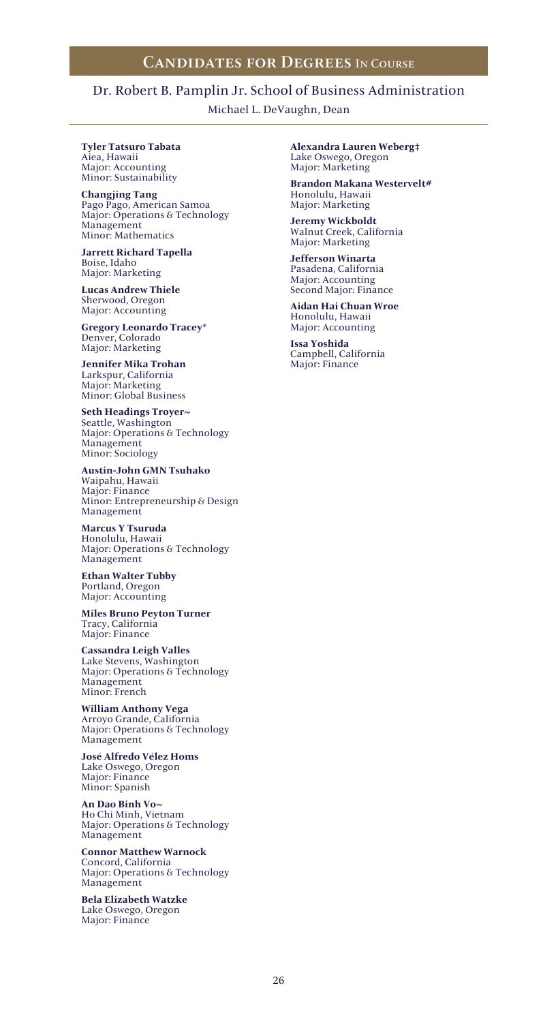# Dr. Robert B. Pamplin Jr. School of Business Administration

Michael L. DeVaughn, Dean

#### **Tyler Tatsuro Tabata** Aiea, Hawaii Major: Accounting Minor: Sustainability

**Changjing Tang** Pago Pago, American Samoa Major: Operations & Technology Management Minor: Mathematics

**Jarrett Richard Tapella** Boise, Idaho Major: Marketing

**Lucas Andrew Thiele** Sherwood, Oregon Major: Accounting

**Gregory Leonardo Tracey\*** Denver, Colorado Major: Marketing

**Jennifer Mika Trohan** Larkspur, California Major: Marketing Minor: Global Business

**Seth Headings Troyer~** Seattle, Washington Major: Operations & Technology Management Minor: Sociology

**Austin-John GMN Tsuhako** Waipahu, Hawaii Major: Finance Minor: Entrepreneurship & Design Management

**Marcus Y Tsuruda** Honolulu, Hawaii Major: Operations & Technology Management

**Ethan Walter Tubby** Portland, Oregon Major: Accounting

**Miles Bruno Peyton Turner** Tracy, California Major: Finance

**Cassandra Leigh Valles** Lake Stevens, Washington Major: Operations & Technology Management Minor: French

**William Anthony Vega** Arroyo Grande, California Major: Operations & Technology Management

**José Alfredo Vélez Homs** Lake Oswego, Oregon Major: Finance Minor: Spanish

**An Dao Binh Vo~** Ho Chi Minh, Vietnam Major: Operations & Technology Management

**Connor Matthew Warnock** Concord, California Major: Operations & Technology Management

**Bela Elizabeth Watzke** Lake Oswego, Oregon Major: Finance

**Alexandra Lauren Weberg‡** Lake Oswego, Oregon Major: Marketing

**Brandon Makana Westervelt#** Honolulu, Hawaii Major: Marketing

**Jeremy Wickboldt** Walnut Creek, California Major: Marketing

**Jefferson Winarta** Pasadena, California Major: Accounting Second Major: Finance

**Aidan Hai Chuan Wroe** Honolulu, Hawaii Major: Accounting

**Issa Yoshida** Campbell, California Major: Finance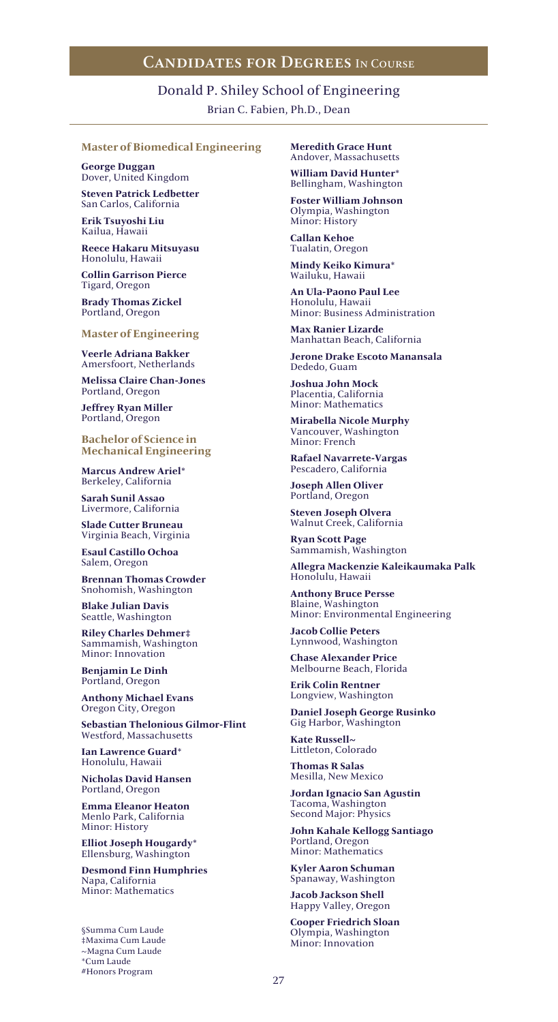## Donald P. Shiley School of Engineering Brian C. Fabien, Ph.D., Dean

### **Master of Biomedical Engineering**

**George Duggan** Dover, United Kingdom

**Steven Patrick Ledbetter** San Carlos, California

**Erik Tsuyoshi Liu** Kailua, Hawaii

**Reece Hakaru Mitsuyasu** Honolulu, Hawaii

**Collin Garrison Pierce** Tigard, Oregon

**Brady Thomas Zickel** Portland, Oregon

### **Master of Engineering**

**Veerle Adriana Bakker** Amersfoort, Netherlands

**Melissa Claire Chan-Jones** Portland, Oregon

**Jeffrey Ryan Miller** Portland, Oregon

**Bachelor of Science in Mechanical Engineering**

**Marcus Andrew Ariel\*** Berkeley, California

**Sarah Sunil Assao** Livermore, California

**Slade Cutter Bruneau** Virginia Beach, Virginia

**Esaul Castillo Ochoa** Salem, Oregon

**Brennan Thomas Crowder** Snohomish, Washington

**Blake Julian Davis** Seattle, Washington

**Riley Charles Dehmer‡** Sammamish, Washington Minor: Innovation

**Benjamin Le Dinh** Portland, Oregon

**Anthony Michael Evans** Oregon City, Oregon

**Sebastian Thelonious Gilmor-Flint** Westford, Massachusetts

**Ian Lawrence Guard\*** Honolulu, Hawaii

**Nicholas David Hansen** Portland, Oregon

**Emma Eleanor Heaton** Menlo Park, California Minor: History

**Elliot Joseph Hougardy\*** Ellensburg, Washington

**Desmond Finn Humphries** Napa, California Minor: Mathematics

§Summa Cum Laude ‡Maxima Cum Laude ~Magna Cum Laude \*Cum Laude #Honors Program

**Meredith Grace Hunt** Andover, Massachusetts

**William David Hunter\*** Bellingham, Washington

**Foster William Johnson** Olympia, Washington Minor: History

**Callan Kehoe** Tualatin, Oregon

**Mindy Keiko Kimura\*** Wailuku, Hawaii

**An Ula-Paono Paul Lee** Honolulu, Hawaii Minor: Business Administration

**Max Ranier Lizarde** Manhattan Beach, California

**Jerone Drake Escoto Manansala** Dededo, Guam

**Joshua John Mock** Placentia, California Minor: Mathematics

**Mirabella Nicole Murphy** Vancouver, Washington Minor: French

**Rafael Navarrete-Vargas** Pescadero, California

**Joseph Allen Oliver** Portland, Oregon

**Steven Joseph Olvera** Walnut Creek, California

**Ryan Scott Page** Sammamish, Washington

**Allegra Mackenzie Kaleikaumaka Palk** Honolulu, Hawaii

**Anthony Bruce Persse** Blaine, Washington Minor: Environmental Engineering

**Jacob Collie Peters** Lynnwood, Washington

**Chase Alexander Price** Melbourne Beach, Florida

**Erik Colin Rentner** Longview, Washington

**Daniel Joseph George Rusinko** Gig Harbor, Washington

**Kate Russell~** Littleton, Colorado

**Thomas R Salas** Mesilla, New Mexico

**Jordan Ignacio San Agustin** Tacoma, Washington Second Major: Physics

**John Kahale Kellogg Santiago** Portland, Oregon Minor: Mathematics

**Kyler Aaron Schuman** Spanaway, Washington

**Jacob Jackson Shell** Happy Valley, Oregon

**Cooper Friedrich Sloan** Olympia, Washington Minor: Innovation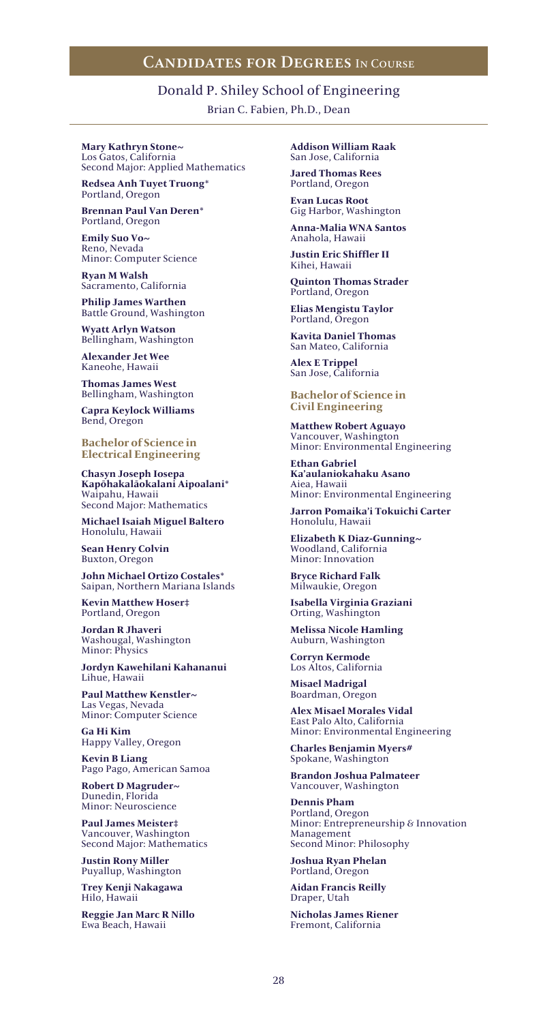## Donald P. Shiley School of Engineering

Brian C. Fabien, Ph.D., Dean

#### **Mary Kathryn Stone~** Los Gatos, California Second Major: Applied Mathematics

**Redsea Anh Tuyet Truong\*** Portland, Oregon

**Brennan Paul Van Deren\*** Portland, Oregon

**Emily Suo Vo~** Reno, Nevada Minor: Computer Science

**Ryan M Walsh** Sacramento, California

**Philip James Warthen** Battle Ground, Washington

**Wyatt Arlyn Watson** Bellingham, Washington

**Alexander Jet Wee** Kaneohe, Hawaii

**Thomas James West** Bellingham, Washington

**Capra Keylock Williams** Bend, Oregon

**Bachelor of Science in Electrical Engineering**

**Chasyn Joseph Iosepa Kapōhakalāokalani Aipoalani\*** Waipahu, Hawaii Second Major: Mathematics

**Michael Isaiah Miguel Baltero** Honolulu, Hawaii

**Sean Henry Colvin** Buxton, Oregon

**John Michael Ortizo Costales\*** Saipan, Northern Mariana Islands

**Kevin Matthew Hoser‡** Portland, Oregon

**Jordan R Jhaveri** Washougal, Washington Minor: Physics

**Jordyn Kawehilani Kahananui** Lihue, Hawaii

**Paul Matthew Kenstler~** Las Vegas, Nevada Minor: Computer Science

**Ga Hi Kim** Happy Valley, Oregon

**Kevin B Liang** Pago Pago, American Samoa

**Robert D Magruder~** Dunedin, Florida Minor: Neuroscience

**Paul James Meister‡** Vancouver, Washington Second Major: Mathematics

**Justin Rony Miller** Puyallup, Washington

**Trey Kenji Nakagawa** Hilo, Hawaii

**Reggie Jan Marc R Nillo** Ewa Beach, Hawaii

**Addison William Raak** San Jose, California

**Jared Thomas Rees** Portland, Oregon

**Evan Lucas Root** Gig Harbor, Washington

**Anna-Malia WNA Santos** Anahola, Hawaii

**Justin Eric Shiffler II** Kihei, Hawaii

**Quinton Thomas Strader** Portland, Oregon

**Elias Mengistu Taylor** Portland, Oregon

**Kavita Daniel Thomas** San Mateo, California

**Alex E Trippel** San Jose, California

**Bachelor of Science in Civil Engineering**

**Matthew Robert Aguayo** Vancouver, Washington Minor: Environmental Engineering

**Ethan Gabriel Ka'aulaniokahaku Asano** Aiea, Hawaii Minor: Environmental Engineering

**Jarron Pomaika'i Tokuichi Carter** Honolulu, Hawaii

**Elizabeth K Diaz-Gunning~** Woodland, California Minor: Innovation

**Bryce Richard Falk** Milwaukie, Oregon

**Isabella Virginia Graziani** Orting, Washington

**Melissa Nicole Hamling** Auburn, Washington

**Corryn Kermode** Los Altos, California

**Misael Madrigal** Boardman, Oregon

**Alex Misael Morales Vidal** East Palo Alto, California Minor: Environmental Engineering

**Charles Benjamin Myers#** Spokane, Washington

**Brandon Joshua Palmateer** Vancouver, Washington

**Dennis Pham** Portland, Oregon Minor: Entrepreneurship & Innovation Management Second Minor: Philosophy

**Joshua Ryan Phelan** Portland, Oregon

**Aidan Francis Reilly** Draper, Utah

**Nicholas James Riener** Fremont, California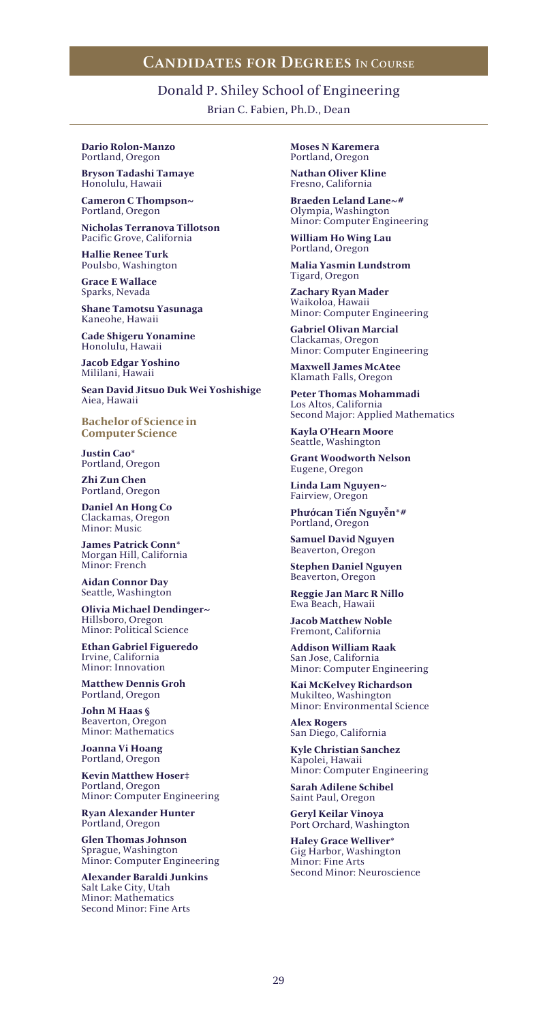## Donald P. Shiley School of Engineering

Brian C. Fabien, Ph.D., Dean

#### **Dario Rolon-Manzo** Portland, Oregon

**Bryson Tadashi Tamaye** Honolulu, Hawaii

**Cameron C Thompson~** Portland, Oregon

**Nicholas Terranova Tillotson** Pacific Grove, California

**Hallie Renee Turk** Poulsbo, Washington

**Grace E Wallace** Sparks, Nevada

**Shane Tamotsu Yasunaga** Kaneohe, Hawaii

**Cade Shigeru Yonamine** Honolulu, Hawaii

**Jacob Edgar Yoshino** Mililani, Hawaii

**Sean David Jitsuo Duk Wei Yoshishige** Aiea, Hawaii

**Bachelor of Science in Computer Science**

**Justin Cao\*** Portland, Oregon

**Zhi Zun Chen** Portland, Oregon

**Daniel An Hong Co** Clackamas, Oregon Minor: Music

**James Patrick Conn\*** Morgan Hill, California Minor: French

**Aidan Connor Day** Seattle, Washington

**Olivia Michael Dendinger~** Hillsboro, Oregon Minor: Political Science

**Ethan Gabriel Figueredo** Irvine, California Minor: Innovation

**Matthew Dennis Groh** Portland, Oregon

**John M Haas §** Beaverton, Oregon Minor: Mathematics

**Joanna Vi Hoang** Portland, Oregon

**Kevin Matthew Hoser‡** Portland, Oregon Minor: Computer Engineering

**Ryan Alexander Hunter** Portland, Oregon

**Glen Thomas Johnson** Sprague, Washington Minor: Computer Engineering

**Alexander Baraldi Junkins** Salt Lake City, Utah Minor: Mathematics Second Minor: Fine Arts

**Moses N Karemera** Portland, Oregon

**Nathan Oliver Kline** Fresno, California

**Braeden Leland Lane~#** Olympia, Washington Minor: Computer Engineering

**William Ho Wing Lau** Portland, Oregon

**Malia Yasmin Lundstrom** Tigard, Oregon

**Zachary Ryan Mader** Waikoloa, Hawaii Minor: Computer Engineering

**Gabriel Olivan Marcial** Clackamas, Oregon Minor: Computer Engineering

**Maxwell James McAtee** Klamath Falls, Oregon

**Peter Thomas Mohammadi** Los Altos, California Second Major: Applied Mathematics

**Kayla O'Hearn Moore** Seattle, Washington

**Grant Woodworth Nelson** Eugene, Oregon

**Linda Lam Nguyen~** Fairview, Oregon

**Phướcan Tiến Nguyễn\*#** Portland, Oregon

**Samuel David Nguyen** Beaverton, Oregon

**Stephen Daniel Nguyen** Beaverton, Oregon

**Reggie Jan Marc R Nillo** Ewa Beach, Hawaii

**Jacob Matthew Noble** Fremont, California

**Addison William Raak** San Jose, California Minor: Computer Engineering

**Kai McKelvey Richardson** Mukilteo, Washington Minor: Environmental Science

**Alex Rogers** San Diego, California

**Kyle Christian Sanchez** Kapolei, Hawaii Minor: Computer Engineering

**Sarah Adilene Schibel** Saint Paul, Oregon

**Geryl Keilar Vinoya** Port Orchard, Washington

**Haley Grace Welliver\*** Gig Harbor, Washington Minor: Fine Arts Second Minor: Neuroscience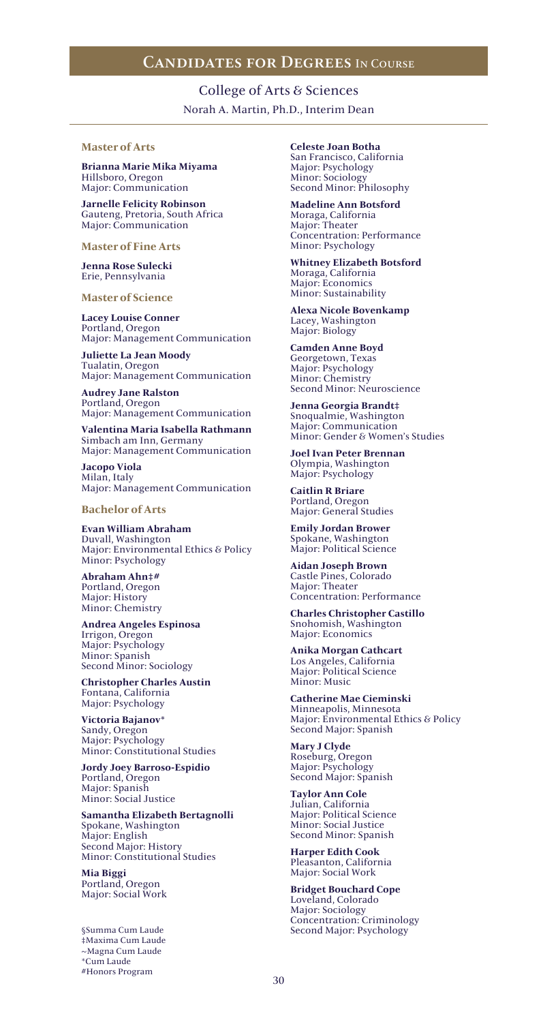College of Arts & Sciences Norah A. Martin, Ph.D., Interim Dean

### **Master of Arts**

**Brianna Marie Mika Miyama** Hillsboro, Oregon Major: Communication

**Jarnelle Felicity Robinson** Gauteng, Pretoria, South Africa Major: Communication

**Master of Fine Arts**

**Jenna Rose Sulecki** Erie, Pennsylvania

**Master of Science**

**Lacey Louise Conner** Portland, Oregon Major: Management Communication

**Juliette La Jean Moody** Tualatin, Oregon Major: Management Communication

**Audrey Jane Ralston** Portland, Oregon Major: Management Communication

**Valentina Maria Isabella Rathmann** Simbach am Inn, Germany Major: Management Communication

**Jacopo Viola** Milan, Italy Major: Management Communication

**Bachelor of Arts**

**Evan William Abraham** Duvall, Washington Major: Environmental Ethics & Policy Minor: Psychology

**Abraham Ahn‡#** Portland, Oregon Major: History Minor: Chemistry

**Andrea Angeles Espinosa** Irrigon, Oregon Major: Psychology Minor: Spanish Second Minor: Sociology

**Christopher Charles Austin** Fontana, California Major: Psychology

**Victoria Bajanov\*** Sandy, Oregon Major: Psychology Minor: Constitutional Studies

**Jordy Joey Barroso-Espidio** Portland, Oregon Major: Spanish Minor: Social Justice

**Samantha Elizabeth Bertagnolli** Spokane, Washington Major: English Second Major: History Minor: Constitutional Studies

**Mia Biggi** Portland, Oregon Major: Social Work

§Summa Cum Laude ‡Maxima Cum Laude ~Magna Cum Laude \*Cum Laude #Honors Program

**Celeste Joan Botha**

San Francisco, California Major: Psychology Minor: Sociology Second Minor: Philosophy

**Madeline Ann Botsford** Moraga, California Major: Theater Concentration: Performance Minor: Psychology

**Whitney Elizabeth Botsford** Moraga, California Major: Economics Minor: Sustainability

**Alexa Nicole Bovenkamp** Lacey, Washington Major: Biology

**Camden Anne Boyd** Georgetown, Texas Major: Psychology Minor: Chemistry Second Minor: Neuroscience

**Jenna Georgia Brandt‡** Snoqualmie, Washington Major: Communication Minor: Gender & Women's Studies

**Joel Ivan Peter Brennan** Olympia, Washington Major: Psychology

**Caitlin R Briare** Portland, Oregon Major: General Studies

**Emily Jordan Brower** Spokane, Washington Major: Political Science

**Aidan Joseph Brown** Castle Pines, Colorado Major: Theater Concentration: Performance

**Charles Christopher Castillo** Snohomish, Washington Major: Economics

**Anika Morgan Cathcart** Los Angeles, California Major: Political Science Minor: Music

**Catherine Mae Cieminski** Minneapolis, Minnesota Major: Environmental Ethics & Policy Second Major: Spanish

**Mary J Clyde** Roseburg, Oregon Major: Psychology Second Major: Spanish

**Taylor Ann Cole** Julian, California Major: Political Science Minor: Social Justice Second Minor: Spanish

**Harper Edith Cook** Pleasanton, California Major: Social Work

**Bridget Bouchard Cope** Loveland, Colorado Major: Sociology Concentration: Criminology Second Major: Psychology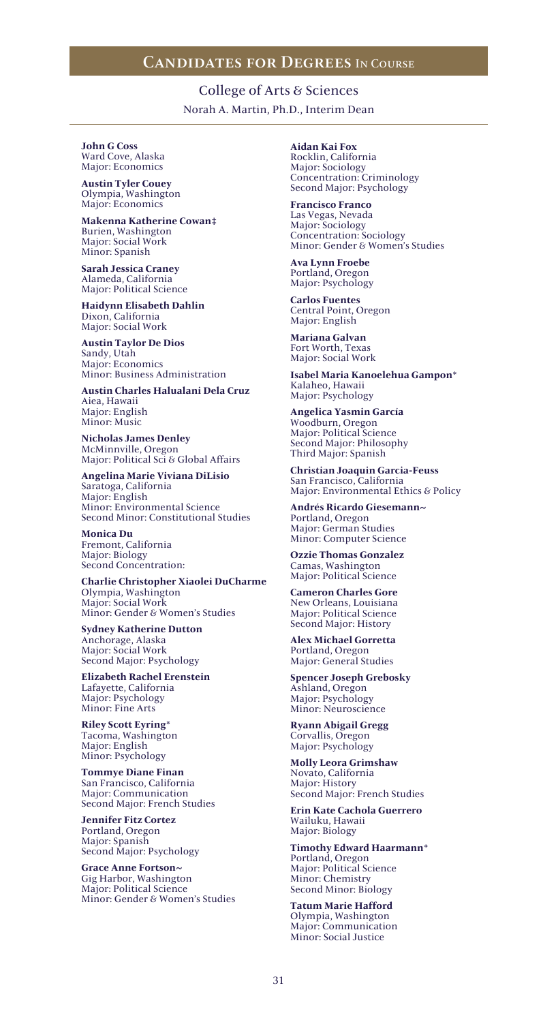College of Arts & Sciences Norah A. Martin, Ph.D., Interim Dean

### **John G Coss**

Ward Cove, Alaska Major: Economics

**Austin Tyler Couey** Olympia, Washington Major: Economics

**Makenna Katherine Cowan‡** Burien, Washington Major: Social Work Minor: Spanish

**Sarah Jessica Craney** Alameda, California Major: Political Science

**Haidynn Elisabeth Dahlin** Dixon, California Major: Social Work

**Austin Taylor De Dios** Sandy, Utah Major: Economics Minor: Business Administration

**Austin Charles Halualani Dela Cruz** Aiea, Hawaii Major: English Minor: Music

**Nicholas James Denley** McMinnville, Oregon Major: Political Sci & Global Affairs

**Angelina Marie Viviana DiLisio** Saratoga, California Major: English Minor: Environmental Science Second Minor: Constitutional Studies

**Monica Du** Fremont, California Major: Biology Second Concentration:

**Charlie Christopher Xiaolei DuCharme** Olympia, Washington Major: Social Work Minor: Gender & Women's Studies

**Sydney Katherine Dutton** Anchorage, Alaska Major: Social Work Second Major: Psychology

**Elizabeth Rachel Erenstein** Lafayette, California Major: Psychology Minor: Fine Arts

**Riley Scott Eyring\*** Tacoma, Washington Major: English Minor: Psychology

**Tommye Diane Finan** San Francisco, California Major: Communication Second Major: French Studies

**Jennifer Fitz Cortez** Portland, Oregon Major: Spanish Second Major: Psychology

**Grace Anne Fortson~** Gig Harbor, Washington Major: Political Science Minor: Gender & Women's Studies

**Aidan Kai Fox** Rocklin, California Major: Sociology Concentration: Criminology Second Major: Psychology

**Francisco Franco** Las Vegas, Nevada Major: Sociology Concentration: Sociology Minor: Gender & Women's Studies

**Ava Lynn Froebe** Portland, Oregon Major: Psychology

**Carlos Fuentes** Central Point, Oregon Major: English

**Mariana Galvan** Fort Worth, Texas Major: Social Work

**Isabel Maria Kanoelehua Gampon\*** Kalaheo, Hawaii Major: Psychology

**Angelica Yasmin García** Woodburn, Oregon Major: Political Science Second Major: Philosophy Third Major: Spanish

**Christian Joaquin Garcia-Feuss** San Francisco, California Major: Environmental Ethics & Policy

**Andrés Ricardo Giesemann~** Portland, Oregon Major: German Studies Minor: Computer Science

**Ozzie Thomas Gonzalez** Camas, Washington Major: Political Science

**Cameron Charles Gore** New Orleans, Louisiana Major: Political Science Second Major: History

**Alex Michael Gorretta** Portland, Oregon Major: General Studies

**Spencer Joseph Grebosky** Ashland, Oregon Major: Psychology Minor: Neuroscience

**Ryann Abigail Gregg** Corvallis, Oregon Major: Psychology

**Molly Leora Grimshaw** Novato, California Major: History Second Major: French Studies

**Erin Kate Cachola Guerrero** Wailuku, Hawaii Major: Biology

**Timothy Edward Haarmann\*** Portland, Oregon Major: Political Science Minor: Chemistry Second Minor: Biology

**Tatum Marie Hafford** Olympia, Washington Major: Communication Minor: Social Justice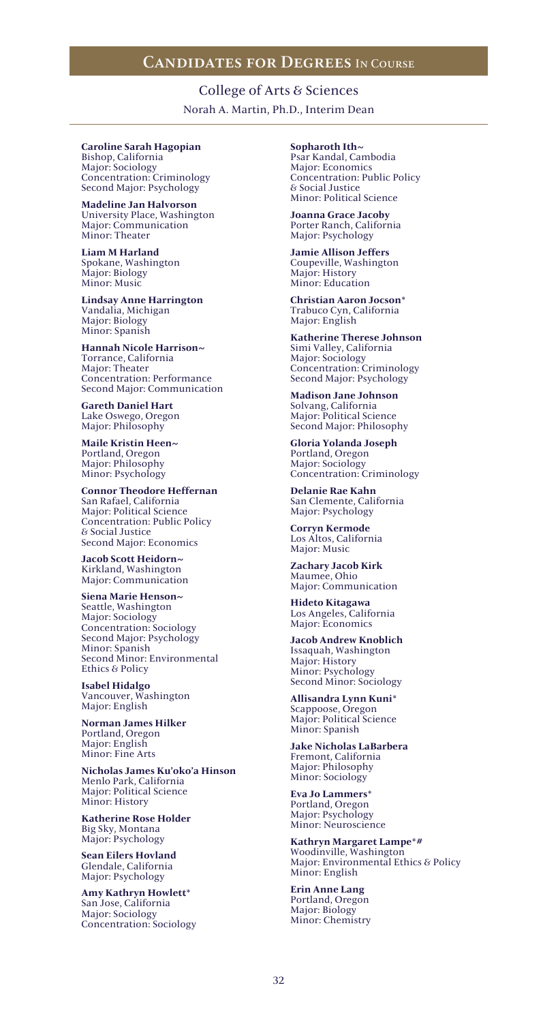College of Arts & Sciences Norah A. Martin, Ph.D., Interim Dean

#### **Caroline Sarah Hagopian** Bishop, California

Major: Sociology Concentration: Criminology Second Major: Psychology

**Madeline Jan Halvorson** University Place, Washington Major: Communication Minor: Theater

**Liam M Harland** Spokane, Washington Major: Biology Minor: Music

**Lindsay Anne Harrington** Vandalia, Michigan Major: Biology Minor: Spanish

**Hannah Nicole Harrison~** Torrance, California Major: Theater Concentration: Performance Second Major: Communication

**Gareth Daniel Hart** Lake Oswego, Oregon Major: Philosophy

**Maile Kristin Heen~** Portland, Oregon Major: Philosophy Minor: Psychology

**Connor Theodore Heffernan** San Rafael, California Major: Political Science Concentration: Public Policy & Social Justice Second Major: Economics

**Jacob Scott Heidorn~** Kirkland, Washington Major: Communication

**Siena Marie Henson~** Seattle, Washington Major: Sociology Concentration: Sociology Second Major: Psychology Minor: Spanish Second Minor: Environmental Ethics & Policy

**Isabel Hidalgo** Vancouver, Washington Major: English

**Norman James Hilker** Portland, Oregon Major: English Minor: Fine Arts

**Nicholas James Ku'oko'a Hinson** Menlo Park, California Major: Political Science Minor: History

**Katherine Rose Holder** Big Sky, Montana Major: Psychology

**Sean Eilers Hovland** Glendale, California Major: Psychology

**Amy Kathryn Howlett\*** San Jose, California Major: Sociology Concentration: Sociology **Sopharoth Ith~** Psar Kandal, Cambodia Major: Economics Concentration: Public Policy & Social Justice Minor: Political Science

**Joanna Grace Jacoby** Porter Ranch, California Major: Psychology

**Jamie Allison Jeffers** Coupeville, Washington Major: History Minor: Education

**Christian Aaron Jocson\*** Trabuco Cyn, California Major: English

**Katherine Therese Johnson** Simi Valley, California Major: Sociology Concentration: Criminology Second Major: Psychology

**Madison Jane Johnson** Solvang, California Major: Political Science Second Major: Philosophy

**Gloria Yolanda Joseph** Portland, Oregon Major: Sociology Concentration: Criminology

**Delanie Rae Kahn** San Clemente, California Major: Psychology

**Corryn Kermode** Los Altos, California Major: Music

**Zachary Jacob Kirk** Maumee, Ohio Major: Communication

**Hideto Kitagawa** Los Angeles, California Major: Economics

**Jacob Andrew Knoblich** Issaquah, Washington Major: History Minor: Psychology Second Minor: Sociology

**Allisandra Lynn Kuni\*** Scappoose, Oregon Major: Political Science Minor: Spanish

**Jake Nicholas LaBarbera** Fremont, California Major: Philosophy Minor: Sociology

**Eva Jo Lammers\*** Portland, Oregon Major: Psychology Minor: Neuroscience

**Kathryn Margaret Lampe\*#** Woodinville, Washington Major: Environmental Ethics & Policy Minor: English

**Erin Anne Lang** Portland, Oregon Major: Biology Minor: Chemistry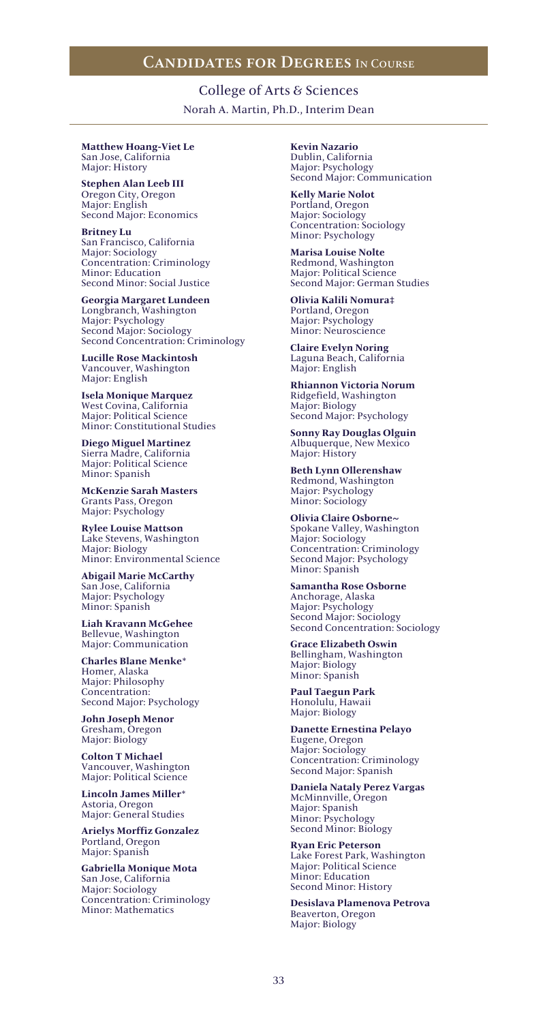College of Arts & Sciences Norah A. Martin, Ph.D., Interim Dean

#### **Matthew Hoang-Viet Le** San Jose, California Major: History

**Stephen Alan Leeb III** Oregon City, Oregon Major: English Second Major: Economics

**Britney Lu** San Francisco, California Major: Sociology Concentration: Criminology Minor: Education Second Minor: Social Justice

**Georgia Margaret Lundeen** Longbranch, Washington Major: Psychology Second Major: Sociology Second Concentration: Criminology

**Lucille Rose Mackintosh** Vancouver, Washington Major: English

**Isela Monique Marquez** West Covina, California Major: Political Science Minor: Constitutional Studies

**Diego Miguel Martinez** Sierra Madre, California Major: Political Science Minor: Spanish

**McKenzie Sarah Masters** Grants Pass, Oregon Major: Psychology

**Rylee Louise Mattson** Lake Stevens, Washington Major: Biology Minor: Environmental Science

**Abigail Marie McCarthy** San Jose, California Major: Psychology Minor: Spanish

**Liah Kravann McGehee** Bellevue, Washington Major: Communication

**Charles Blane Menke\*** Homer, Alaska Major: Philosophy Concentration: Second Major: Psychology

**John Joseph Menor** Gresham, Oregon Major: Biology

**Colton T Michael** Vancouver, Washington Major: Political Science

**Lincoln James Miller\*** Astoria, Oregon Major: General Studies

**Arielys Morffiz Gonzalez** Portland, Oregon Major: Spanish

**Gabriella Monique Mota** San Jose, California Major: Sociology Concentration: Criminology Minor: Mathematics

**Kevin Nazario** Dublin, California Major: Psychology Second Major: Communication

**Kelly Marie Nolot** Portland, Oregon Major: Sociology Concentration: Sociology Minor: Psychology

**Marisa Louise Nolte** Redmond, Washington Major: Political Science Second Major: German Studies

**Olivia Kalili Nomura‡** Portland, Oregon Major: Psychology Minor: Neuroscience

**Claire Evelyn Noring** Laguna Beach, California Major: English

**Rhiannon Victoria Norum** Ridgefield, Washington Major: Biology Second Major: Psychology

**Sonny Ray Douglas Olguin** Albuquerque, New Mexico Major: History

**Beth Lynn Ollerenshaw** Redmond, Washington Major: Psychology Minor: Sociology

**Olivia Claire Osborne~** Spokane Valley, Washington Major: Sociology Concentration: Criminology Second Major: Psychology Minor: Spanish

**Samantha Rose Osborne** Anchorage, Alaska Major: Psychology Second Major: Sociology Second Concentration: Sociology

**Grace Elizabeth Oswin** Bellingham, Washington Major: Biology Minor: Spanish

**Paul Taegun Park** Honolulu, Hawaii Major: Biology

**Danette Ernestina Pelayo** Eugene, Oregon Major: Sociology Concentration: Criminology Second Major: Spanish

**Daniela Nataly Perez Vargas** McMinnville, Oregon Major: Spanish Minor: Psychology Second Minor: Biology

**Ryan Eric Peterson** Lake Forest Park, Washington Major: Political Science Minor: Education Second Minor: History

**Desislava Plamenova Petrova** Beaverton, Oregon Major: Biology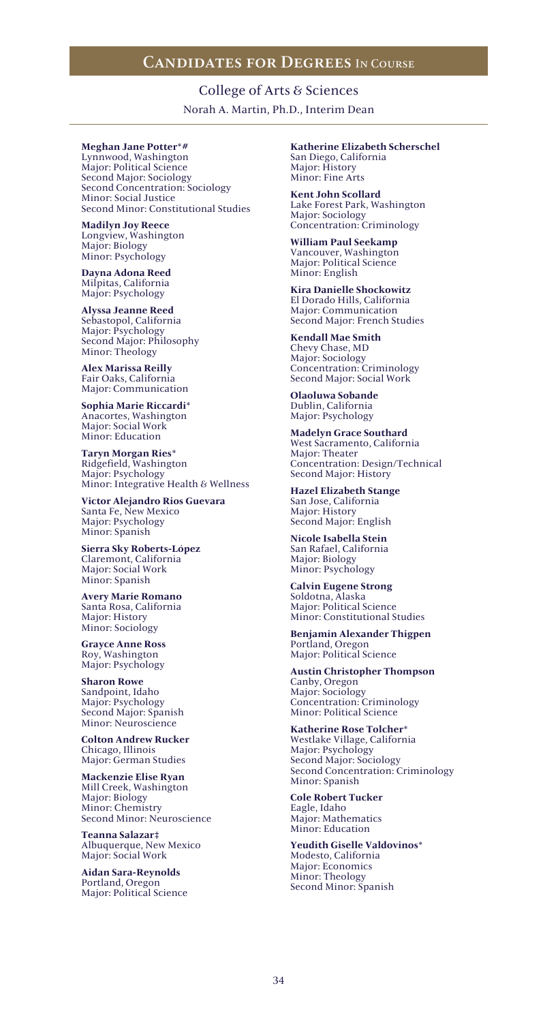College of Arts & Sciences Norah A. Martin, Ph.D., Interim Dean

### **Meghan Jane Potter\*#**

Lynnwood, Washington Major: Political Science Second Major: Sociology Second Concentration: Sociology Minor: Social Justice Second Minor: Constitutional Studies

**Madilyn Joy Reece** Longview, Washington Major: Biology Minor: Psychology

**Dayna Adona Reed** Milpitas, California Major: Psychology

**Alyssa Jeanne Reed** Sebastopol, California Major: Psychology Second Major: Philosophy Minor: Theology

**Alex Marissa Reilly** Fair Oaks, California Major: Communication

**Sophia Marie Riccardi\*** Anacortes, Washington Major: Social Work Minor: Education

**Taryn Morgan Ries\*** Ridgefield, Washington Major: Psychology Minor: Integrative Health & Wellness

**Victor Alejandro Rios Guevara** Santa Fe, New Mexico Major: Psychology Minor: Spanish

**Sierra Sky Roberts-López** Claremont, California Major: Social Work Minor: Spanish

**Avery Marie Romano** Santa Rosa, California Major: History Minor: Sociology

**Grayce Anne Ross** Roy, Washington Major: Psychology

**Sharon Rowe** Sandpoint, Idaho Major: Psychology Second Major: Spanish Minor: Neuroscience

**Colton Andrew Rucker** Chicago, Illinois Major: German Studies

**Mackenzie Elise Ryan** Mill Creek, Washington Major: Biology Minor: Chemistry Second Minor: Neuroscience

**Teanna Salazar‡** Albuquerque, New Mexico Major: Social Work

**Aidan Sara-Reynolds** Portland, Oregon Major: Political Science **Katherine Elizabeth Scherschel** San Diego, California Major: History Minor: Fine Arts

**Kent John Scollard** Lake Forest Park, Washington Major: Sociology Concentration: Criminology

**William Paul Seekamp** Vancouver, Washington Major: Political Science Minor: English

**Kira Danielle Shockowitz** El Dorado Hills, California Major: Communication Second Major: French Studies

**Kendall Mae Smith** Chevy Chase, MD Major: Sociology Concentration: Criminology Second Major: Social Work

**Olaoluwa Sobande** Dublin, California Major: Psychology

**Madelyn Grace Southard** West Sacramento, California Major: Theater Concentration: Design/Technical Second Major: History

**Hazel Elizabeth Stange** San Jose, California Major: History Second Major: English

**Nicole Isabella Stein** San Rafael, California Major: Biology Minor: Psychology

**Calvin Eugene Strong** Soldotna, Alaska Major: Political Science Minor: Constitutional Studies

**Benjamin Alexander Thigpen** Portland, Oregon Major: Political Science

**Austin Christopher Thompson** Canby, Oregon Major: Sociology Concentration: Criminology Minor: Political Science

**Katherine Rose Tolcher\*** Westlake Village, California Major: Psychology Second Major: Sociology Second Concentration: Criminology Minor: Spanish

**Cole Robert Tucker** Eagle, Idaho Major: Mathematics Minor: Education

**Yeudith Giselle Valdovinos\*** Modesto, California Major: Economics Minor: Theology Second Minor: Spanish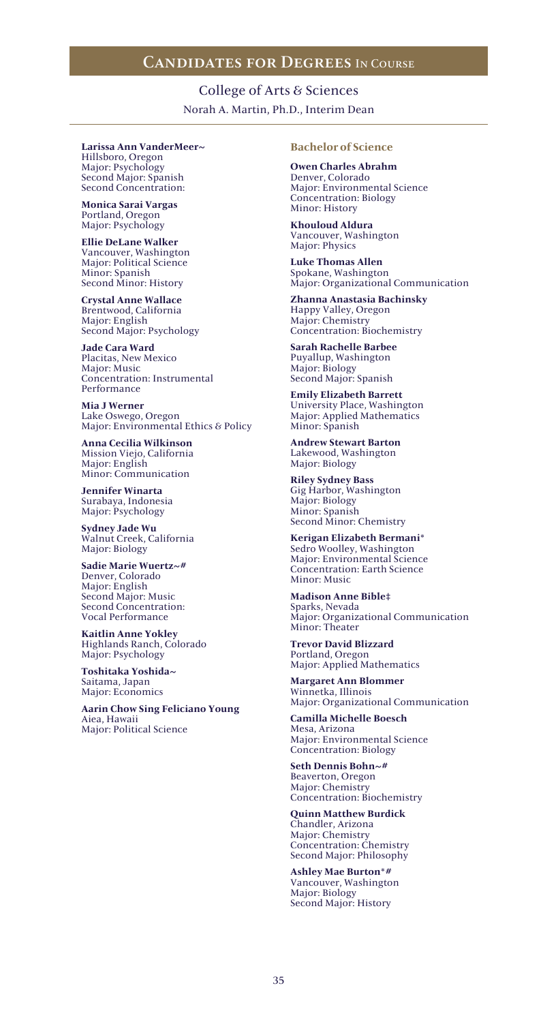College of Arts & Sciences Norah A. Martin, Ph.D., Interim Dean

#### **Larissa Ann VanderMeer~** Hillsboro, Oregon

Major: Psychology Second Major: Spanish Second Concentration:

**Monica Sarai Vargas** Portland, Oregon Major: Psychology

**Ellie DeLane Walker** Vancouver, Washington Major: Political Science Minor: Spanish Second Minor: History

**Crystal Anne Wallace** Brentwood, California Major: English Second Major: Psychology

**Jade Cara Ward** Placitas, New Mexico Major: Music Concentration: Instrumental Performance

**Mia J Werner** Lake Oswego, Oregon Major: Environmental Ethics & Policy

**Anna Cecilia Wilkinson** Mission Viejo, California Major: English Minor: Communication

**Jennifer Winarta** Surabaya, Indonesia Major: Psychology

**Sydney Jade Wu** Walnut Creek, California Major: Biology

**Sadie Marie Wuertz~#** Denver, Colorado Major: English Second Major: Music Second Concentration: Vocal Performance

**Kaitlin Anne Yokley** Highlands Ranch, Colorado Major: Psychology

**Toshitaka Yoshida~** Saitama, Japan Major: Economics

**Aarin Chow Sing Feliciano Young** Aiea, Hawaii Major: Political Science

### **Bachelor of Science**

**Owen Charles Abrahm** Denver, Colorado Major: Environmental Science Concentration: Biology Minor: History

**Khouloud Aldura** Vancouver, Washington Major: Physics

**Luke Thomas Allen** Spokane, Washington Major: Organizational Communication

**Zhanna Anastasia Bachinsky** Happy Valley, Oregon Major: Chemistry Concentration: Biochemistry

**Sarah Rachelle Barbee** Puyallup, Washington Major: Biology Second Major: Spanish

**Emily Elizabeth Barrett** University Place, Washington Major: Applied Mathematics Minor: Spanish

**Andrew Stewart Barton** Lakewood, Washington Major: Biology

**Riley Sydney Bass** Gig Harbor, Washington Major: Biology Minor: Spanish Second Minor: Chemistry

**Kerigan Elizabeth Bermani\*** Sedro Woolley, Washington Major: Environmental Science Concentration: Earth Science Minor: Music

**Madison Anne Bible‡** Sparks, Nevada Major: Organizational Communication Minor: Theater

**Trevor David Blizzard** Portland, Oregon Major: Applied Mathematics

**Margaret Ann Blommer** Winnetka, Illinois Major: Organizational Communication

**Camilla Michelle Boesch** Mesa, Arizona Major: Environmental Science Concentration: Biology

**Seth Dennis Bohn~#** Beaverton, Oregon Major: Chemistry Concentration: Biochemistry

**Quinn Matthew Burdick** Chandler, Arizona Major: Chemistry Concentration: Chemistry Second Major: Philosophy

**Ashley Mae Burton\*#** Vancouver, Washington Major: Biology Second Major: History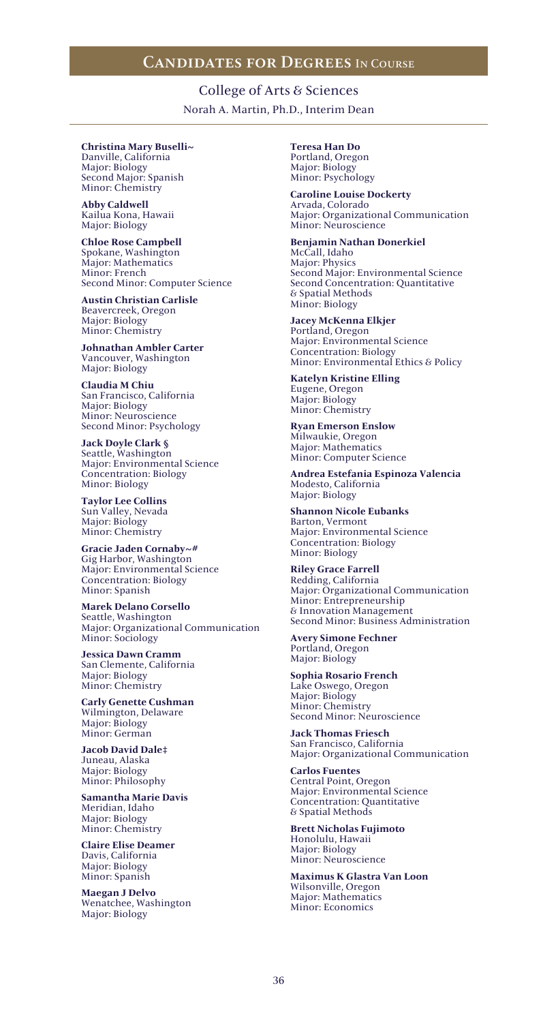College of Arts & Sciences Norah A. Martin, Ph.D., Interim Dean

### **Christina Mary Buselli~**

Danville, California Major: Biology Second Major: Spanish Minor: Chemistry

**Abby Caldwell** Kailua Kona, Hawaii Major: Biology

**Chloe Rose Campbell** Spokane, Washington Major: Mathematics Minor: French Second Minor: Computer Science

**Austin Christian Carlisle** Beavercreek, Oregon Major: Biology Minor: Chemistry

**Johnathan Ambler Carter** Vancouver, Washington Major: Biology

**Claudia M Chiu** San Francisco, California Major: Biology Minor: Neuroscience Second Minor: Psychology

**Jack Doyle Clark §** Seattle, Washington Major: Environmental Science Concentration: Biology Minor: Biology

**Taylor Lee Collins** Sun Valley, Nevada Major: Biology Minor: Chemistry

**Gracie Jaden Cornaby~#** Gig Harbor, Washington Major: Environmental Science Concentration: Biology Minor: Spanish

**Marek Delano Corsello** Seattle, Washington Major: Organizational Communication Minor: Sociology

**Jessica Dawn Cramm** San Clemente, California Major: Biology Minor: Chemistry

**Carly Genette Cushman** Wilmington, Delaware Major: Biology Minor: German

**Jacob David Dale‡** Juneau, Alaska Major: Biology Minor: Philosophy

**Samantha Marie Davis** Meridian, Idaho Major: Biology Minor: Chemistry

**Claire Elise Deamer** Davis, California Major: Biology Minor: Spanish

**Maegan J Delvo** Wenatchee, Washington Major: Biology

**Teresa Han Do** Portland, Oregon Major: Biology Minor: Psychology

**Caroline Louise Dockerty** Arvada, Colorado Major: Organizational Communication Minor: Neuroscience

### **Benjamin Nathan Donerkiel**

McCall, Idaho Major: Physics Second Major: Environmental Science Second Concentration: Quantitative & Spatial Methods Minor: Biology

**Jacey McKenna Elkjer** Portland, Oregon Major: Environmental Science Concentration: Biology Minor: Environmental Ethics & Policy

**Katelyn Kristine Elling** Eugene, Oregon Major: Biology Minor: Chemistry

**Ryan Emerson Enslow** Milwaukie, Oregon Major: Mathematics Minor: Computer Science

**Andrea Estefania Espinoza Valencia** Modesto, California Major: Biology

**Shannon Nicole Eubanks** Barton, Vermont Major: Environmental Science Concentration: Biology Minor: Biology

**Riley Grace Farrell** Redding, California Major: Organizational Communication Minor: Entrepreneurship & Innovation Management Second Minor: Business Administration

**Avery Simone Fechner** Portland, Oregon Major: Biology

**Sophia Rosario French** Lake Oswego, Oregon Major: Biology Minor: Chemistry Second Minor: Neuroscience

**Jack Thomas Friesch** San Francisco, California Major: Organizational Communication

**Carlos Fuentes** Central Point, Oregon Major: Environmental Science Concentration: Quantitative & Spatial Methods

**Brett Nicholas Fujimoto** Honolulu, Hawaii Major: Biology Minor: Neuroscience

**Maximus K Glastra Van Loon** Wilsonville, Oregon Major: Mathematics Minor: Economics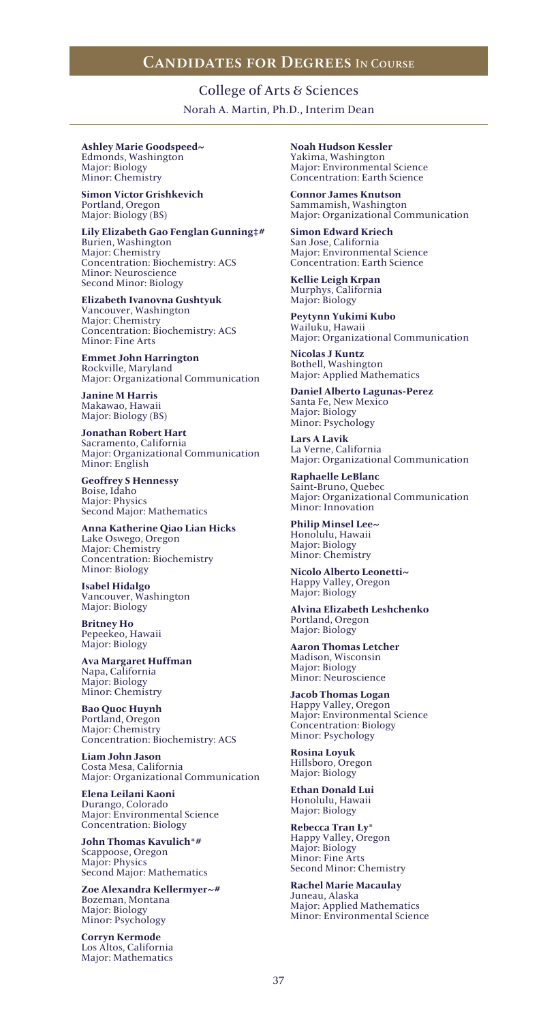College of Arts & Sciences Norah A. Martin, Ph.D., Interim Dean

**Ashley Marie Goodspeed~** Edmonds, Washington Major: Biology Minor: Chemistry

**Simon Victor Grishkevich** Portland, Oregon Major: Biology (BS)

**Lily Elizabeth Gao Fenglan Gunning‡#** Burien, Washington Major: Chemistry Concentration: Biochemistry: ACS Minor: Neuroscience Second Minor: Biology

**Elizabeth Ivanovna Gushtyuk** Vancouver, Washington Major: Chemistry Concentration: Biochemistry: ACS Minor: Fine Arts

**Emmet John Harrington** Rockville, Maryland Major: Organizational Communication

**Janine M Harris** Makawao, Hawaii Major: Biology (BS)

**Jonathan Robert Hart** Sacramento, California Major: Organizational Communication Minor: English

**Geoffrey S Hennessy** Boise, Idaho Major: Physics Second Major: Mathematics

**Anna Katherine Qiao Lian Hicks** Lake Oswego, Oregon Major: Chemistry Concentration: Biochemistry Minor: Biology

**Isabel Hidalgo** Vancouver, Washington Major: Biology

**Britney Ho** Pepeekeo, Hawaii Major: Biology

**Ava Margaret Huffman** Napa, California Major: Biology Minor: Chemistry

**Bao Quoc Huynh** Portland, Oregon Major: Chemistry Concentration: Biochemistry: ACS

**Liam John Jason** Costa Mesa, California Major: Organizational Communication

**Elena Leilani Kaoni** Durango, Colorado Major: Environmental Science Concentration: Biology

**John Thomas Kavulich\*#** Scappoose, Oregon Major: Physics Second Major: Mathematics

**Zoe Alexandra Kellermyer~#** Bozeman, Montana Major: Biology Minor: Psychology

**Corryn Kermode** Los Altos, California Major: Mathematics

**Noah Hudson Kessler** Yakima, Washington Major: Environmental Science Concentration: Earth Science

**Connor James Knutson** Sammamish, Washington Major: Organizational Communication

**Simon Edward Kriech** San Jose, California Major: Environmental Science Concentration: Earth Science

**Kellie Leigh Krpan** Murphys, California Major: Biology

**Peytynn Yukimi Kubo** Wailuku, Hawaii Major: Organizational Communication

**Nicolas J Kuntz** Bothell, Washington Major: Applied Mathematics

**Daniel Alberto Lagunas-Perez** Santa Fe, New Mexico Major: Biology Minor: Psychology

**Lars A Lavik** La Verne, California Major: Organizational Communication

**Raphaelle LeBlanc** Saint-Bruno, Quebec Major: Organizational Communication Minor: Innovation

**Philip Minsel Lee~** Honolulu, Hawaii Major: Biology Minor: Chemistry

**Nicolo Alberto Leonetti~** Happy Valley, Oregon Major: Biology

**Alvina Elizabeth Leshchenko** Portland, Oregon Major: Biology

**Aaron Thomas Letcher** Madison, Wisconsin Major: Biology Minor: Neuroscience

**Jacob Thomas Logan** Happy Valley, Oregon Major: Environmental Science Concentration: Biology Minor: Psychology

**Rosina Loyuk** Hillsboro, Oregon Major: Biology

**Ethan Donald Lui** Honolulu, Hawaii Major: Biology

**Rebecca Tran Ly\*** Happy Valley, Oregon Major: Biology Minor: Fine Arts Second Minor: Chemistry

**Rachel Marie Macaulay** Juneau, Alaska Major: Applied Mathematics Minor: Environmental Science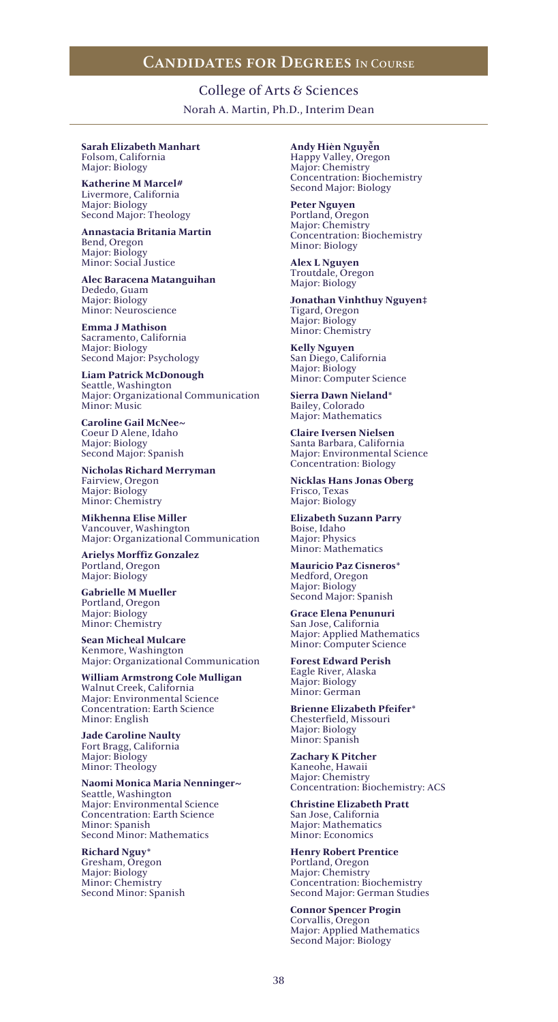College of Arts & Sciences Norah A. Martin, Ph.D., Interim Dean

#### **Sarah Elizabeth Manhart** Folsom, California

Major: Biology

**Katherine M Marcel#** Livermore, California Major: Biology Second Major: Theology

**Annastacia Britania Martin** Bend, Oregon Major: Biology Minor: Social Justice

**Alec Baracena Matanguihan** Dededo, Guam Major: Biology Minor: Neuroscience

**Emma J Mathison** Sacramento, California Major: Biology Second Major: Psychology

**Liam Patrick McDonough** Seattle, Washington Major: Organizational Communication Minor: Music

**Caroline Gail McNee~** Coeur D Alene, Idaho Major: Biology Second Major: Spanish

**Nicholas Richard Merryman** Fairview, Oregon Major: Biology Minor: Chemistry

**Mikhenna Elise Miller** Vancouver, Washington Major: Organizational Communication

**Arielys Morffiz Gonzalez** Portland, Oregon Major: Biology

**Gabrielle M Mueller** Portland, Oregon Major: Biology Minor: Chemistry

**Sean Micheal Mulcare** Kenmore, Washington Major: Organizational Communication

**William Armstrong Cole Mulligan** Walnut Creek, California Major: Environmental Science Concentration: Earth Science Minor: English

**Jade Caroline Naulty** Fort Bragg, California Major: Biology Minor: Theology

**Naomi Monica Maria Nenninger~** Seattle, Washington Major: Environmental Science Concentration: Earth Science Minor: Spanish Second Minor: Mathematics

**Richard Nguy\*** Gresham, Oregon Major: Biology Minor: Chemistry Second Minor: Spanish **Andy Hièn Nguyễn** Happy Valley, Oregon Major: Chemistry Concentration: Biochemistry Second Major: Biology

**Peter Nguyen** Portland, Oregon Major: Chemistry Concentration: Biochemistry Minor: Biology

**Alex L Nguyen** Troutdale, Oregon Major: Biology

**Jonathan Vinhthuy Nguyen‡** Tigard, Oregon Major: Biology Minor: Chemistry

**Kelly Nguyen** San Diego, California Major: Biology Minor: Computer Science

**Sierra Dawn Nieland\*** Bailey, Colorado Major: Mathematics

**Claire Iversen Nielsen** Santa Barbara, California Major: Environmental Science Concentration: Biology

**Nicklas Hans Jonas Oberg** Frisco, Texas Major: Biology

**Elizabeth Suzann Parry** Boise, Idaho Major: Physics Minor: Mathematics

**Mauricio Paz Cisneros\*** Medford, Oregon Major: Biology Second Major: Spanish

**Grace Elena Penunuri** San Jose, California Major: Applied Mathematics Minor: Computer Science

**Forest Edward Perish** Eagle River, Alaska Major: Biology Minor: German

**Brienne Elizabeth Pfeifer\*** Chesterfield, Missouri Major: Biology Minor: Spanish

**Zachary K Pitcher** Kaneohe, Hawaii Major: Chemistry Concentration: Biochemistry: ACS

**Christine Elizabeth Pratt** San Jose, California Major: Mathematics Minor: Economics

**Henry Robert Prentice** Portland, Oregon Major: Chemistry Concentration: Biochemistry Second Major: German Studies

**Connor Spencer Progin** Corvallis, Oregon Major: Applied Mathematics Second Major: Biology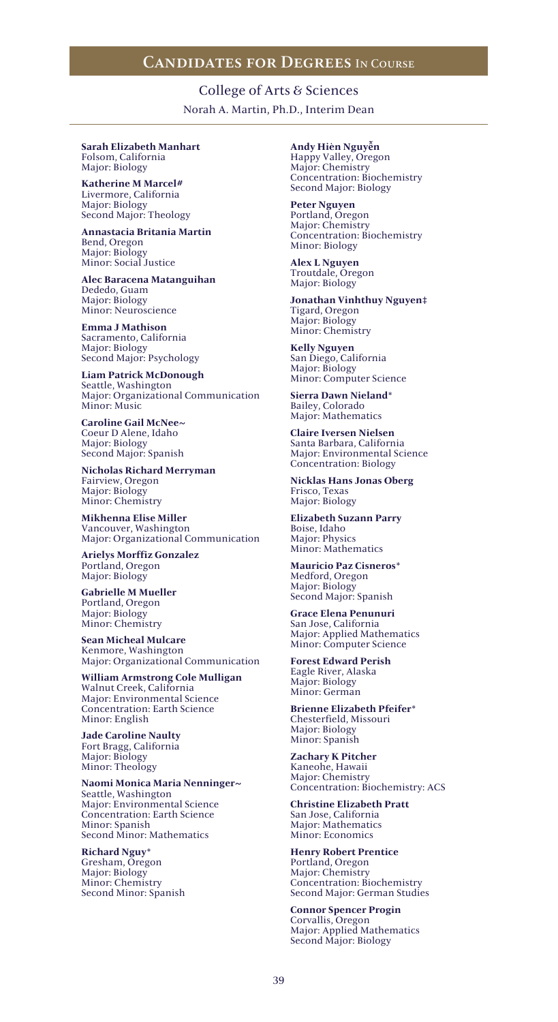College of Arts & Sciences Norah A. Martin, Ph.D., Interim Dean

#### **Sarah Elizabeth Manhart** Folsom, California

Major: Biology

**Katherine M Marcel#** Livermore, California Major: Biology Second Major: Theology

**Annastacia Britania Martin** Bend, Oregon Major: Biology Minor: Social Justice

**Alec Baracena Matanguihan** Dededo, Guam Major: Biology Minor: Neuroscience

**Emma J Mathison** Sacramento, California Major: Biology Second Major: Psychology

**Liam Patrick McDonough** Seattle, Washington Major: Organizational Communication Minor: Music

**Caroline Gail McNee~** Coeur D Alene, Idaho Major: Biology Second Major: Spanish

**Nicholas Richard Merryman** Fairview, Oregon Major: Biology Minor: Chemistry

**Mikhenna Elise Miller** Vancouver, Washington Major: Organizational Communication

**Arielys Morffiz Gonzalez** Portland, Oregon Major: Biology

**Gabrielle M Mueller** Portland, Oregon Major: Biology Minor: Chemistry

**Sean Micheal Mulcare** Kenmore, Washington Major: Organizational Communication

**William Armstrong Cole Mulligan** Walnut Creek, California Major: Environmental Science Concentration: Earth Science Minor: English

**Jade Caroline Naulty** Fort Bragg, California Major: Biology Minor: Theology

**Naomi Monica Maria Nenninger~** Seattle, Washington Major: Environmental Science Concentration: Earth Science Minor: Spanish Second Minor: Mathematics

**Richard Nguy\*** Gresham, Oregon Major: Biology Minor: Chemistry Second Minor: Spanish **Andy Hièn Nguyễn** Happy Valley, Oregon Major: Chemistry Concentration: Biochemistry Second Major: Biology

**Peter Nguyen** Portland, Oregon Major: Chemistry Concentration: Biochemistry Minor: Biology

**Alex L Nguyen** Troutdale, Oregon Major: Biology

**Jonathan Vinhthuy Nguyen‡** Tigard, Oregon Major: Biology Minor: Chemistry

**Kelly Nguyen** San Diego, California Major: Biology Minor: Computer Science

**Sierra Dawn Nieland\*** Bailey, Colorado Major: Mathematics

**Claire Iversen Nielsen** Santa Barbara, California Major: Environmental Science Concentration: Biology

**Nicklas Hans Jonas Oberg** Frisco, Texas Major: Biology

**Elizabeth Suzann Parry** Boise, Idaho Major: Physics Minor: Mathematics

**Mauricio Paz Cisneros\*** Medford, Oregon Major: Biology Second Major: Spanish

**Grace Elena Penunuri** San Jose, California Major: Applied Mathematics Minor: Computer Science

**Forest Edward Perish** Eagle River, Alaska Major: Biology Minor: German

**Brienne Elizabeth Pfeifer\*** Chesterfield, Missouri Major: Biology Minor: Spanish

**Zachary K Pitcher** Kaneohe, Hawaii Major: Chemistry Concentration: Biochemistry: ACS

**Christine Elizabeth Pratt** San Jose, California Major: Mathematics Minor: Economics

**Henry Robert Prentice** Portland, Oregon Major: Chemistry Concentration: Biochemistry Second Major: German Studies

**Connor Spencer Progin** Corvallis, Oregon Major: Applied Mathematics Second Major: Biology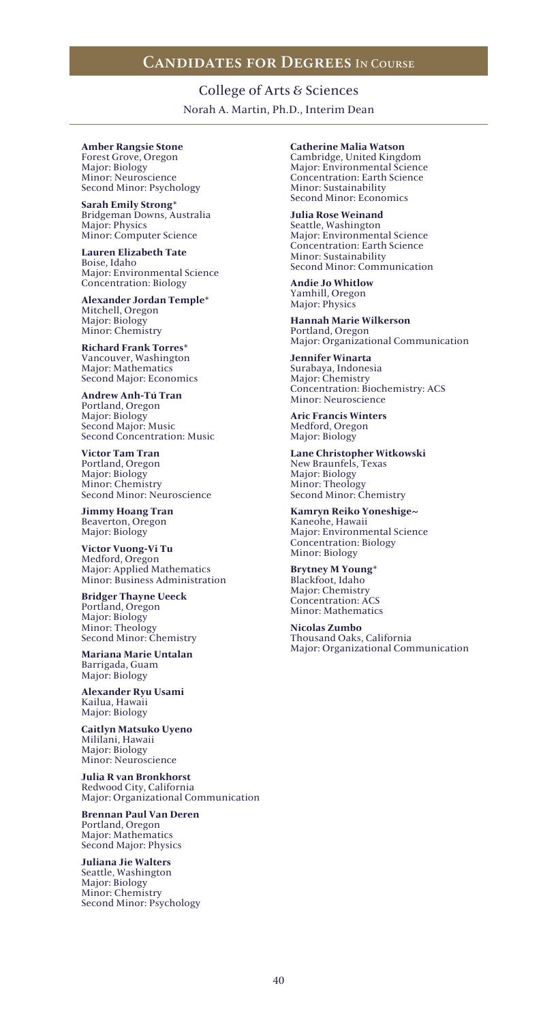College of Arts & Sciences Norah A. Martin, Ph.D., Interim Dean

### **Amber Rangsie Stone**

Forest Grove, Oregon Major: Biology Minor: Neuroscience Second Minor: Psychology

**Sarah Emily Strong\*** Bridgeman Downs, Australia Major: Physics Minor: Computer Science

**Lauren Elizabeth Tate** Boise, Idaho Major: Environmental Science Concentration: Biology

**Alexander Jordan Temple\*** Mitchell, Oregon Major: Biology Minor: Chemistry

**Richard Frank Torres\*** Vancouver, Washington Major: Mathematics Second Major: Economics

**Andrew Anh-Tú Tran** Portland, Oregon Major: Biology Second Major: Music Second Concentration: Music

**Victor Tam Tran** Portland, Oregon Major: Biology Minor: Chemistry Second Minor: Neuroscience

**Jimmy Hoang Tran** Beaverton, Oregon Major: Biology

**Victor Vuong-Vi Tu** Medford, Oregon Major: Applied Mathematics Minor: Business Administration

**Bridger Thayne Ueeck** Portland, Oregon Major: Biology Minor: Theology Second Minor: Chemistry

**Mariana Marie Untalan** Barrigada, Guam Major: Biology

**Alexander Ryu Usami** Kailua, Hawaii Major: Biology

**Caitlyn Matsuko Uyeno** Mililani, Hawaii Major: Biology Minor: Neuroscience

**Julia R van Bronkhorst** Redwood City, California Major: Organizational Communication

**Brennan Paul Van Deren** Portland, Oregon Major: Mathematics Second Major: Physics

**Juliana Jie Walters** Seattle, Washington Major: Biology Minor: Chemistry Second Minor: Psychology **Catherine Malia Watson** Cambridge, United Kingdom Major: Environmental Science Concentration: Earth Science Minor: Sustainability Second Minor: Economics

**Julia Rose Weinand** Seattle, Washington Major: Environmental Science Concentration: Earth Science Minor: Sustainability Second Minor: Communication

**Andie Jo Whitlow** Yamhill, Oregon Major: Physics

**Hannah Marie Wilkerson** Portland, Oregon Major: Organizational Communication

**Jennifer Winarta** Surabaya, Indonesia Major: Chemistry Concentration: Biochemistry: ACS Minor: Neuroscience

**Aric Francis Winters** Medford, Oregon Major: Biology

**Lane Christopher Witkowski** New Braunfels, Texas Major: Biology Minor: Theology Second Minor: Chemistry

**Kamryn Reiko Yoneshige~** Kaneohe, Hawaii Major: Environmental Science Concentration: Biology Minor: Biology

**Brytney M Young\*** Blackfoot, Idaho Major: Chemistry Concentration: ACS Minor: Mathematics

**Nicolas Zumbo** Thousand Oaks, California Major: Organizational Communication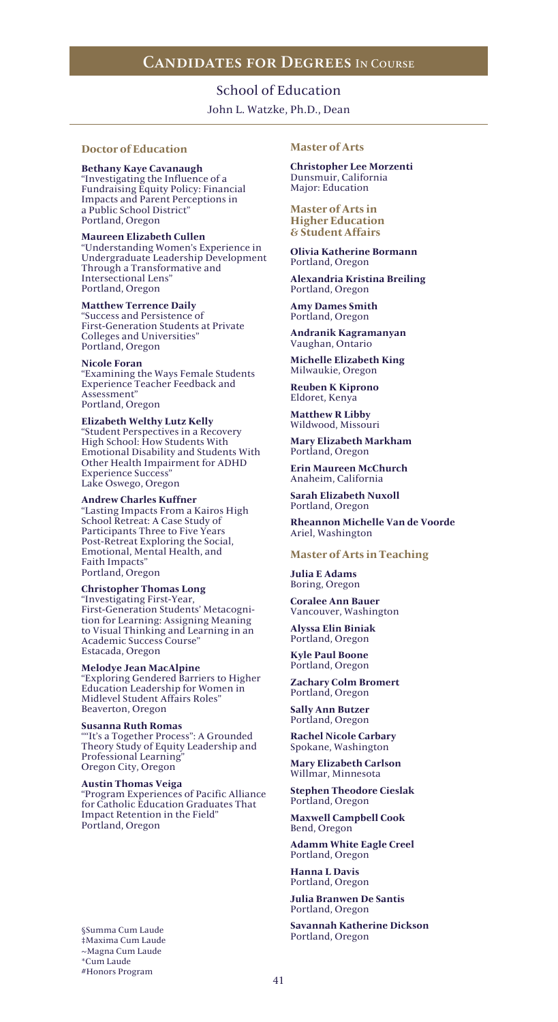## School of Education

John L. Watzke, Ph.D., Dean

### **Doctor of Education**

**Bethany Kaye Cavanaugh** "Investigating the Influence of a Fundraising Equity Policy: Financial Impacts and Parent Perceptions in a Public School District" Portland, Oregon

### **Maureen Elizabeth Cullen**

"Understanding Women's Experience in Undergraduate Leadership Development Through a Transformative and Intersectional Lens" Portland, Oregon

### **Matthew Terrence Daily**

"Success and Persistence of First-Generation Students at Private Colleges and Universities" Portland, Oregon

#### **Nicole Foran**

"Examining the Ways Female Students Experience Teacher Feedback and Assessment" Portland, Oregon

**Elizabeth Welthy Lutz Kelly** "Student Perspectives in a Recovery High School: How Students With Emotional Disability and Students With Other Health Impairment for ADHD Experience Success" Lake Oswego, Oregon

### **Andrew Charles Kuffner**

"Lasting Impacts From a Kairos High School Retreat: A Case Study of Participants Three to Five Years Post-Retreat Exploring the Social, Emotional, Mental Health, and Faith Impacts" Portland, Oregon

#### **Christopher Thomas Long** "Investigating First-Year, First-Generation Students' Metacognition for Learning: Assigning Meaning to Visual Thinking and Learning in an Academic Success Course" Estacada, Oregon

**Melodye Jean MacAlpine** "Exploring Gendered Barriers to Higher Education Leadership for Women in Midlevel Student Affairs Roles" Beaverton, Oregon

#### **Susanna Ruth Romas** ""It's a Together Process": A Grounded Theory Study of Equity Leadership and Professional Learning" Oregon City, Oregon

#### **Austin Thomas Veiga**

"Program Experiences of Pacific Alliance for Catholic Education Graduates That Impact Retention in the Field" Portland, Oregon

§Summa Cum Laude ‡Maxima Cum Laude ~Magna Cum Laude \*Cum Laude #Honors Program

### **Master of Arts**

**Christopher Lee Morzenti** Dunsmuir, California Major: Education

**Master of Arts in Higher Education & Student Affairs**

**Olivia Katherine Bormann** Portland, Oregon

**Alexandria Kristina Breiling** Portland, Oregon

**Amy Dames Smith** Portland, Oregon

**Andranik Kagramanyan** Vaughan, Ontario

**Michelle Elizabeth King** Milwaukie, Oregon

**Reuben K Kiprono** Eldoret, Kenya

**Matthew R Libby** Wildwood, Missouri

**Mary Elizabeth Markham** Portland, Oregon

**Erin Maureen McChurch** Anaheim, California

**Sarah Elizabeth Nuxoll** Portland, Oregon

**Rheannon Michelle Van de Voorde** Ariel, Washington

#### **Master of Arts in Teaching**

**Julia E Adams** Boring, Oregon

**Coralee Ann Bauer** Vancouver, Washington

**Alyssa Elin Biniak** Portland, Oregon

**Kyle Paul Boone** Portland, Oregon

**Zachary Colm Bromert** Portland, Oregon

**Sally Ann Butzer** Portland, Oregon

**Rachel Nicole Carbary** Spokane, Washington

**Mary Elizabeth Carlson** Willmar, Minnesota

**Stephen Theodore Cieslak** Portland, Oregon

**Maxwell Campbell Cook** Bend, Oregon

**Adamm White Eagle Creel** Portland, Oregon

**Hanna L Davis** Portland, Oregon

**Julia Branwen De Santis** Portland, Oregon

**Savannah Katherine Dickson** Portland, Oregon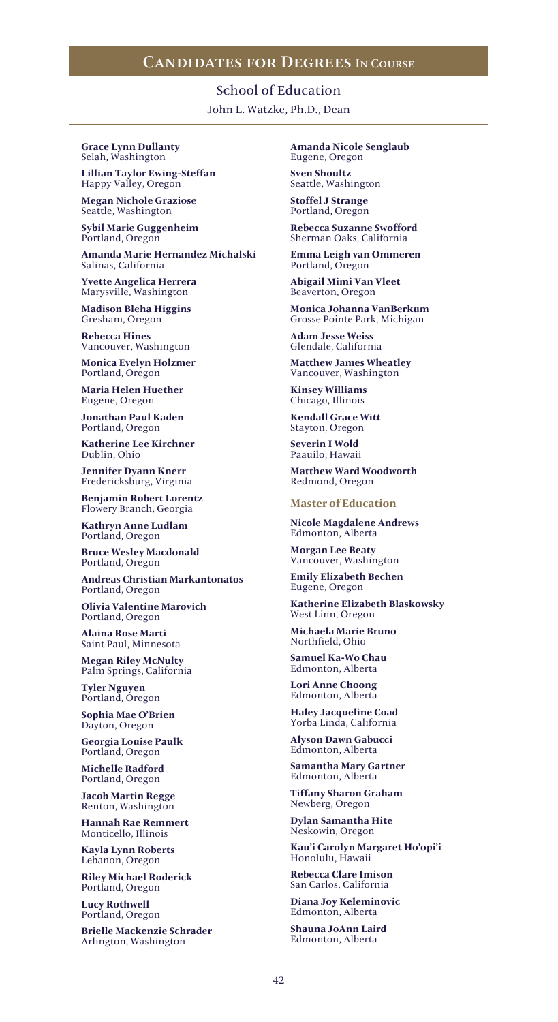School of Education John L. Watzke, Ph.D., Dean

**Grace Lynn Dullanty** Selah, Washington

**Lillian Taylor Ewing-Steffan** Happy Valley, Oregon

**Megan Nichole Graziose** Seattle, Washington

**Sybil Marie Guggenheim** Portland, Oregon

**Amanda Marie Hernandez Michalski** Salinas, California

**Yvette Angelica Herrera** Marysville, Washington

**Madison Bleha Higgins** Gresham, Oregon

**Rebecca Hines** Vancouver, Washington

**Monica Evelyn Holzmer** Portland, Oregon

**Maria Helen Huether** Eugene, Oregon

**Jonathan Paul Kaden** Portland, Oregon

**Katherine Lee Kirchner** Dublin, Ohio

**Jennifer Dyann Knerr** Fredericksburg, Virginia

**Benjamin Robert Lorentz** Flowery Branch, Georgia

**Kathryn Anne Ludlam** Portland, Oregon

**Bruce Wesley Macdonald** Portland, Oregon

**Andreas Christian Markantonatos** Portland, Oregon

**Olivia Valentine Marovich** Portland, Oregon

**Alaina Rose Marti** Saint Paul, Minnesota

**Megan Riley McNulty** Palm Springs, California

**Tyler Nguyen** Portland, Oregon

**Sophia Mae O'Brien** Dayton, Oregon

**Georgia Louise Paulk** Portland, Oregon

**Michelle Radford** Portland, Oregon

**Jacob Martin Regge** Renton, Washington

**Hannah Rae Remmert** Monticello, Illinois

**Kayla Lynn Roberts** Lebanon, Oregon

**Riley Michael Roderick** Portland, Oregon

**Lucy Rothwell** Portland, Oregon

**Brielle Mackenzie Schrader** Arlington, Washington

**Amanda Nicole Senglaub** Eugene, Oregon

**Sven Shoultz** Seattle, Washington

**Stoffel J Strange** Portland, Oregon

**Rebecca Suzanne Swofford** Sherman Oaks, California

**Emma Leigh van Ommeren** Portland, Oregon

**Abigail Mimi Van Vleet** Beaverton, Oregon

**Monica Johanna VanBerkum** Grosse Pointe Park, Michigan

**Adam Jesse Weiss** Glendale, California

**Matthew James Wheatley** Vancouver, Washington

**Kinsey Williams** Chicago, Illinois

**Kendall Grace Witt** Stayton, Oregon

**Severin I Wold** Paauilo, Hawaii

**Matthew Ward Woodworth** Redmond, Oregon

### **Master of Education**

**Nicole Magdalene Andrews** Edmonton, Alberta

**Morgan Lee Beaty** Vancouver, Washington

**Emily Elizabeth Bechen** Eugene, Oregon

**Katherine Elizabeth Blaskowsky** West Linn, Oregon

**Michaela Marie Bruno** Northfield, Ohio

**Samuel Ka-Wo Chau** Edmonton, Alberta

**Lori Anne Choong** Edmonton, Alberta

**Haley Jacqueline Coad** Yorba Linda, California

**Alyson Dawn Gabucci** Edmonton, Alberta

**Samantha Mary Gartner** Edmonton, Alberta

**Tiffany Sharon Graham** Newberg, Oregon

**Dylan Samantha Hite** Neskowin, Oregon

**Kau'i Carolyn Margaret Ho'opi'i** Honolulu, Hawaii

**Rebecca Clare Imison** San Carlos, California

**Diana Joy Keleminovic** Edmonton, Alberta

**Shauna JoAnn Laird** Edmonton, Alberta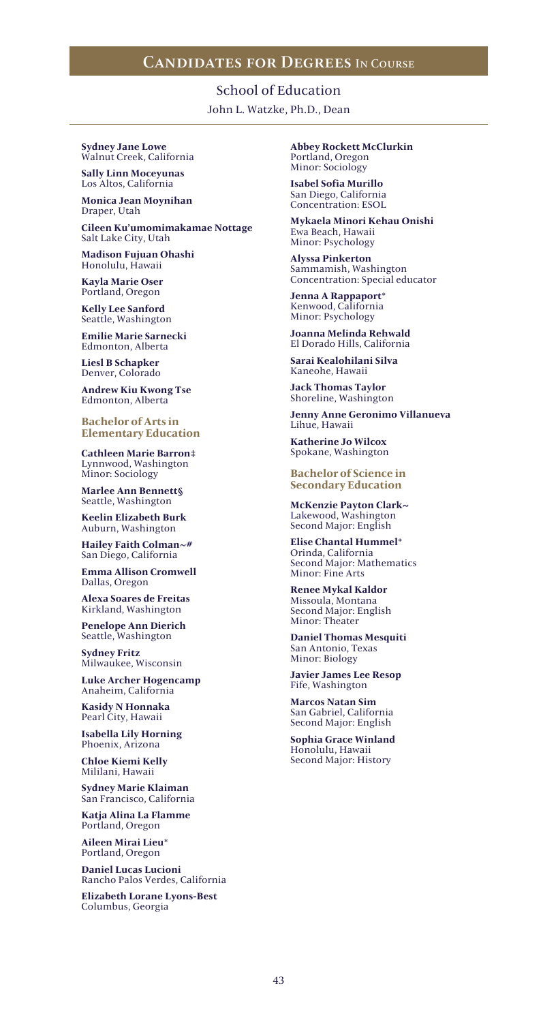School of Education John L. Watzke, Ph.D., Dean

**Sydney Jane Lowe** Walnut Creek, California

**Sally Linn Moceyunas** Los Altos, California

**Monica Jean Moynihan** Draper, Utah

**Cileen Ku'umomimakamae Nottage** Salt Lake City, Utah

**Madison Fujuan Ohashi** Honolulu, Hawaii

**Kayla Marie Oser** Portland, Oregon

**Kelly Lee Sanford** Seattle, Washington

**Emilie Marie Sarnecki** Edmonton, Alberta

**Liesl B Schapker** Denver, Colorado

**Andrew Kiu Kwong Tse** Edmonton, Alberta

**Bachelor of Arts in Elementary Education**

**Cathleen Marie Barron‡** Lynnwood, Washington Minor: Sociology

**Marlee Ann Bennett§** Seattle, Washington

**Keelin Elizabeth Burk** Auburn, Washington

**Hailey Faith Colman~#** San Diego, California

**Emma Allison Cromwell** Dallas, Oregon

**Alexa Soares de Freitas** Kirkland, Washington

**Penelope Ann Dierich** Seattle, Washington

**Sydney Fritz** Milwaukee, Wisconsin

**Luke Archer Hogencamp** Anaheim, California

**Kasidy N Honnaka** Pearl City, Hawaii

**Isabella Lily Horning** Phoenix, Arizona

**Chloe Kiemi Kelly** Mililani, Hawaii

**Sydney Marie Klaiman** San Francisco, California

**Katja Alina La Flamme** Portland, Oregon

**Aileen Mirai Lieu\*** Portland, Oregon

**Daniel Lucas Lucioni** Rancho Palos Verdes, California

**Elizabeth Lorane Lyons-Best** Columbus, Georgia

**Abbey Rockett McClurkin** Portland, Oregon Minor: Sociology

**Isabel Sofia Murillo** San Diego, California Concentration: ESOL

**Mykaela Minori Kehau Onishi** Ewa Beach, Hawaii Minor: Psychology

**Alyssa Pinkerton** Sammamish, Washington Concentration: Special educator

**Jenna A Rappaport\*** Kenwood, California Minor: Psychology

**Joanna Melinda Rehwald** El Dorado Hills, California

**Sarai Kealohilani Silva** Kaneohe, Hawaii

**Jack Thomas Taylor** Shoreline, Washington

**Jenny Anne Geronimo Villanueva** Lihue, Hawaii

**Katherine Jo Wilcox** Spokane, Washington

**Bachelor of Science in Secondary Education**

**McKenzie Payton Clark~** Lakewood, Washington Second Major: English

**Elise Chantal Hummel\*** Orinda, California Second Major: Mathematics Minor: Fine Arts

**Renee Mykal Kaldor** Missoula, Montana Second Major: English Minor: Theater

**Daniel Thomas Mesquiti** San Antonio, Texas Minor: Biology

**Javier James Lee Resop** Fife, Washington

**Marcos Natan Sim** San Gabriel, California Second Major: English

**Sophia Grace Winland** Honolulu, Hawaii Second Major: History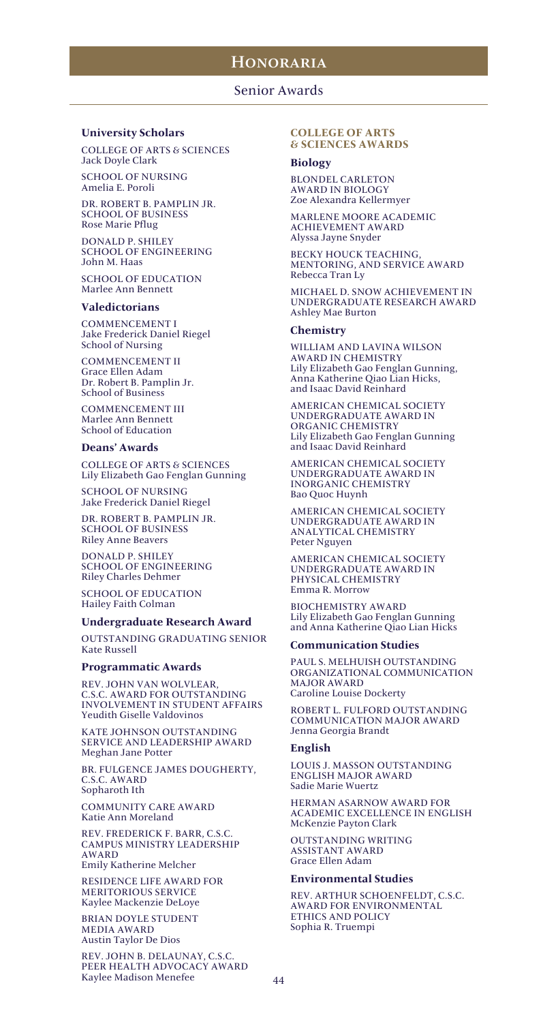### Senior Awards

#### **University Scholars**

COLLEGE OF ARTS & SCIENCES Jack Doyle Clark

SCHOOL OF NURSING Amelia E. Poroli

DR. ROBERT B. PAMPLIN JR. SCHOOL OF BUSINESS Rose Marie Pflug

DONALD P. SHILEY SCHOOL OF ENGINEERING John M. Haas

SCHOOL OF EDUCATION Marlee Ann Bennett

#### **Valedictorians**

COMMENCEMENT I Jake Frederick Daniel Riegel School of Nursing

COMMENCEMENT II Grace Ellen Adam Dr. Robert B. Pamplin Jr. School of Business

COMMENCEMENT III Marlee Ann Bennett School of Education

### **Deans' Awards**

COLLEGE OF ARTS & SCIENCES Lily Elizabeth Gao Fenglan Gunning

SCHOOL OF NURSING Jake Frederick Daniel Riegel

DR. ROBERT B. PAMPLIN JR. SCHOOL OF BUSINESS Riley Anne Beavers

DONALD P. SHILEY SCHOOL OF ENGINEERING Riley Charles Dehmer

SCHOOL OF EDUCATION Hailey Faith Colman

#### **Undergraduate Research Award**

OUTSTANDING GRADUATING SENIOR Kate Russell

#### **Programmatic Awards**

REV. JOHN VAN WOLVLEAR, C.S.C. AWARD FOR OUTSTANDING INVOLVEMENT IN STUDENT AFFAIRS Yeudith Giselle Valdovinos

KATE JOHNSON OUTSTANDING SERVICE AND LEADERSHIP AWARD Meghan Jane Potter

BR. FULGENCE JAMES DOUGHERTY, C.S.C. AWARD Sopharoth Ith

COMMUNITY CARE AWARD Katie Ann Moreland

REV. FREDERICK F. BARR, C.S.C. CAMPUS MINISTRY LEADERSHIP AWARD Emily Katherine Melcher

RESIDENCE LIFE AWARD FOR MERITORIOUS SERVICE Kaylee Mackenzie DeLoye

BRIAN DOYLE STUDENT MEDIA AWARD Austin Taylor De Dios

REV. JOHN B. DELAUNAY, C.S.C. PEER HEALTH ADVOCACY AWARD Kaylee Madison Menefee

#### **COLLEGE OF ARTS & SCIENCES AWARDS**

#### **Biology**

BLONDEL CARLETON AWARD IN BIOLOGY Zoe Alexandra Kellermyer

MARLENE MOORE ACADEMIC ACHIEVEMENT AWARD Alyssa Jayne Snyder

BECKY HOUCK TEACHING, MENTORING, AND SERVICE AWARD Rebecca Tran Ly

MICHAEL D. SNOW ACHIEVEMENT IN UNDERGRADUATE RESEARCH AWARD Ashley Mae Burton

#### **Chemistry**

WILLIAM AND LAVINA WILSON AWARD IN CHEMISTRY Lily Elizabeth Gao Fenglan Gunning, Anna Katherine Qiao Lian Hicks, and Isaac David Reinhard

AMERICAN CHEMICAL SOCIETY UNDERGRADUATE AWARD IN ORGANIC CHEMISTRY Lily Elizabeth Gao Fenglan Gunning and Isaac David Reinhard

AMERICAN CHEMICAL SOCIETY UNDERGRADUATE AWARD IN INORGANIC CHEMISTRY Bao Quoc Huynh

AMERICAN CHEMICAL SOCIETY UNDERGRADUATE AWARD IN ANALYTICAL CHEMISTRY Peter Nguyen

AMERICAN CHEMICAL SOCIETY UNDERGRADUATE AWARD IN PHYSICAL CHEMISTRY Emma R. Morrow

BIOCHEMISTRY AWARD Lily Elizabeth Gao Fenglan Gunning and Anna Katherine Qiao Lian Hicks

#### **Communication Studies**

PAUL S. MELHUISH OUTSTANDING ORGANIZATIONAL COMMUNICATION MAJOR AWARD Caroline Louise Dockerty

ROBERT L. FULFORD OUTSTANDING COMMUNICATION MAJOR AWARD Jenna Georgia Brandt

#### **English**

LOUIS J. MASSON OUTSTANDING ENGLISH MAJOR AWARD Sadie Marie Wuertz

HERMAN ASARNOW AWARD FOR ACADEMIC EXCELLENCE IN ENGLISH McKenzie Payton Clark

OUTSTANDING WRITING ASSISTANT AWARD Grace Ellen Adam

#### **Environmental Studies**

REV. ARTHUR SCHOENFELDT, C.S.C. AWARD FOR ENVIRONMENTAL ETHICS AND POLICY Sophia R. Truempi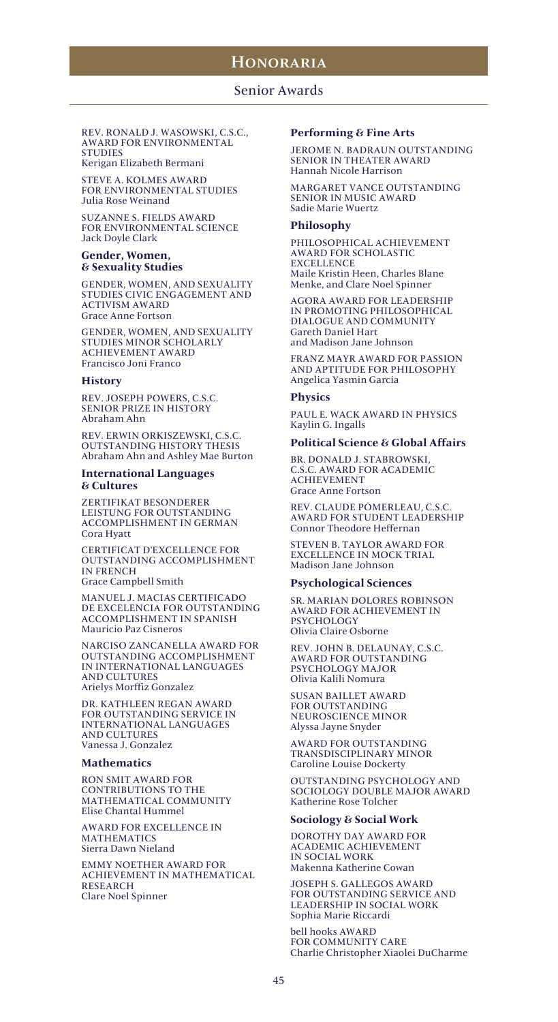### Senior Awards

REV. RONALD J. WASOWSKI, C.S.C., AWARD FOR ENVIRONMENTAL **STUDIES** Kerigan Elizabeth Bermani

STEVE A. KOLMES AWARD FOR ENVIRONMENTAL STUDIES Julia Rose Weinand

SUZANNE S. FIELDS AWARD FOR ENVIRONMENTAL SCIENCE Jack Doyle Clark

#### **Gender, Women, & Sexuality Studies**

GENDER, WOMEN, AND SEXUALITY STUDIES CIVIC ENGAGEMENT AND ACTIVISM AWARD Grace Anne Fortson

GENDER, WOMEN, AND SEXUALITY STUDIES MINOR SCHOLARLY ACHIEVEMENT AWARD Francisco Joni Franco

### **History**

REV. JOSEPH POWERS, C.S.C. SENIOR PRIZE IN HISTORY Abraham Ahn

REV. ERWIN ORKISZEWSKI, C.S.C. OUTSTANDING HISTORY THESIS Abraham Ahn and Ashley Mae Burton

#### **International Languages & Cultures**

ZERTIFIKAT BESONDERER LEISTUNG FOR OUTSTANDING ACCOMPLISHMENT IN GERMAN Cora Hyatt

CERTIFICAT D'EXCELLENCE FOR OUTSTANDING ACCOMPLISHMENT IN FRENCH Grace Campbell Smith

MANUEL J. MACIAS CERTIFICADO DE EXCELENCIA FOR OUTSTANDING ACCOMPLISHMENT IN SPANISH Mauricio Paz Cisneros

NARCISO ZANCANELLA AWARD FOR OUTSTANDING ACCOMPLISHMENT IN INTERNATIONAL LANGUAGES AND CULTURES Arielys Morffiz Gonzalez

DR. KATHLEEN REGAN AWARD FOR OUTSTANDING SERVICE IN INTERNATIONAL LANGUAGES AND CULTURES Vanessa J. Gonzalez

#### **Mathematics**

RON SMIT AWARD FOR CONTRIBUTIONS TO THE MATHEMATICAL COMMUNITY Elise Chantal Hummel

AWARD FOR EXCELLENCE IN MATHEMATICS Sierra Dawn Nieland

EMMY NOETHER AWARD FOR ACHIEVEMENT IN MATHEMATICAL RESEARCH Clare Noel Spinner

#### **Performing & Fine Arts**

JEROME N. BADRAUN OUTSTANDING SENIOR IN THEATER AWARD Hannah Nicole Harrison

MARGARET VANCE OUTSTANDING SENIOR IN MUSIC AWARD Sadie Marie Wuertz

#### **Philosophy**

PHILOSOPHICAL ACHIEVEMENT AWARD FOR SCHOLASTIC **EXCELLENCE** Maile Kristin Heen, Charles Blane Menke, and Clare Noel Spinner

AGORA AWARD FOR LEADERSHIP IN PROMOTING PHILOSOPHICAL DIALOGUE AND COMMUNITY Gareth Daniel Hart and Madison Jane Johnson

FRANZ MAYR AWARD FOR PASSION AND APTITUDE FOR PHILOSOPHY Angelica Yasmin García

#### **Physics**

PAUL E. WACK AWARD IN PHYSICS Kaylin G. Ingalls

#### **Political Science & Global Affairs**

BR. DONALD J. STABROWSKI, C.S.C. AWARD FOR ACADEMIC ACHIEVEMENT Grace Anne Fortson

REV. CLAUDE POMERLEAU, C.S.C. AWARD FOR STUDENT LEADERSHIP Connor Theodore Heffernan

STEVEN B. TAYLOR AWARD FOR EXCELLENCE IN MOCK TRIAL Madison Jane Johnson

#### **Psychological Sciences**

SR. MARIAN DOLORES ROBINSON AWARD FOR ACHIEVEMENT IN PSYCHOLOGY Olivia Claire Osborne

REV. JOHN B. DELAUNAY, C.S.C. AWARD FOR OUTSTANDING PSYCHOLOGY MAJOR Olivia Kalili Nomura

SUSAN BAILLET AWARD FOR OUTSTANDING NEUROSCIENCE MINOR Alyssa Jayne Snyder

AWARD FOR OUTSTANDING TRANSDISCIPLINARY MINOR Caroline Louise Dockerty

OUTSTANDING PSYCHOLOGY AND SOCIOLOGY DOUBLE MAJOR AWARD Katherine Rose Tolcher

#### **Sociology & Social Work**

DOROTHY DAY AWARD FOR ACADEMIC ACHIEVEMENT IN SOCIAL WORK Makenna Katherine Cowan

JOSEPH S. GALLEGOS AWARD FOR OUTSTANDING SERVICE AND LEADERSHIP IN SOCIAL WORK Sophia Marie Riccardi

bell hooks AWARD FOR COMMUNITY CARE Charlie Christopher Xiaolei DuCharme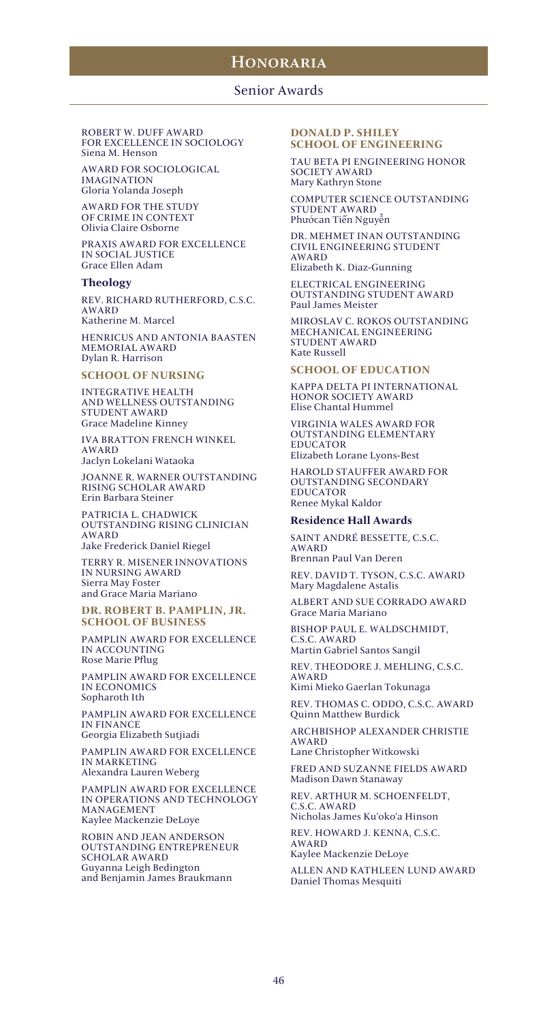### Senior Awards

ROBERT W. DUFF AWARD FOR EXCELLENCE IN SOCIOLOGY Siena M. Henson

AWARD FOR SOCIOLOGICAL IMAGINATION Gloria Yolanda Joseph

AWARD FOR THE STUDY OF CRIME IN CONTEXT Olivia Claire Osborne

PRAXIS AWARD FOR EXCELLENCE IN SOCIAL JUSTICE Grace Ellen Adam

### **Theology**

REV. RICHARD RUTHERFORD, C.S.C. AWARD Katherine M. Marcel

HENRICUS AND ANTONIA BAASTEN MEMORIAL AWARD Dylan R. Harrison

### **SCHOOL OF NURSING**

INTEGRATIVE HEALTH AND WELLNESS OUTSTANDING STUDENT AWARD Grace Madeline Kinney

IVA BRATTON FRENCH WINKEL AWARD Jaclyn Lokelani Wataoka

JOANNE R. WARNER OUTSTANDING RISING SCHOLAR AWARD Erin Barbara Steiner

PATRICIA L. CHADWICK OUTSTANDING RISING CLINICIAN AWARD Jake Frederick Daniel Riegel

TERRY R. MISENER INNOVATIONS IN NURSING AWARD Sierra May Foster and Grace Maria Mariano

**DR. ROBERT B. PAMPLIN, JR. SCHOOL OF BUSINESS**

PAMPLIN AWARD FOR EXCELLENCE IN ACCOUNTING Rose Marie Pflug

PAMPLIN AWARD FOR EXCELLENCE IN ECONOMICS Sopharoth Ith

PAMPLIN AWARD FOR EXCELLENCE IN FINANCE

Georgia Elizabeth Sutjiadi

PAMPLIN AWARD FOR EXCELLENCE IN MARKETING Alexandra Lauren Weberg

PAMPLIN AWARD FOR EXCELLENCE IN OPERATIONS AND TECHNOLOGY MANAGEMENT Kaylee Mackenzie DeLoye

ROBIN AND JEAN ANDERSON OUTSTANDING ENTREPRENEUR SCHOLAR AWARD Guyanna Leigh Bedington and Benjamin James Braukmann

### **DONALD P. SHILEY SCHOOL OF ENGINEERING**

TAU BETA PI ENGINEERING HONOR SOCIETY AWARD Mary Kathryn Stone

COMPUTER SCIENCE OUTSTANDING STUDENT AWARD Phướcan Tiến Nguyễn

DR. MEHMET INAN OUTSTANDING CIVIL ENGINEERING STUDENT AWARD

Elizabeth K. Diaz-Gunning

ELECTRICAL ENGINEERING OUTSTANDING STUDENT AWARD Paul James Meister

MIROSLAV C. ROKOS OUTSTANDING MECHANICAL ENGINEERING STUDENT AWARD Kate Russell

#### **SCHOOL OF EDUCATION**

KAPPA DELTA PI INTERNATIONAL HONOR SOCIETY AWARD Elise Chantal Hummel

VIRGINIA WALES AWARD FOR OUTSTANDING ELEMENTARY EDUCATOR Elizabeth Lorane Lyons-Best

HAROLD STAUFFER AWARD FOR OUTSTANDING SECONDARY EDUCATOR Renee Mykal Kaldor

#### **Residence Hall Awards**

SAINT ANDRÉ BESSETTE, C.S.C. AWARD Brennan Paul Van Deren

REV. DAVID T. TYSON, C.S.C. AWARD Mary Magdalene Astalis

ALBERT AND SUE CORRADO AWARD Grace Maria Mariano

BISHOP PAUL E. WALDSCHMIDT, C.S.C. AWARD

Martin Gabriel Santos Sangil

REV. THEODORE J. MEHLING, C.S.C. AWARD Kimi Mieko Gaerlan Tokunaga

REV. THOMAS C. ODDO, C.S.C. AWARD

Quinn Matthew Burdick

ARCHBISHOP ALEXANDER CHRISTIE AWARD Lane Christopher Witkowski

FRED AND SUZANNE FIELDS AWARD Madison Dawn Stanaway

REV. ARTHUR M. SCHOENFELDT, C.S.C. AWARD Nicholas James Ku'oko'a Hinson

REV. HOWARD J. KENNA, C.S.C. AWARD

Kaylee Mackenzie DeLoye

ALLEN AND KATHLEEN LUND AWARD Daniel Thomas Mesquiti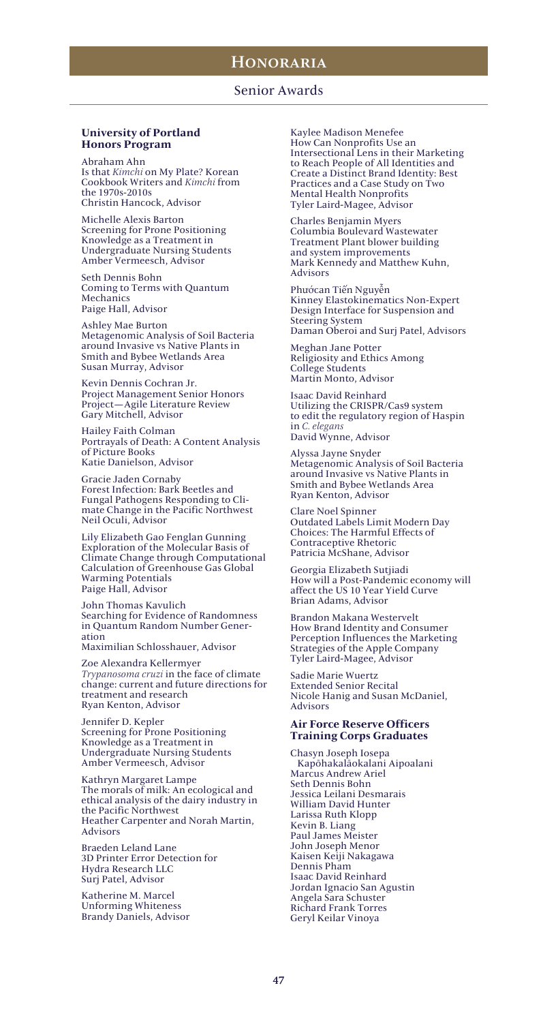### Senior Awards

#### **University of Portland Honors Program**

Abraham Ahn Is that *Kimchi* on My Plate? Korean Cookbook Writers and *Kimchi* from the 1970s-2010s Christin Hancock, Advisor

Michelle Alexis Barton Screening for Prone Positioning Knowledge as a Treatment in Undergraduate Nursing Students Amber Vermeesch, Advisor

Seth Dennis Bohn Coming to Terms with Quantum Mechanics Paige Hall, Advisor

Ashley Mae Burton Metagenomic Analysis of Soil Bacteria around Invasive vs Native Plants in Smith and Bybee Wetlands Area Susan Murray, Advisor

Kevin Dennis Cochran Jr. Project Management Senior Honors Project—Agile Literature Review Gary Mitchell, Advisor

Hailey Faith Colman Portrayals of Death: A Content Analysis of Picture Books Katie Danielson, Advisor

Gracie Jaden Cornaby Forest Infection: Bark Beetles and Fungal Pathogens Responding to Climate Change in the Pacific Northwest Neil Oculi, Advisor

Lily Elizabeth Gao Fenglan Gunning Exploration of the Molecular Basis of Climate Change through Computational Calculation of Greenhouse Gas Global Warming Potentials Paige Hall, Advisor

John Thomas Kavulich Searching for Evidence of Randomness in Quantum Random Number Generation

Maximilian Schlosshauer, Advisor

Zoe Alexandra Kellermyer *Trypanosoma cruzi* in the face of climate change: current and future directions for treatment and research Ryan Kenton, Advisor

Jennifer D. Kepler Screening for Prone Positioning Knowledge as a Treatment in Undergraduate Nursing Students Amber Vermeesch, Advisor

Kathryn Margaret Lampe The morals of milk: An ecological and ethical analysis of the dairy industry in the Pacific Northwest Heather Carpenter and Norah Martin, Advisors

Braeden Leland Lane 3D Printer Error Detection for Hydra Research LLC Surj Patel, Advisor

Katherine M. Marcel Unforming Whiteness Brandy Daniels, Advisor Kaylee Madison Menefee How Can Nonprofits Use an Intersectional Lens in their Marketing to Reach People of All Identities and Create a Distinct Brand Identity: Best Practices and a Case Study on Two Mental Health Nonprofits Tyler Laird‐Magee, Advisor

Charles Benjamin Myers Columbia Boulevard Wastewater Treatment Plant blower building and system improvements Mark Kennedy and Matthew Kuhn, Advisors

Phướcan Tiến Nguyễn Kinney Elastokinematics Non-Expert Design Interface for Suspension and Steering System Daman Oberoi and Surj Patel, Advisors

Meghan Jane Potter Religiosity and Ethics Among College Students Martin Monto, Advisor

Isaac David Reinhard Utilizing the CRISPR/Cas9 system to edit the regulatory region of Haspin in *C. elegans* David Wynne, Advisor

Alyssa Jayne Snyder Metagenomic Analysis of Soil Bacteria around Invasive vs Native Plants in Smith and Bybee Wetlands Area Ryan Kenton, Advisor

Clare Noel Spinner Outdated Labels Limit Modern Day Choices: The Harmful Effects of Contraceptive Rhetoric Patricia McShane, Advisor

Georgia Elizabeth Sutjiadi How will a Post-Pandemic economy will affect the US 10 Year Yield Curve Brian Adams, Advisor

Brandon Makana Westervelt How Brand Identity and Consumer Perception Influences the Marketing Strategies of the Apple Company Tyler Laird‐Magee, Advisor

Sadie Marie Wuertz Extended Senior Recital Nicole Hanig and Susan McDaniel, Advisors

### **Air Force Reserve Officers Training Corps Graduates**

Chasyn Joseph Iosepa Kapōhakalāokalani Aipoalani Marcus Andrew Ariel Seth Dennis Bohn Jessica Leilani Desmarais William David Hunter Larissa Ruth Klopp Kevin B. Liang Paul James Meister John Joseph Menor Kaisen Keiji Nakagawa Dennis Pham Isaac David Reinhard Jordan Ignacio San Agustin Angela Sara Schuster Richard Frank Torres Geryl Keilar Vinoya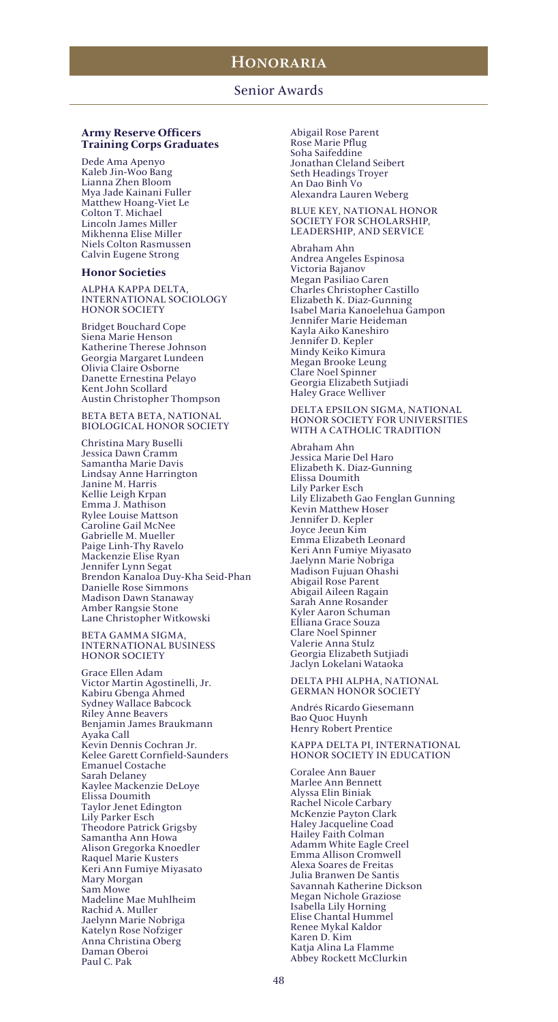### **Army Reserve Officers Training Corps Graduates**

Dede Ama Apenyo Kaleb Jin-Woo Bang Lianna Zhen Bloom Mya Jade Kainani Fuller Matthew Hoang-Viet Le Colton T. Michael Lincoln James Miller Mikhenna Elise Miller Niels Colton Rasmussen Calvin Eugene Strong

#### **Honor Societies**

ALPHA KAPPA DELTA, INTERNATIONAL SOCIOLOGY HONOR SOCIETY

Bridget Bouchard Cope Siena Marie Henson Katherine Therese Johnson Georgia Margaret Lundeen Olivia Claire Osborne Danette Ernestina Pelayo Kent John Scollard Austin Christopher Thompson

BETA BETA BETA, NATIONAL BIOLOGICAL HONOR SOCIETY

Christina Mary Buselli Jessica Dawn Cramm Samantha Marie Davis Lindsay Anne Harrington Janine M. Harris Kellie Leigh Krpan Emma J. Mathison Rylee Louise Mattson Caroline Gail McNee Gabrielle M. Mueller Paige Linh-Thy Ravelo Mackenzie Elise Ryan Jennifer Lynn Segat Brendon Kanaloa Duy-Kha Seid-Phan Danielle Rose Simmons Madison Dawn Stanaway Amber Rangsie Stone Lane Christopher Witkowski

BETA GAMMA SIGMA, INTERNATIONAL BUSINESS HONOR SOCIETY

Grace Ellen Adam Victor Martin Agostinelli, Jr. Kabiru Gbenga Ahmed Sydney Wallace Babcock Riley Anne Beavers Benjamin James Braukmann Ayaka Call Kevin Dennis Cochran Jr. Kelee Garett Cornfield-Saunders Emanuel Costache Sarah Delaney Kaylee Mackenzie DeLoye Elissa Doumith Taylor Jenet Edington Lily Parker Esch Theodore Patrick Grigsby Samantha Ann Howa Alison Gregorka Knoedler Raquel Marie Kusters Keri Ann Fumiye Miyasato Mary Morgan Sam Mowe Madeline Mae Muhlheim Rachid A. Muller Jaelynn Marie Nobriga Katelyn Rose Nofziger Anna Christina Oberg Daman Oberoi Paul C. Pak

Abigail Rose Parent Rose Marie Pflug Soha Saifeddine Jonathan Cleland Seibert Seth Headings Troyer An Dao Binh Vo Alexandra Lauren Weberg

BLUE KEY, NATIONAL HONOR SOCIETY FOR SCHOLARSHIP, LEADERSHIP, AND SERVICE

Abraham Ahn Andrea Angeles Espinosa Victoria Bajanov Megan Pasiliao Caren Charles Christopher Castillo Elizabeth K. Diaz-Gunning Isabel Maria Kanoelehua Gampon Jennifer Marie Heideman Kayla Aiko Kaneshiro Jennifer D. Kepler Mindy Keiko Kimura Megan Brooke Leung Clare Noel Spinner Georgia Elizabeth Sutjiadi Haley Grace Welliver

DELTA EPSILON SIGMA, NATIONAL HONOR SOCIETY FOR UNIVERSITIES WITH A CATHOLIC TRADITION

Abraham Ahn Jessica Marie Del Haro Elizabeth K. Diaz-Gunning Elissa Doumith Lily Parker Esch Lily Elizabeth Gao Fenglan Gunning Kevin Matthew Hoser Jennifer D. Kepler Joyce Jeeun Kim Emma Elizabeth Leonard Keri Ann Fumiye Miyasato Jaelynn Marie Nobriga Madison Fujuan Ohashi Abigail Rose Parent Abigail Aileen Ragain Sarah Anne Rosander Kyler Aaron Schuman Elliana Grace Souza Clare Noel Spinner Valerie Anna Stulz Georgia Elizabeth Sutjiadi Jaclyn Lokelani Wataoka

DELTA PHI ALPHA, NATIONAL GERMAN HONOR SOCIETY

Andrés Ricardo Giesemann Bao Quoc Huynh Henry Robert Prentice

KAPPA DELTA PI, INTERNATIONAL HONOR SOCIETY IN EDUCATION

Coralee Ann Bauer Marlee Ann Bennett Alyssa Elin Biniak Rachel Nicole Carbary McKenzie Payton Clark Haley Jacqueline Coad Hailey Faith Colman Adamm White Eagle Creel Emma Allison Cromwell Alexa Soares de Freitas Julia Branwen De Santis Savannah Katherine Dickson Megan Nichole Graziose Isabella Lily Horning Elise Chantal Hummel Renee Mykal Kaldor Karen D. Kim Katja Alina La Flamme Abbey Rockett McClurkin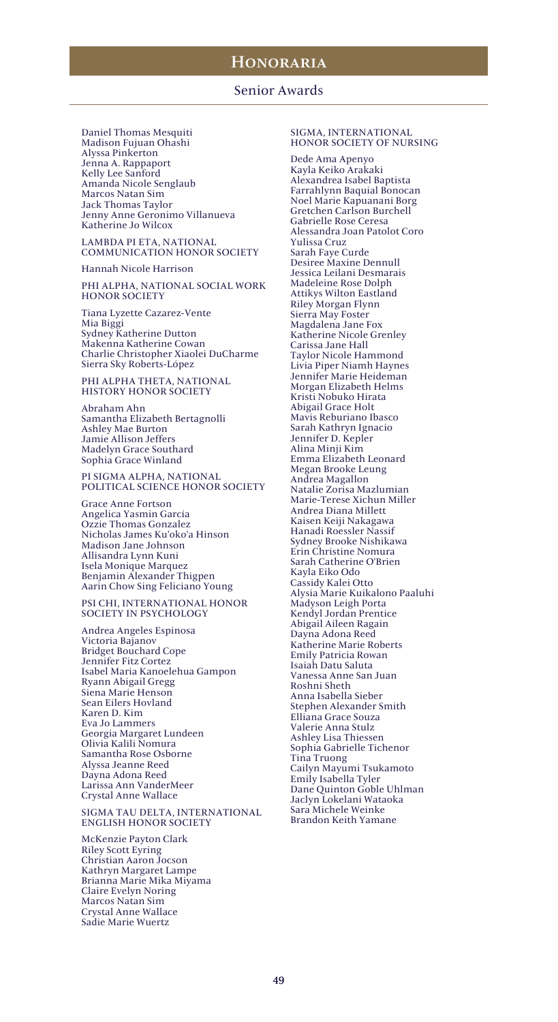### Senior Awards

Daniel Thomas Mesquiti Madison Fujuan Ohashi Alyssa Pinkerton Jenna A. Rappaport Kelly Lee Sanford Amanda Nicole Senglaub Marcos Natan Sim Jack Thomas Taylor Jenny Anne Geronimo Villanueva Katherine Jo Wilcox

LAMBDA PI ETA, NATIONAL COMMUNICATION HONOR SOCIETY

Hannah Nicole Harrison

PHI ALPHA, NATIONAL SOCIAL WORK HONOR SOCIETY

Tiana Lyzette Cazarez-Vente Mia Biggi Sydney Katherine Dutton Makenna Katherine Cowan Charlie Christopher Xiaolei DuCharme Sierra Sky Roberts-López

PHI ALPHA THETA, NATIONAL HISTORY HONOR SOCIETY

Abraham Ahn Samantha Elizabeth Bertagnolli Ashley Mae Burton Jamie Allison Jeffers Madelyn Grace Southard Sophia Grace Winland

PI SIGMA ALPHA, NATIONAL POLITICAL SCIENCE HONOR SOCIETY

Grace Anne Fortson Angelica Yasmin García Ozzie Thomas Gonzalez Nicholas James Ku'oko'a Hinson Madison Jane Johnson Allisandra Lynn Kuni Isela Monique Marquez Benjamin Alexander Thigpen Aarin Chow Sing Feliciano Young

PSI CHI, INTERNATIONAL HONOR SOCIETY IN PSYCHOLOGY

Andrea Angeles Espinosa Victoria Bajanov Bridget Bouchard Cope Jennifer Fitz Cortez Isabel Maria Kanoelehua Gampon Ryann Abigail Gregg Siena Marie Henson Sean Eilers Hovland Karen D. Kim Eva Jo Lammers Georgia Margaret Lundeen Olivia Kalili Nomura Samantha Rose Osborne Alyssa Jeanne Reed Dayna Adona Reed Larissa Ann VanderMeer Crystal Anne Wallace

SIGMA TAU DELTA, INTERNATIONAL ENGLISH HONOR SOCIETY

McKenzie Payton Clark Riley Scott Eyring Christian Aaron Jocson Kathryn Margaret Lampe Brianna Marie Mika Miyama Claire Evelyn Noring Marcos Natan Sim Crystal Anne Wallace Sadie Marie Wuertz

### SIGMA, INTERNATIONAL HONOR SOCIETY OF NURSING

Dede Ama Apenyo Kayla Keiko Arakaki Alexandrea Isabel Baptista Farrahlynn Baquial Bonocan Noel Marie Kapuanani Borg Gretchen Carlson Burchell Gabrielle Rose Ceresa Alessandra Joan Patolot Coro Yulissa Cruz Sarah Faye Curde Desiree Maxine Dennull Jessica Leilani Desmarais Madeleine Rose Dolph Attikys Wilton Eastland Riley Morgan Flynn Sierra May Foster Magdalena Jane Fox Katherine Nicole Grenley Carissa Jane Hall Taylor Nicole Hammond Livia Piper Niamh Haynes Jennifer Marie Heideman Morgan Elizabeth Helms Kristi Nobuko Hirata Abigail Grace Holt Mavis Reburiano Ibasco Sarah Kathryn Ignacio Jennifer D. Kepler Alina Minji Kim Emma Elizabeth Leonard Megan Brooke Leung Andrea Magallon Natalie Zorisa Mazlumian Marie-Terese Xichun Miller Andrea Diana Millett Kaisen Keiji Nakagawa Hanadi Roessler Nassif Sydney Brooke Nishikawa Erin Christine Nomura Sarah Catherine O'Brien Kayla Eiko Odo Cassidy Kalei Otto Alysia Marie Kuikalono Paaluhi Madyson Leigh Porta Kendyl Jordan Prentice Abigail Aileen Ragain Dayna Adona Reed Katherine Marie Roberts Emily Patricia Rowan Isaiah Datu Saluta Vanessa Anne San Juan Roshni Sheth Anna Isabella Sieber Stephen Alexander Smith Elliana Grace Souza Valerie Anna Stulz Ashley Lisa Thiessen Sophia Gabrielle Tichenor Tina Truong Cailyn Mayumi Tsukamoto Emily Isabella Tyler Dane Quinton Goble Uhlman Jaclyn Lokelani Wataoka Sara Michele Weinke Brandon Keith Yamane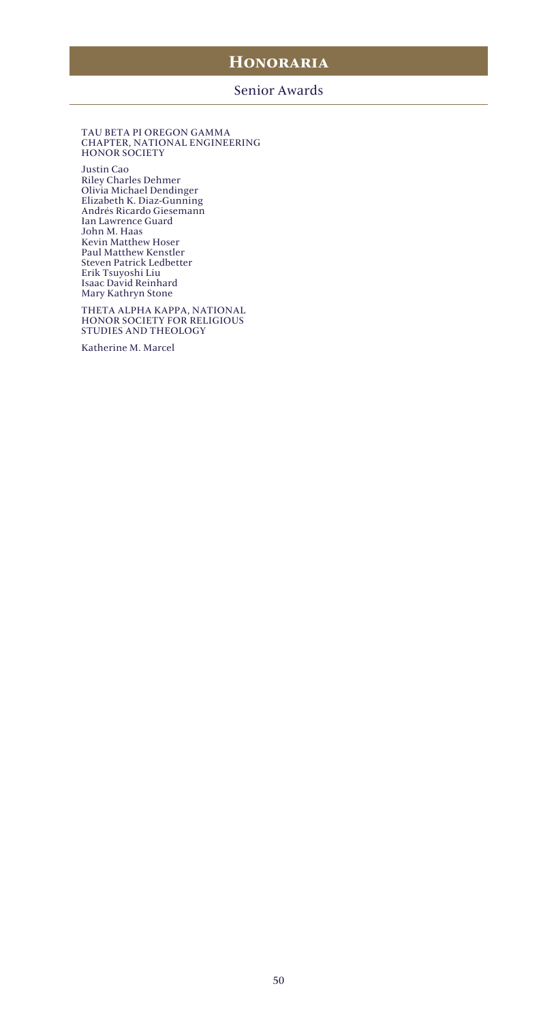# **Honoraria**

### Senior Awards

#### TAU BETA PI OREGON GAMMA CHAPTER, NATIONAL ENGINEERING HONOR SOCIETY

Justin Cao Riley Charles Dehmer Olivia Michael Dendinger Elizabeth K. Diaz-Gunning Andrés Ricardo Giesemann Ian Lawrence Guard John M. Haas Kevin Matthew Hoser Paul Matthew Kenstler Steven Patrick Ledbetter Erik Tsuyoshi Liu Isaac David Reinhard Mary Kathryn Stone

THETA ALPHA KAPPA, NATIONAL HONOR SOCIETY FOR RELIGIOUS STUDIES AND THEOLOGY

Katherine M. Marcel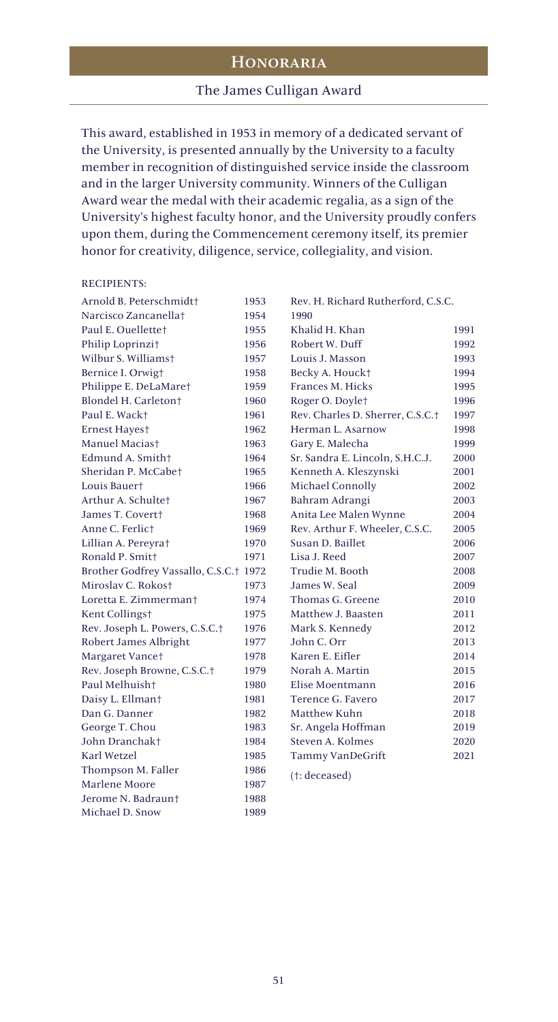## Honoraria

### The James Culligan Award

This award, established in 1953 in memory of a dedicated servant of the University, is presented annually by the University to a faculty member in recognition of distinguished service inside the classroom and in the larger University community. Winners of the Culligan Award wear the medal with their academic regalia, as a sign of the University's highest faculty honor, and the University proudly confers upon them, during the Commencement ceremony itself, its premier honor for creativity, diligence, service, collegiality, and vision.

### RECIPIENTS:

| Arnold B. Peterschmidt+                | 1953 | Rev. H. Richard Rutherford, C.S.C. |      |
|----------------------------------------|------|------------------------------------|------|
| Narcisco Zancanellat                   | 1954 | 1990                               |      |
| Paul E. Quellettet                     | 1955 | Khalid H. Khan                     | 1991 |
| Philip Loprinzi†                       | 1956 | Robert W. Duff                     | 1992 |
| Wilbur S. Williamst                    | 1957 | Louis J. Masson                    | 1993 |
| Bernice I. Orwigt                      | 1958 | Becky A. Houck†                    | 1994 |
| Philippe E. DeLaMaret                  | 1959 | Frances M. Hicks                   | 1995 |
| Blondel H. Carleton <sup>+</sup>       | 1960 | Roger O. Doylet                    | 1996 |
| Paul E. Wack+                          | 1961 | Rev. Charles D. Sherrer, C.S.C.†   | 1997 |
| <b>Ernest Hayest</b>                   | 1962 | Herman L. Asarnow                  | 1998 |
| Manuel Maciast                         | 1963 | Gary E. Malecha                    | 1999 |
| Edmund A. Smith+                       | 1964 | Sr. Sandra E. Lincoln, S.H.C.J.    | 2000 |
| Sheridan P. McCabet                    | 1965 | Kenneth A. Kleszynski              | 2001 |
| Louis Bauert                           | 1966 | Michael Connolly                   | 2002 |
| Arthur A. Schultet                     | 1967 | Bahram Adrangi                     | 2003 |
| James T. Covertt                       | 1968 | Anita Lee Malen Wynne              | 2004 |
| Anne C. Ferlict                        | 1969 | Rev. Arthur F. Wheeler, C.S.C.     | 2005 |
| Lillian A. Pereyrat                    | 1970 | Susan D. Baillet                   | 2006 |
| Ronald P. Smitt                        | 1971 | Lisa J. Reed                       | 2007 |
| Brother Godfrey Vassallo, C.S.C.† 1972 |      | Trudie M. Booth                    | 2008 |
| Miroslav C. Rokost                     | 1973 | James W. Seal                      | 2009 |
| Loretta E. Zimmermant                  | 1974 | Thomas G. Greene                   | 2010 |
| Kent Collings†                         | 1975 | Matthew J. Baasten                 | 2011 |
| Rev. Joseph L. Powers, C.S.C.†         | 1976 | Mark S. Kennedy                    | 2012 |
| Robert James Albright                  | 1977 | John C. Orr                        | 2013 |
| Margaret Vance†                        | 1978 | Karen E. Eifler                    | 2014 |
| Rev. Joseph Browne, C.S.C.†            | 1979 | Norah A. Martin                    | 2015 |
| Paul Melhuish <sup>+</sup>             | 1980 | Elise Moentmann                    | 2016 |
| Daisy L. Ellmant                       | 1981 | Terence G. Favero                  | 2017 |
| Dan G. Danner                          | 1982 | Matthew Kuhn                       | 2018 |
| George T. Chou                         | 1983 | Sr. Angela Hoffman                 | 2019 |
| John Dranchakt                         | 1984 | Steven A. Kolmes                   | 2020 |
| Karl Wetzel                            | 1985 | Tammy VanDeGrift                   | 2021 |
| Thompson M. Faller                     | 1986 | (t: decreased)                     |      |
| Marlene Moore                          | 1987 |                                    |      |
| Jerome N. Badraunt                     | 1988 |                                    |      |
| Michael D. Snow                        | 1989 |                                    |      |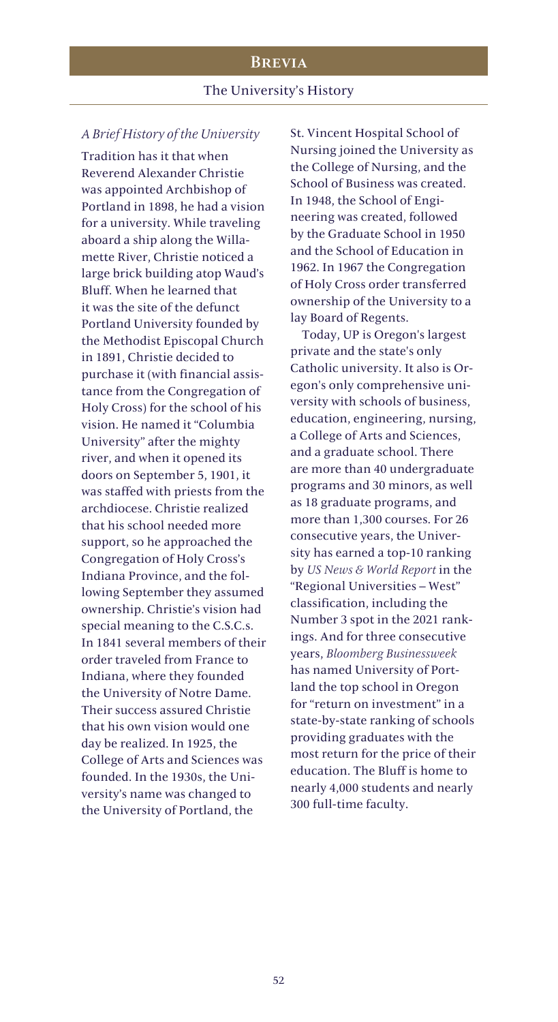## **BREVIA**

### The University's History

### *A Brief History of the University*

Tradition has it that when Reverend Alexander Christie was appointed Archbishop of Portland in 1898, he had a vision for a university. While traveling aboard a ship along the Willamette River, Christie noticed a large brick building atop Waud's Bluff. When he learned that it was the site of the defunct Portland University founded by the Methodist Episcopal Church in 1891, Christie decided to purchase it (with financial assistance from the Congregation of Holy Cross) for the school of his vision. He named it "Columbia University" after the mighty river, and when it opened its doors on September 5, 1901, it was staffed with priests from the archdiocese. Christie realized that his school needed more support, so he approached the Congregation of Holy Cross's Indiana Province, and the following September they assumed ownership. Christie's vision had special meaning to the C.S.C.s. In 1841 several members of their order traveled from France to Indiana, where they founded the University of Notre Dame. Their success assured Christie that his own vision would one day be realized. In 1925, the College of Arts and Sciences was founded. In the 1930s, the University's name was changed to the University of Portland, the

St. Vincent Hospital School of Nursing joined the University as the College of Nursing, and the School of Business was created. In 1948, the School of Engineering was created, followed by the Graduate School in 1950 and the School of Education in 1962. In 1967 the Congregation of Holy Cross order transferred ownership of the University to a lay Board of Regents.

Today, UP is Oregon's largest private and the state's only Catholic university. It also is Oregon's only comprehensive university with schools of business, education, engineering, nursing, a College of Arts and Sciences, and a graduate school. There are more than 40 undergraduate programs and 30 minors, as well as 18 graduate programs, and more than 1,300 courses. For 26 consecutive years, the University has earned a top-10 ranking by *US News & World Report* in the "Regional Universities – West" classification, including the Number 3 spot in the 2021 rankings. And for three consecutive years, *Bloomberg Businessweek* has named University of Portland the top school in Oregon for "return on investment" in a state-by-state ranking of schools providing graduates with the most return for the price of their education. The Bluff is home to nearly 4,000 students and nearly 300 full-time faculty.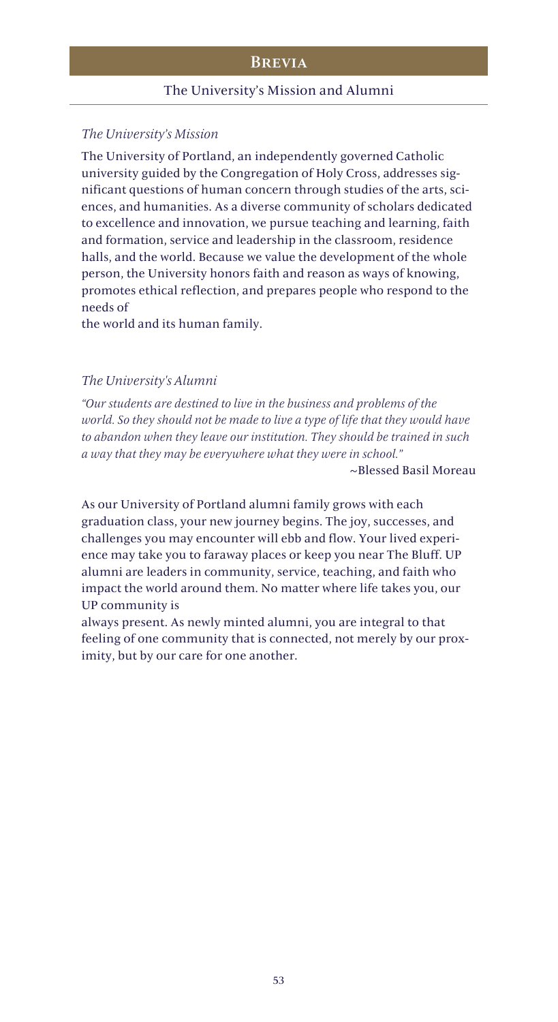### Brevia

### The University's Mission and Alumni

## *The University's Mission*

The University of Portland, an independently governed Catholic university guided by the Congregation of Holy Cross, addresses significant questions of human concern through studies of the arts, sciences, and humanities. As a diverse community of scholars dedicated to excellence and innovation, we pursue teaching and learning, faith and formation, service and leadership in the classroom, residence halls, and the world. Because we value the development of the whole person, the University honors faith and reason as ways of knowing, promotes ethical reflection, and prepares people who respond to the needs of

the world and its human family.

### *The University's Alumni*

*"Our students are destined to live in the business and problems of the world. So they should not be made to live a type of life that they would have to abandon when they leave our institution. They should be trained in such a way that they may be everywhere what they were in school."*

~Blessed Basil Moreau

As our University of Portland alumni family grows with each graduation class, your new journey begins. The joy, successes, and challenges you may encounter will ebb and flow. Your lived experience may take you to faraway places or keep you near The Bluff. UP alumni are leaders in community, service, teaching, and faith who impact the world around them. No matter where life takes you, our UP community is

always present. As newly minted alumni, you are integral to that feeling of one community that is connected, not merely by our proximity, but by our care for one another.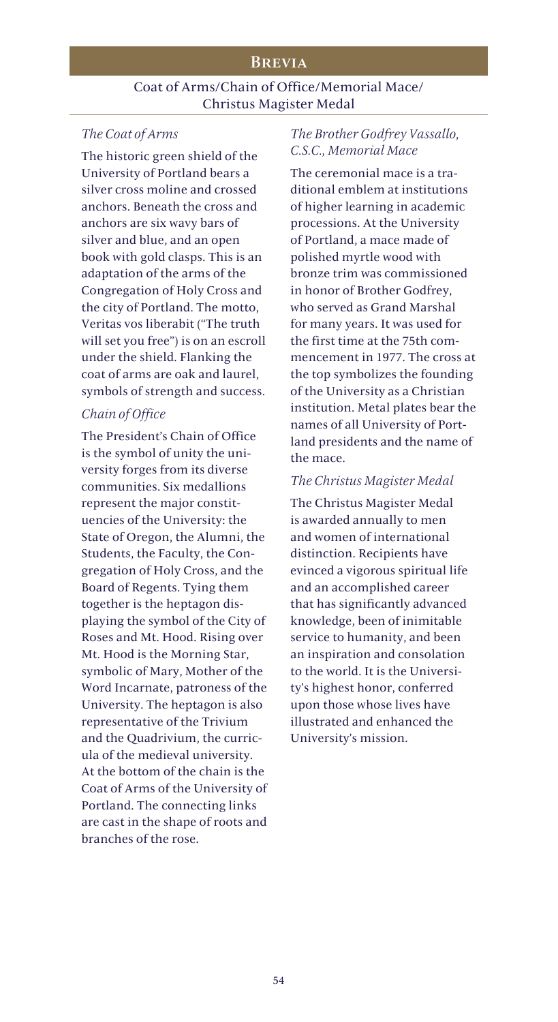## **BREVIA**

## Coat of Arms/Chain of Office/Memorial Mace/ Christus Magister Medal

## *The Coat of Arms*

The historic green shield of the University of Portland bears a silver cross moline and crossed anchors. Beneath the cross and anchors are six wavy bars of silver and blue, and an open book with gold clasps. This is an adaptation of the arms of the Congregation of Holy Cross and the city of Portland. The motto, Veritas vos liberabit ("The truth will set you free") is on an escroll under the shield. Flanking the coat of arms are oak and laurel, symbols of strength and success.

## *Chain of Office*

The President's Chain of Office is the symbol of unity the university forges from its diverse communities. Six medallions represent the major constituencies of the University: the State of Oregon, the Alumni, the Students, the Faculty, the Congregation of Holy Cross, and the Board of Regents. Tying them together is the heptagon displaying the symbol of the City of Roses and Mt. Hood. Rising over Mt. Hood is the Morning Star, symbolic of Mary, Mother of the Word Incarnate, patroness of the University. The heptagon is also representative of the Trivium and the Quadrivium, the curricula of the medieval university. At the bottom of the chain is the Coat of Arms of the University of Portland. The connecting links are cast in the shape of roots and branches of the rose.

## *The Brother Godfrey Vassallo, C.S.C., Memorial Mace*

The ceremonial mace is a traditional emblem at institutions of higher learning in academic processions. At the University of Portland, a mace made of polished myrtle wood with bronze trim was commissioned in honor of Brother Godfrey, who served as Grand Marshal for many years. It was used for the first time at the 75th commencement in 1977. The cross at the top symbolizes the founding of the University as a Christian institution. Metal plates bear the names of all University of Portland presidents and the name of the mace.

### *The Christus Magister Medal*

The Christus Magister Medal is awarded annually to men and women of international distinction. Recipients have evinced a vigorous spiritual life and an accomplished career that has significantly advanced knowledge, been of inimitable service to humanity, and been an inspiration and consolation to the world. It is the University's highest honor, conferred upon those whose lives have illustrated and enhanced the University's mission.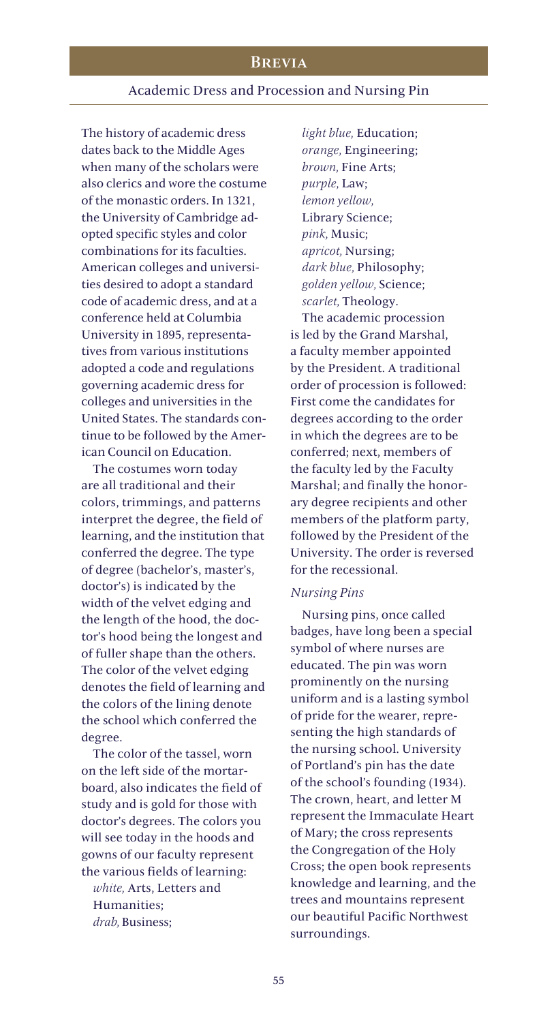## Brevia

### Academic Dress and Procession and Nursing Pin

The history of academic dress dates back to the Middle Ages when many of the scholars were also clerics and wore the costume of the monastic orders. In 1321, the University of Cambridge adopted specific styles and color combinations for its faculties. American colleges and universities desired to adopt a standard code of academic dress, and at a conference held at Columbia University in 1895, representatives from various institutions adopted a code and regulations governing academic dress for colleges and universities in the United States. The standards continue to be followed by the American Council on Education.

The costumes worn today are all traditional and their colors, trimmings, and patterns interpret the degree, the field of learning, and the institution that conferred the degree. The type of degree (bachelor's, master's, doctor's) is indicated by the width of the velvet edging and the length of the hood, the doctor's hood being the longest and of fuller shape than the others. The color of the velvet edging denotes the field of learning and the colors of the lining denote the school which conferred the degree.

The color of the tassel, worn on the left side of the mortarboard, also indicates the field of study and is gold for those with doctor's degrees. The colors you will see today in the hoods and gowns of our faculty represent the various fields of learning: *white,* Arts, Letters and Humanities; *drab,* Business;

*light blue,* Education; *orange,* Engineering; *brown,* Fine Arts; *purple,* Law; *lemon yellow,*  Library Science; *pink,* Music; *apricot,* Nursing; *dark blue,* Philosophy; *golden yellow,* Science; *scarlet,* Theology.

The academic procession is led by the Grand Marshal, a faculty member appointed by the President. A traditional order of procession is followed: First come the candidates for degrees according to the order in which the degrees are to be conferred; next, members of the faculty led by the Faculty Marshal; and finally the honorary degree recipients and other members of the platform party, followed by the President of the University. The order is reversed for the recessional.

### *Nursing Pins*

Nursing pins, once called badges, have long been a special symbol of where nurses are educated. The pin was worn prominently on the nursing uniform and is a lasting symbol of pride for the wearer, representing the high standards of the nursing school. University of Portland's pin has the date of the school's founding (1934). The crown, heart, and letter M represent the Immaculate Heart of Mary; the cross represents the Congregation of the Holy Cross; the open book represents knowledge and learning, and the trees and mountains represent our beautiful Pacific Northwest surroundings.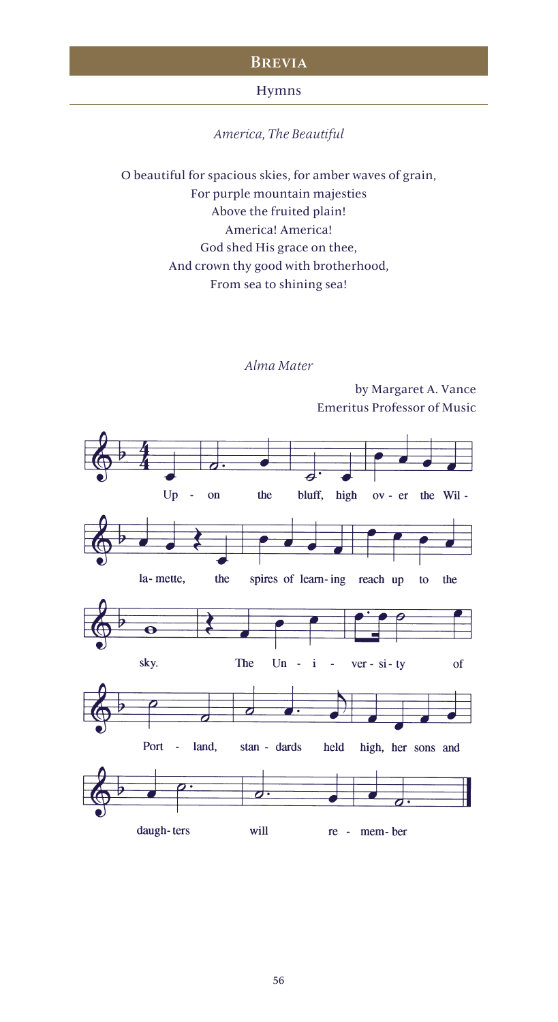### **BREVIA**

### Hymns

*America, The Beautiful*

O beautiful for spacious skies, for amber waves of grain, For purple mountain majesties Above the fruited plain! America! America! God shed His grace on thee, And crown thy good with brotherhood, From sea to shining sea!

## *Alma Mater*

 $Up$  $\sim$  on the bluff, high ov - er the Wil la-mette, the spires of learn-ing reach up to the  $\ddot{\mathbf{e}}$ sky. The  $Un \mathbf{i}$  $ver - si - ty$ of  $\overline{\phantom{a}}$  $\overline{\mathcal{C}}$ Port land, stan - dards held high, her sons and ರ daugh-ters will re - mem-ber

by Margaret A. Vance Emeritus Professor of Music